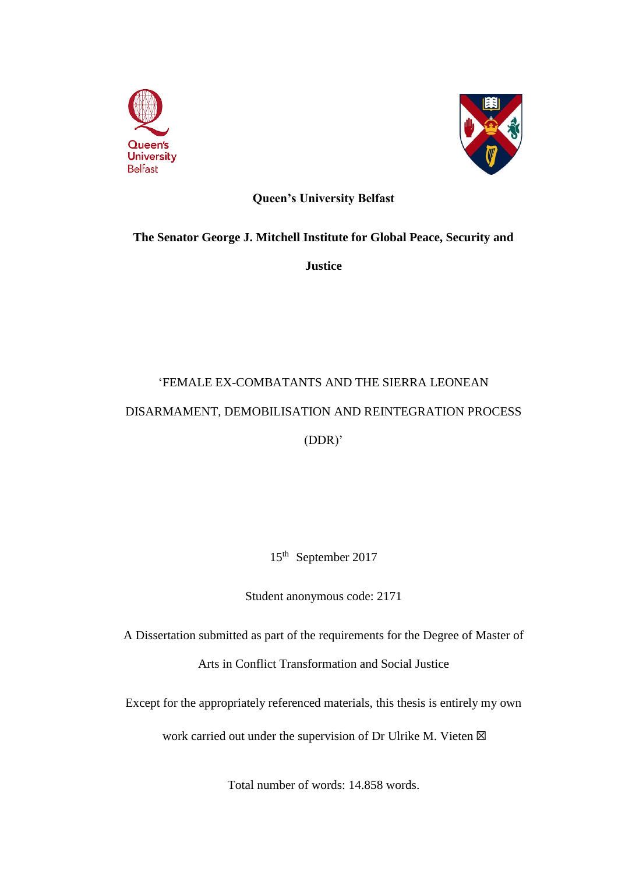



# **Queen's University Belfast**

# **The Senator George J. Mitchell Institute for Global Peace, Security and**

**Justice**

# 'FEMALE EX-COMBATANTS AND THE SIERRA LEONEAN DISARMAMENT, DEMOBILISATION AND REINTEGRATION PROCESS (DDR)'

15th September 2017

Student anonymous code: 2171

A Dissertation submitted as part of the requirements for the Degree of Master of Arts in Conflict Transformation and Social Justice

Except for the appropriately referenced materials, this thesis is entirely my own

work carried out under the supervision of Dr Ulrike M. Vieten  $\boxtimes$ 

Total number of words: 14.858 words.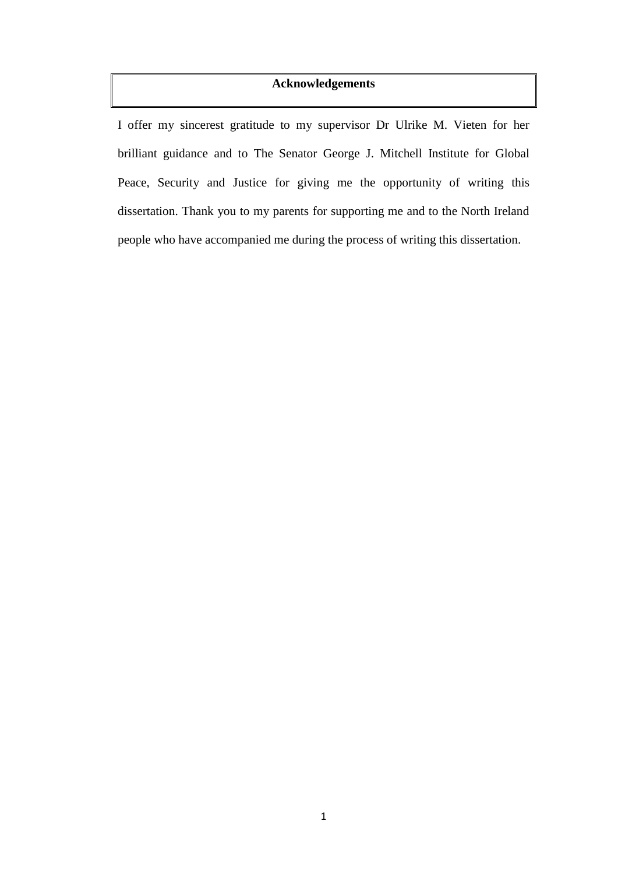## **Acknowledgements**

I offer my sincerest gratitude to my supervisor Dr Ulrike M. Vieten for her brilliant guidance and to The Senator George J. Mitchell Institute for Global Peace, Security and Justice for giving me the opportunity of writing this dissertation. Thank you to my parents for supporting me and to the North Ireland people who have accompanied me during the process of writing this dissertation.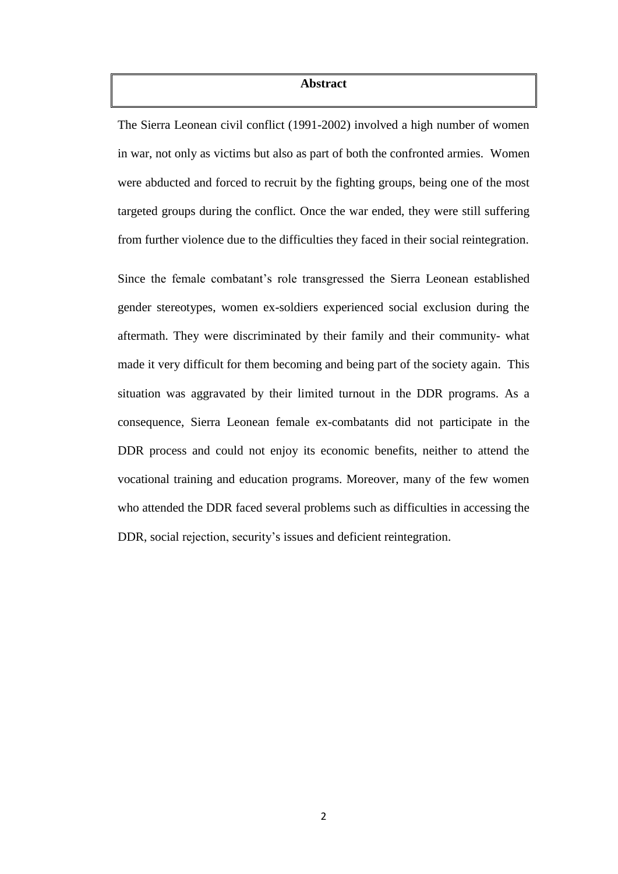#### **Abstract**

The Sierra Leonean civil conflict (1991-2002) involved a high number of women in war, not only as victims but also as part of both the confronted armies. Women were abducted and forced to recruit by the fighting groups, being one of the most targeted groups during the conflict. Once the war ended, they were still suffering from further violence due to the difficulties they faced in their social reintegration.

Since the female combatant's role transgressed the Sierra Leonean established gender stereotypes, women ex-soldiers experienced social exclusion during the aftermath. They were discriminated by their family and their community- what made it very difficult for them becoming and being part of the society again. This situation was aggravated by their limited turnout in the DDR programs. As a consequence, Sierra Leonean female ex-combatants did not participate in the DDR process and could not enjoy its economic benefits, neither to attend the vocational training and education programs. Moreover, many of the few women who attended the DDR faced several problems such as difficulties in accessing the DDR, social rejection, security's issues and deficient reintegration.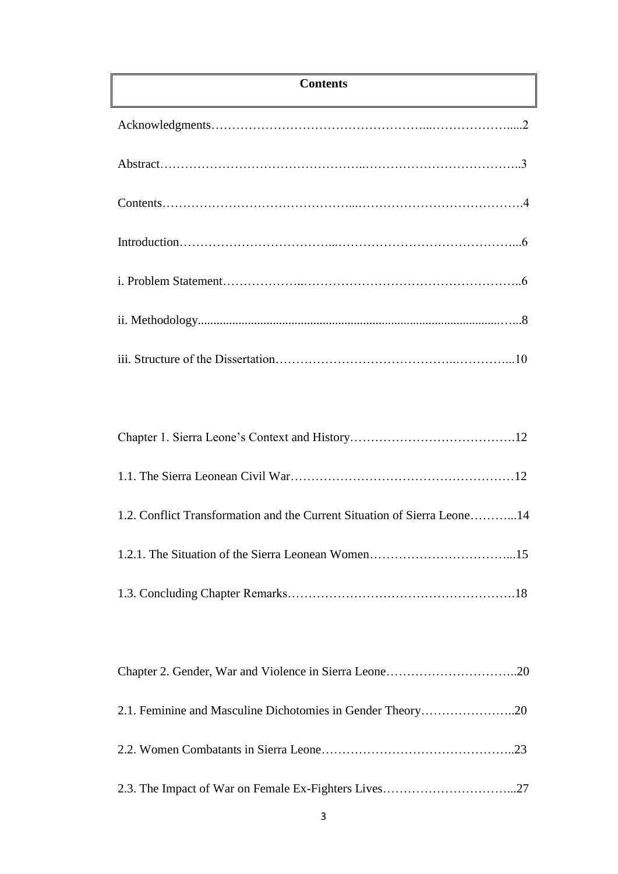# **Contents**

| 2.1. Feminine and Masculine Dichotomies in Gender Theory20 |  |  |  |
|------------------------------------------------------------|--|--|--|
|------------------------------------------------------------|--|--|--|

|--|--|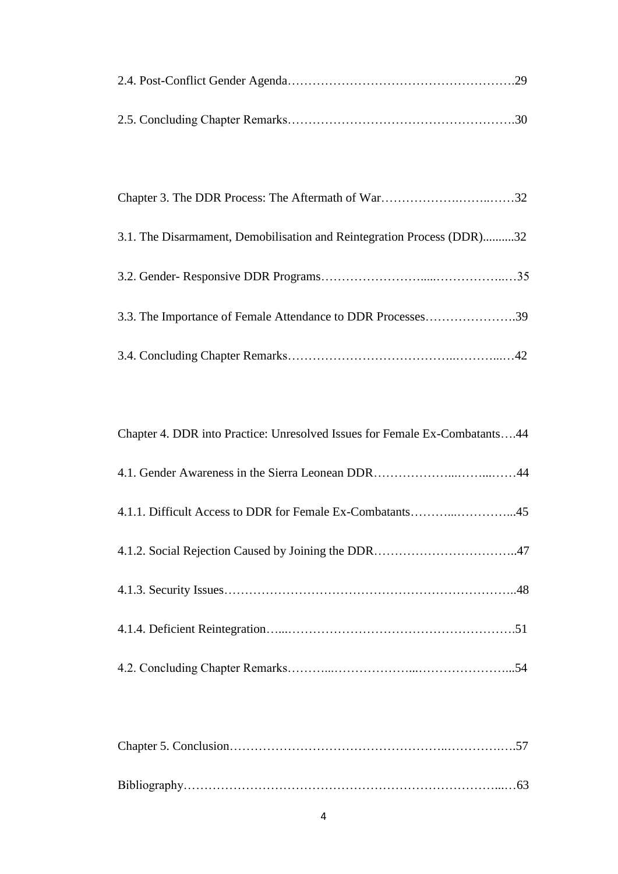| 3.1. The Disarmament, Demobilisation and Reintegration Process (DDR)32 |  |
|------------------------------------------------------------------------|--|
|                                                                        |  |
| 3.3. The Importance of Female Attendance to DDR Processes39            |  |
|                                                                        |  |

| Chapter 4. DDR into Practice: Unresolved Issues for Female Ex-Combatants44 |
|----------------------------------------------------------------------------|
|                                                                            |
|                                                                            |
|                                                                            |
|                                                                            |
|                                                                            |
|                                                                            |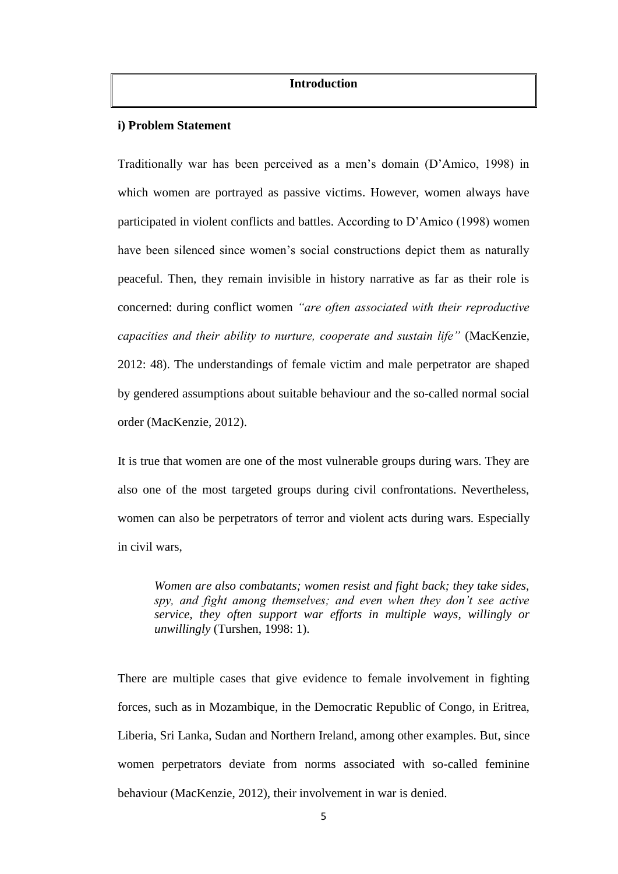## **Introduction**

#### **i) Problem Statement**

Traditionally war has been perceived as a men's domain (D'Amico, 1998) in which women are portrayed as passive victims. However, women always have participated in violent conflicts and battles. According to D'Amico (1998) women have been silenced since women's social constructions depict them as naturally peaceful. Then, they remain invisible in history narrative as far as their role is concerned: during conflict women *"are often associated with their reproductive capacities and their ability to nurture, cooperate and sustain life"* (MacKenzie, 2012: 48). The understandings of female victim and male perpetrator are shaped by gendered assumptions about suitable behaviour and the so-called normal social order (MacKenzie, 2012).

It is true that women are one of the most vulnerable groups during wars. They are also one of the most targeted groups during civil confrontations. Nevertheless, women can also be perpetrators of terror and violent acts during wars*.* Especially in civil wars,

*Women are also combatants; women resist and fight back; they take sides, spy, and fight among themselves; and even when they don't see active service, they often support war efforts in multiple ways, willingly or unwillingly* (Turshen, 1998: 1).

There are multiple cases that give evidence to female involvement in fighting forces, such as in Mozambique, in the Democratic Republic of Congo, in Eritrea, Liberia, Sri Lanka, Sudan and Northern Ireland, among other examples. But, since women perpetrators deviate from norms associated with so-called feminine behaviour (MacKenzie, 2012), their involvement in war is denied.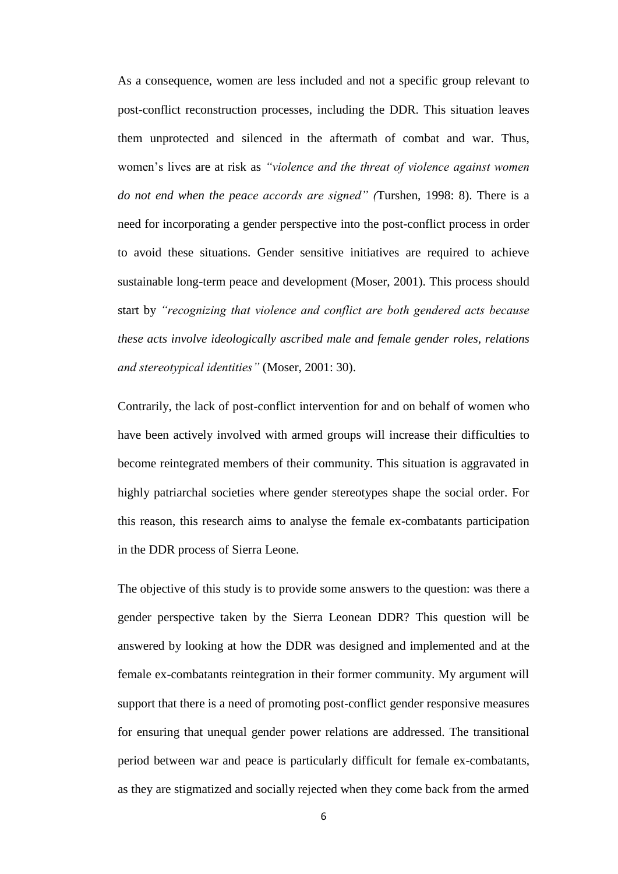As a consequence, women are less included and not a specific group relevant to post-conflict reconstruction processes, including the DDR. This situation leaves them unprotected and silenced in the aftermath of combat and war. Thus, women's lives are at risk as *"violence and the threat of violence against women do not end when the peace accords are signed" (*Turshen, 1998: 8). There is a need for incorporating a gender perspective into the post-conflict process in order to avoid these situations. Gender sensitive initiatives are required to achieve sustainable long-term peace and development (Moser, 2001). This process should start by *"recognizing that violence and conflict are both gendered acts because these acts involve ideologically ascribed male and female gender roles, relations and stereotypical identities"* (Moser, 2001: 30).

Contrarily, the lack of post-conflict intervention for and on behalf of women who have been actively involved with armed groups will increase their difficulties to become reintegrated members of their community. This situation is aggravated in highly patriarchal societies where gender stereotypes shape the social order. For this reason, this research aims to analyse the female ex-combatants participation in the DDR process of Sierra Leone.

The objective of this study is to provide some answers to the question: was there a gender perspective taken by the Sierra Leonean DDR? This question will be answered by looking at how the DDR was designed and implemented and at the female ex-combatants reintegration in their former community. My argument will support that there is a need of promoting post-conflict gender responsive measures for ensuring that unequal gender power relations are addressed. The transitional period between war and peace is particularly difficult for female ex-combatants, as they are stigmatized and socially rejected when they come back from the armed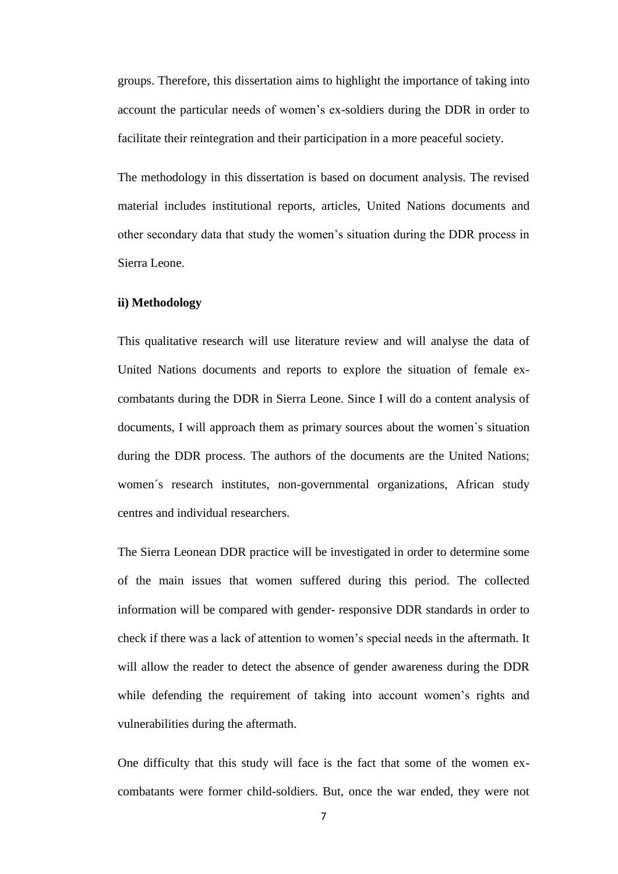groups. Therefore, this dissertation aims to highlight the importance of taking into account the particular needs of women's ex-soldiers during the DDR in order to facilitate their reintegration and their participation in a more peaceful society.

The methodology in this dissertation is based on document analysis. The revised material includes institutional reports, articles, United Nations documents and other secondary data that study the women's situation during the DDR process in Sierra Leone.

## **ii) Methodology**

This qualitative research will use literature review and will analyse the data of United Nations documents and reports to explore the situation of female excombatants during the DDR in Sierra Leone. Since I will do a content analysis of documents, I will approach them as primary sources about the women`s situation during the DDR process. The authors of the documents are the United Nations; women´s research institutes, non-governmental organizations, African study centres and individual researchers.

The Sierra Leonean DDR practice will be investigated in order to determine some of the main issues that women suffered during this period. The collected information will be compared with gender- responsive DDR standards in order to check if there was a lack of attention to women's special needs in the aftermath. It will allow the reader to detect the absence of gender awareness during the DDR while defending the requirement of taking into account women's rights and vulnerabilities during the aftermath.

One difficulty that this study will face is the fact that some of the women excombatants were former child-soldiers. But, once the war ended, they were not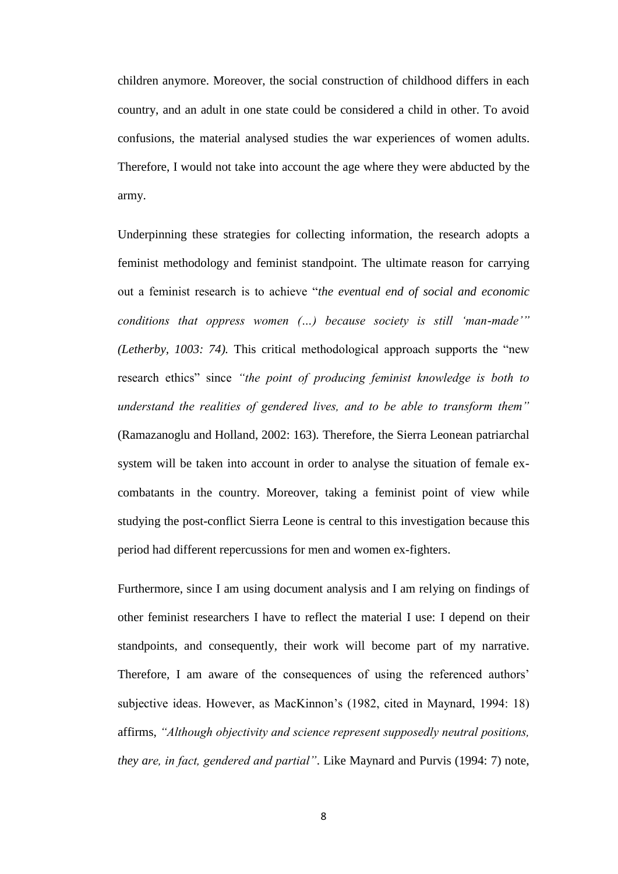children anymore. Moreover, the social construction of childhood differs in each country, and an adult in one state could be considered a child in other. To avoid confusions, the material analysed studies the war experiences of women adults. Therefore, I would not take into account the age where they were abducted by the army.

Underpinning these strategies for collecting information, the research adopts a feminist methodology and feminist standpoint. The ultimate reason for carrying out a feminist research is to achieve "*the eventual end of social and economic conditions that oppress women (…) because society is still 'man-made'" (Letherby, 1003: 74).* This critical methodological approach supports the "new research ethics" since *"the point of producing feminist knowledge is both to understand the realities of gendered lives, and to be able to transform them"*  (Ramazanoglu and Holland, 2002: 163)*.* Therefore, the Sierra Leonean patriarchal system will be taken into account in order to analyse the situation of female excombatants in the country. Moreover, taking a feminist point of view while studying the post-conflict Sierra Leone is central to this investigation because this period had different repercussions for men and women ex-fighters.

Furthermore, since I am using document analysis and I am relying on findings of other feminist researchers I have to reflect the material I use: I depend on their standpoints, and consequently, their work will become part of my narrative. Therefore, I am aware of the consequences of using the referenced authors' subjective ideas. However, as MacKinnon's (1982, cited in Maynard, 1994: 18) affirms, *"Although objectivity and science represent supposedly neutral positions, they are, in fact, gendered and partial"*. Like Maynard and Purvis (1994: 7) note,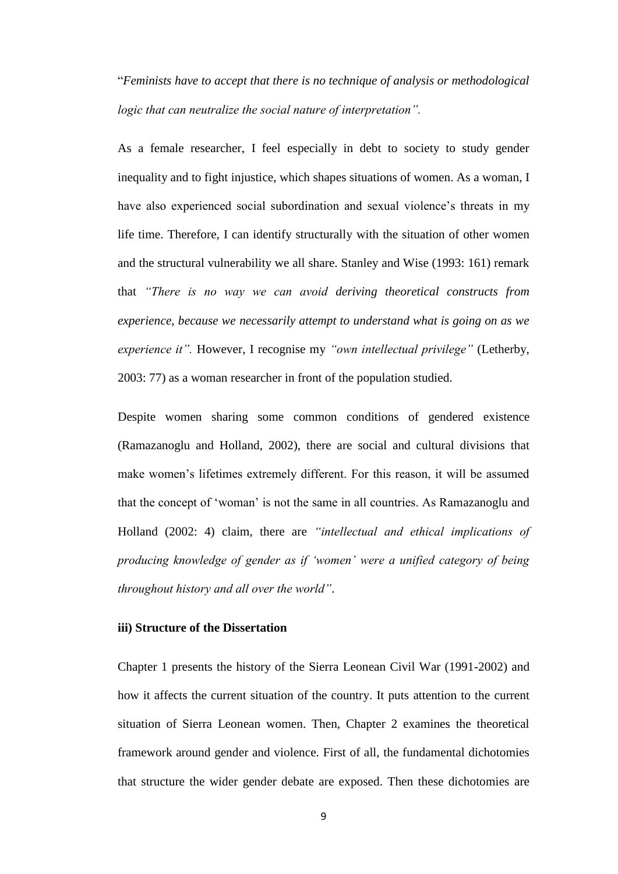"*Feminists have to accept that there is no technique of analysis or methodological logic that can neutralize the social nature of interpretation".*

As a female researcher, I feel especially in debt to society to study gender inequality and to fight injustice, which shapes situations of women. As a woman, I have also experienced social subordination and sexual violence's threats in my life time. Therefore, I can identify structurally with the situation of other women and the structural vulnerability we all share. Stanley and Wise (1993: 161) remark that *"There is no way we can avoid deriving theoretical constructs from experience, because we necessarily attempt to understand what is going on as we experience it".* However, I recognise my *"own intellectual privilege"* (Letherby, 2003: 77) as a woman researcher in front of the population studied.

Despite women sharing some common conditions of gendered existence (Ramazanoglu and Holland, 2002), there are social and cultural divisions that make women's lifetimes extremely different. For this reason, it will be assumed that the concept of 'woman' is not the same in all countries. As Ramazanoglu and Holland (2002: 4) claim, there are *"intellectual and ethical implications of producing knowledge of gender as if 'women' were a unified category of being throughout history and all over the world"*.

## **iii) Structure of the Dissertation**

Chapter 1 presents the history of the Sierra Leonean Civil War (1991-2002) and how it affects the current situation of the country. It puts attention to the current situation of Sierra Leonean women. Then, Chapter 2 examines the theoretical framework around gender and violence. First of all, the fundamental dichotomies that structure the wider gender debate are exposed. Then these dichotomies are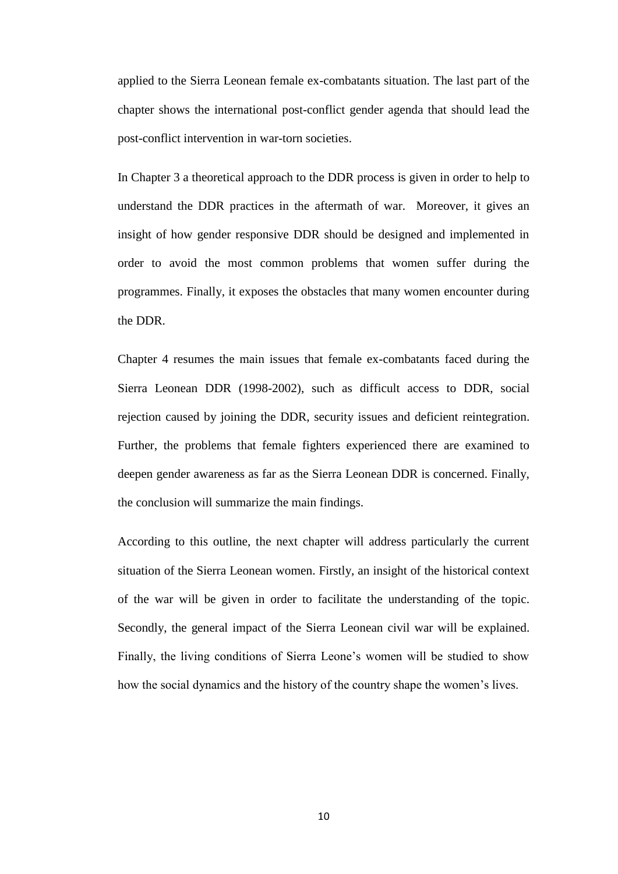applied to the Sierra Leonean female ex-combatants situation. The last part of the chapter shows the international post-conflict gender agenda that should lead the post-conflict intervention in war-torn societies.

In Chapter 3 a theoretical approach to the DDR process is given in order to help to understand the DDR practices in the aftermath of war. Moreover, it gives an insight of how gender responsive DDR should be designed and implemented in order to avoid the most common problems that women suffer during the programmes. Finally, it exposes the obstacles that many women encounter during the DDR.

Chapter 4 resumes the main issues that female ex-combatants faced during the Sierra Leonean DDR (1998-2002), such as difficult access to DDR, social rejection caused by joining the DDR, security issues and deficient reintegration. Further, the problems that female fighters experienced there are examined to deepen gender awareness as far as the Sierra Leonean DDR is concerned. Finally, the conclusion will summarize the main findings.

According to this outline, the next chapter will address particularly the current situation of the Sierra Leonean women. Firstly, an insight of the historical context of the war will be given in order to facilitate the understanding of the topic. Secondly, the general impact of the Sierra Leonean civil war will be explained. Finally, the living conditions of Sierra Leone's women will be studied to show how the social dynamics and the history of the country shape the women's lives.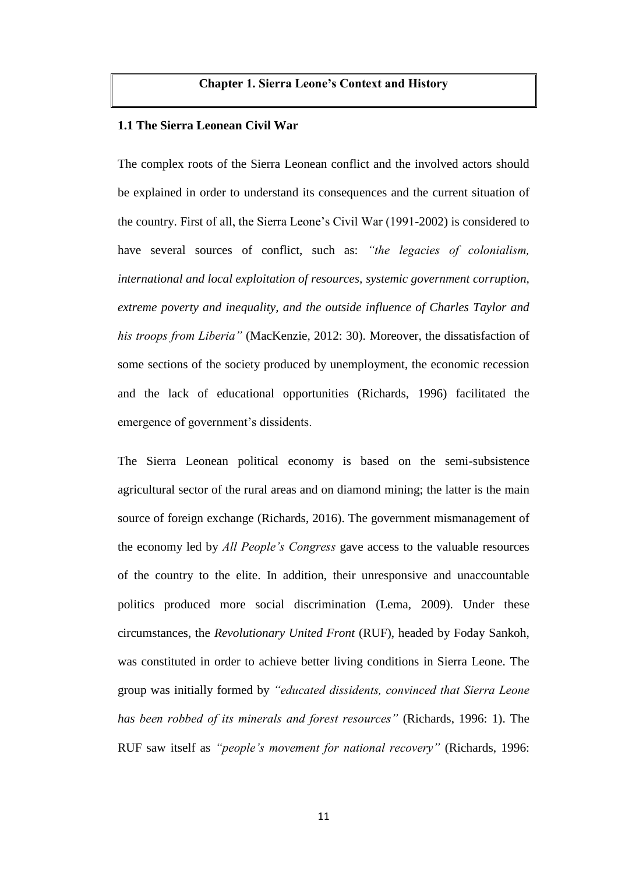## **Chapter 1. Sierra Leone's Context and History**

### **1.1 The Sierra Leonean Civil War**

The complex roots of the Sierra Leonean conflict and the involved actors should be explained in order to understand its consequences and the current situation of the country. First of all, the Sierra Leone's Civil War (1991-2002) is considered to have several sources of conflict, such as: *"the legacies of colonialism, international and local exploitation of resources, systemic government corruption, extreme poverty and inequality, and the outside influence of Charles Taylor and his troops from Liberia"* (MacKenzie, 2012: 30). Moreover, the dissatisfaction of some sections of the society produced by unemployment, the economic recession and the lack of educational opportunities (Richards, 1996) facilitated the emergence of government's dissidents.

The Sierra Leonean political economy is based on the semi-subsistence agricultural sector of the rural areas and on diamond mining; the latter is the main source of foreign exchange (Richards, 2016). The government mismanagement of the economy led by *All People's Congress* gave access to the valuable resources of the country to the elite. In addition, their unresponsive and unaccountable politics produced more social discrimination (Lema, 2009). Under these circumstances, the *Revolutionary United Front* (RUF), headed by Foday Sankoh, was constituted in order to achieve better living conditions in Sierra Leone. The group was initially formed by *"educated dissidents, convinced that Sierra Leone has been robbed of its minerals and forest resources"* (Richards, 1996: 1). The RUF saw itself as *"people's movement for national recovery"* (Richards, 1996: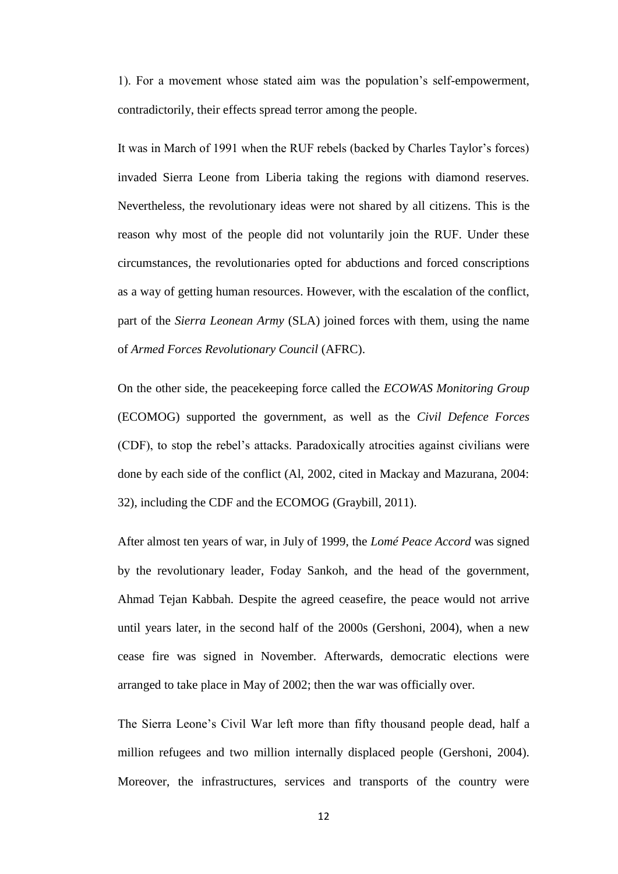1). For a movement whose stated aim was the population's self-empowerment, contradictorily, their effects spread terror among the people.

It was in March of 1991 when the RUF rebels (backed by Charles Taylor's forces) invaded Sierra Leone from Liberia taking the regions with diamond reserves. Nevertheless, the revolutionary ideas were not shared by all citizens. This is the reason why most of the people did not voluntarily join the RUF. Under these circumstances, the revolutionaries opted for abductions and forced conscriptions as a way of getting human resources. However, with the escalation of the conflict, part of the *Sierra Leonean Army* (SLA) joined forces with them, using the name of *Armed Forces Revolutionary Council* (AFRC).

On the other side, the peacekeeping force called the *ECOWAS Monitoring Group* (ECOMOG) supported the government, as well as the *Civil Defence Forces* (CDF), to stop the rebel's attacks. Paradoxically atrocities against civilians were done by each side of the conflict (Al, 2002, cited in Mackay and Mazurana, 2004: 32), including the CDF and the ECOMOG (Graybill, 2011).

After almost ten years of war, in July of 1999, the *Lomé Peace Accord* was signed by the revolutionary leader, Foday Sankoh, and the head of the government, Ahmad Tejan Kabbah. Despite the agreed ceasefire, the peace would not arrive until years later, in the second half of the 2000s (Gershoni, 2004), when a new cease fire was signed in November. Afterwards, democratic elections were arranged to take place in May of 2002; then the war was officially over.

The Sierra Leone's Civil War left more than fifty thousand people dead, half a million refugees and two million internally displaced people (Gershoni, 2004). Moreover, the infrastructures, services and transports of the country were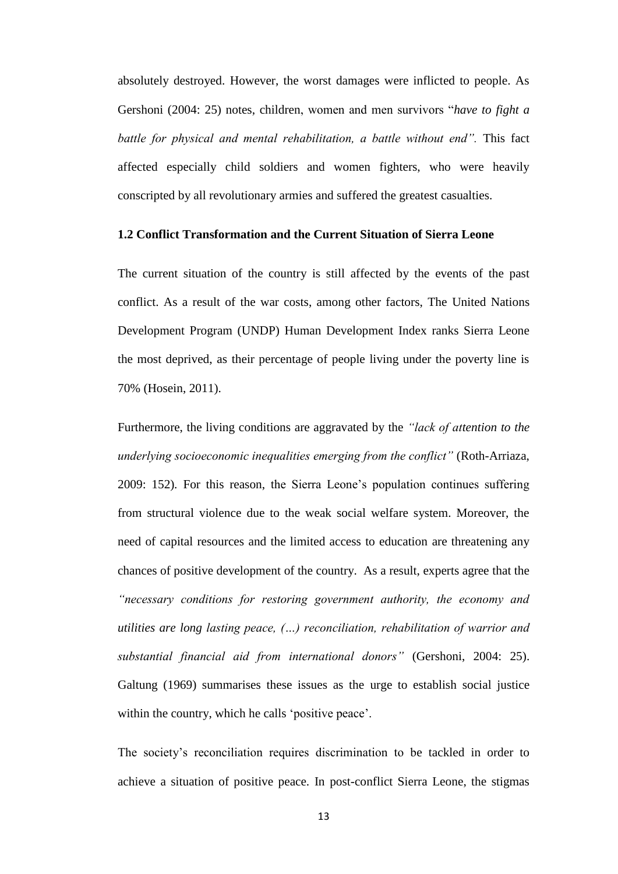absolutely destroyed. However, the worst damages were inflicted to people. As Gershoni (2004: 25) notes, children, women and men survivors "*have to fight a battle for physical and mental rehabilitation, a battle without end".* This fact affected especially child soldiers and women fighters, who were heavily conscripted by all revolutionary armies and suffered the greatest casualties.

## **1.2 Conflict Transformation and the Current Situation of Sierra Leone**

The current situation of the country is still affected by the events of the past conflict. As a result of the war costs, among other factors, The United Nations Development Program (UNDP) Human Development Index ranks Sierra Leone the most deprived, as their percentage of people living under the poverty line is 70% (Hosein, 2011).

Furthermore, the living conditions are aggravated by the *"lack of attention to the underlying socioeconomic inequalities emerging from the conflict"* (Roth-Arriaza, 2009: 152)*.* For this reason, the Sierra Leone's population continues suffering from structural violence due to the weak social welfare system. Moreover, the need of capital resources and the limited access to education are threatening any chances of positive development of the country. As a result, experts agree that the *"necessary conditions for restoring government authority, the economy and utilities are long lasting peace, (…) reconciliation, rehabilitation of warrior and substantial financial aid from international donors"* (Gershoni, 2004: 25). Galtung (1969) summarises these issues as the urge to establish social justice within the country, which he calls 'positive peace'.

The society's reconciliation requires discrimination to be tackled in order to achieve a situation of positive peace. In post-conflict Sierra Leone, the stigmas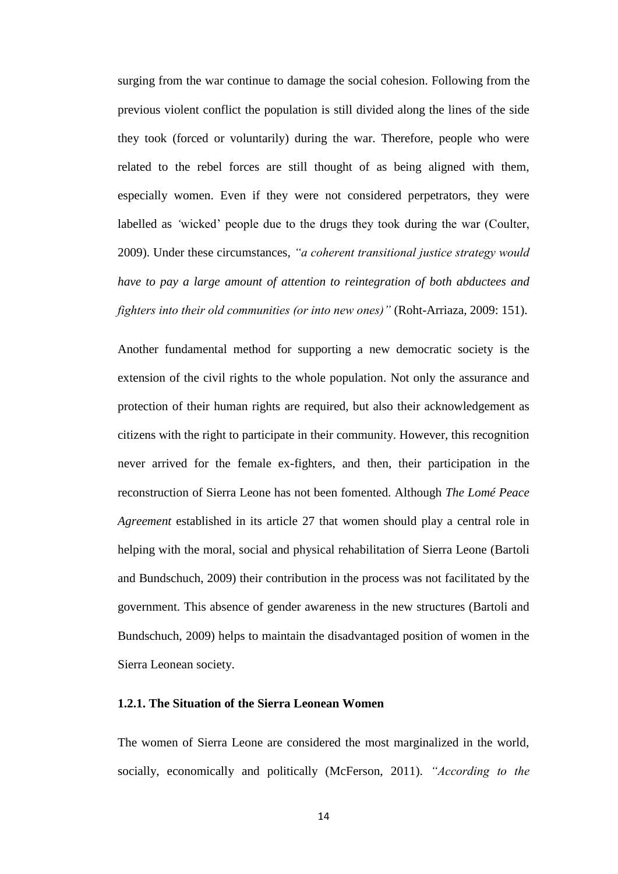surging from the war continue to damage the social cohesion. Following from the previous violent conflict the population is still divided along the lines of the side they took (forced or voluntarily) during the war. Therefore, people who were related to the rebel forces are still thought of as being aligned with them, especially women. Even if they were not considered perpetrators, they were labelled as *'*wicked' people due to the drugs they took during the war (Coulter, 2009). Under these circumstances, *"a coherent transitional justice strategy would have to pay a large amount of attention to reintegration of both abductees and fighters into their old communities (or into new ones)"* (Roht-Arriaza, 2009: 151).

Another fundamental method for supporting a new democratic society is the extension of the civil rights to the whole population. Not only the assurance and protection of their human rights are required, but also their acknowledgement as citizens with the right to participate in their community. However, this recognition never arrived for the female ex-fighters, and then, their participation in the reconstruction of Sierra Leone has not been fomented. Although *The Lomé Peace Agreement* established in its article 27 that women should play a central role in helping with the moral, social and physical rehabilitation of Sierra Leone (Bartoli and Bundschuch, 2009) their contribution in the process was not facilitated by the government. This absence of gender awareness in the new structures (Bartoli and Bundschuch, 2009) helps to maintain the disadvantaged position of women in the Sierra Leonean society.

## **1.2.1. The Situation of the Sierra Leonean Women**

The women of Sierra Leone are considered the most marginalized in the world, socially, economically and politically (McFerson, 2011). *"According to the*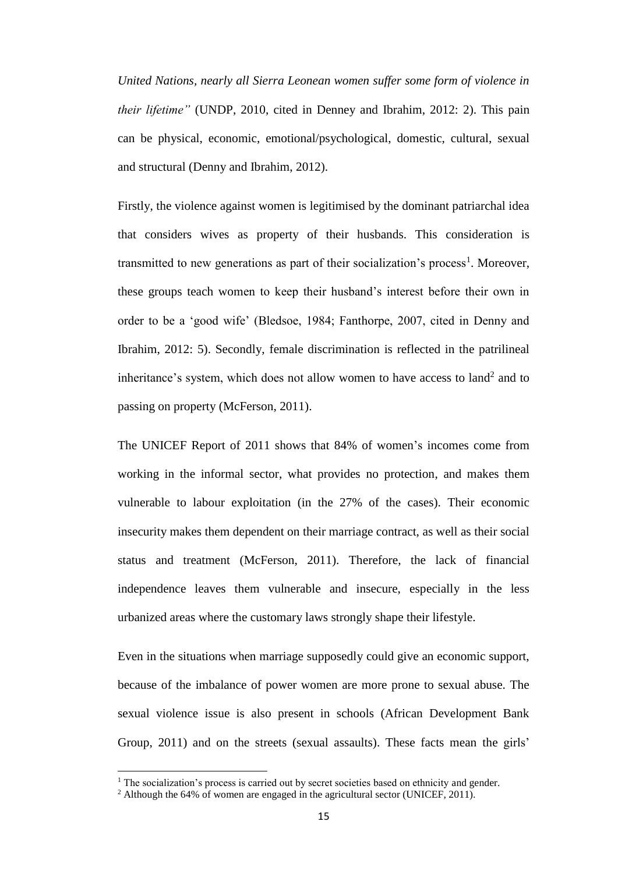*United Nations, nearly all Sierra Leonean women suffer some form of violence in their lifetime"* (UNDP, 2010, cited in Denney and Ibrahim, 2012: 2). This pain can be physical, economic, emotional/psychological, domestic, cultural, sexual and structural (Denny and Ibrahim, 2012).

Firstly, the violence against women is legitimised by the dominant patriarchal idea that considers wives as property of their husbands. This consideration is transmitted to new generations as part of their socialization's process<sup>1</sup>. Moreover, these groups teach women to keep their husband's interest before their own in order to be a 'good wife' (Bledsoe, 1984; Fanthorpe, 2007, cited in Denny and Ibrahim, 2012: 5). Secondly, female discrimination is reflected in the patrilineal inheritance's system, which does not allow women to have access to land<sup>2</sup> and to passing on property (McFerson, 2011).

The UNICEF Report of 2011 shows that 84% of women's incomes come from working in the informal sector, what provides no protection, and makes them vulnerable to labour exploitation (in the 27% of the cases). Their economic insecurity makes them dependent on their marriage contract, as well as their social status and treatment (McFerson, 2011). Therefore, the lack of financial independence leaves them vulnerable and insecure, especially in the less urbanized areas where the customary laws strongly shape their lifestyle.

Even in the situations when marriage supposedly could give an economic support, because of the imbalance of power women are more prone to sexual abuse. The sexual violence issue is also present in schools (African Development Bank Group, 2011) and on the streets (sexual assaults). These facts mean the girls'

 $\overline{\phantom{a}}$ 

<sup>&</sup>lt;sup>1</sup> The socialization's process is carried out by secret societies based on ethnicity and gender.

<sup>&</sup>lt;sup>2</sup> Although the 64% of women are engaged in the agricultural sector (UNICEF, 2011).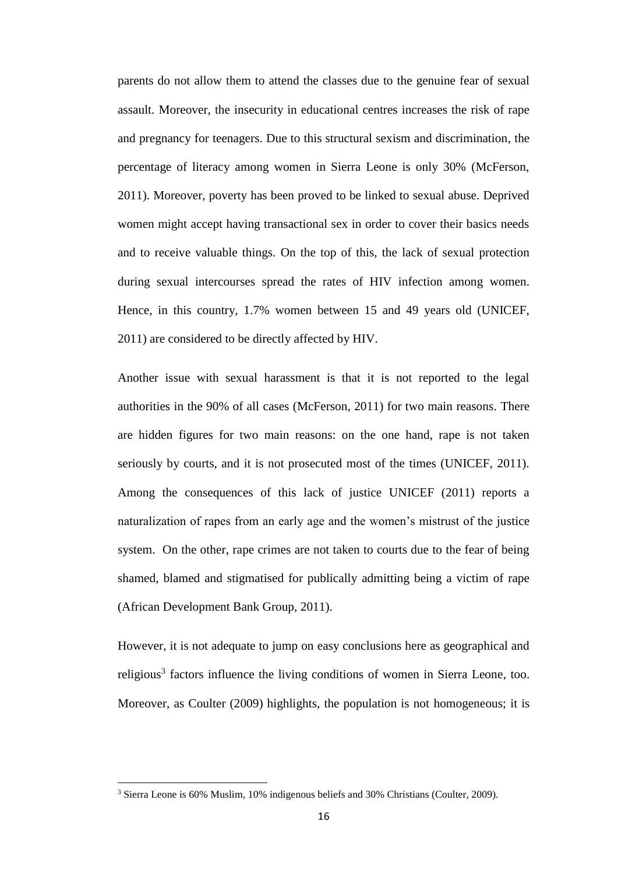parents do not allow them to attend the classes due to the genuine fear of sexual assault. Moreover, the insecurity in educational centres increases the risk of rape and pregnancy for teenagers. Due to this structural sexism and discrimination, the percentage of literacy among women in Sierra Leone is only 30% (McFerson, 2011). Moreover, poverty has been proved to be linked to sexual abuse. Deprived women might accept having transactional sex in order to cover their basics needs and to receive valuable things. On the top of this, the lack of sexual protection during sexual intercourses spread the rates of HIV infection among women. Hence, in this country, 1.7% women between 15 and 49 years old (UNICEF, 2011) are considered to be directly affected by HIV.

Another issue with sexual harassment is that it is not reported to the legal authorities in the 90% of all cases (McFerson, 2011) for two main reasons. There are hidden figures for two main reasons: on the one hand, rape is not taken seriously by courts, and it is not prosecuted most of the times (UNICEF, 2011). Among the consequences of this lack of justice UNICEF (2011) reports a naturalization of rapes from an early age and the women's mistrust of the justice system. On the other, rape crimes are not taken to courts due to the fear of being shamed, blamed and stigmatised for publically admitting being a victim of rape (African Development Bank Group, 2011).

However, it is not adequate to jump on easy conclusions here as geographical and religious<sup>3</sup> factors influence the living conditions of women in Sierra Leone, too. Moreover, as Coulter (2009) highlights, the population is not homogeneous; it is

 $\overline{\phantom{a}}$ 

<sup>&</sup>lt;sup>3</sup> Sierra Leone is 60% Muslim, 10% indigenous beliefs and 30% Christians (Coulter, 2009).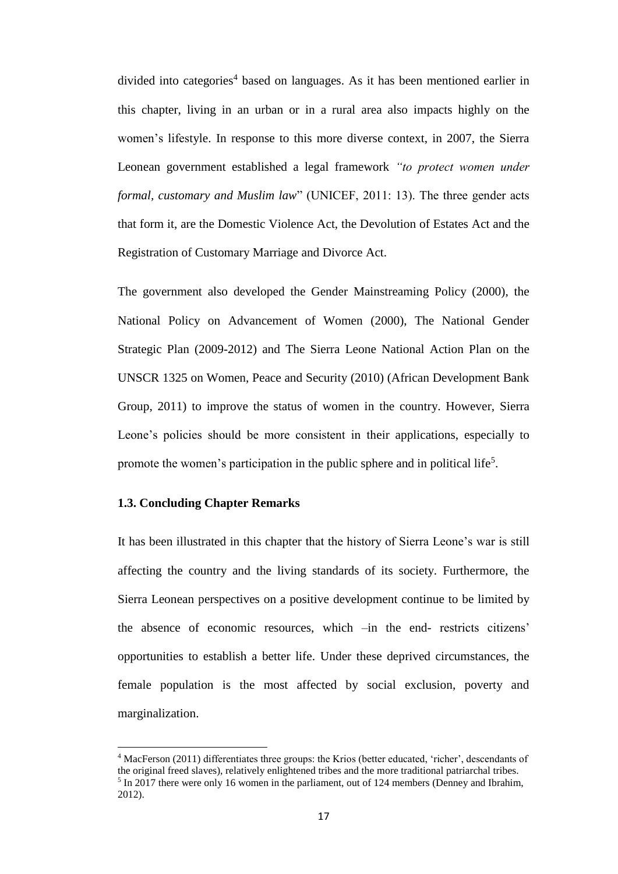divided into categories<sup>4</sup> based on languages. As it has been mentioned earlier in this chapter, living in an urban or in a rural area also impacts highly on the women's lifestyle. In response to this more diverse context, in 2007, the Sierra Leonean government established a legal framework *"to protect women under formal, customary and Muslim law*" (UNICEF, 2011: 13). The three gender acts that form it, are the Domestic Violence Act, the Devolution of Estates Act and the Registration of Customary Marriage and Divorce Act.

The government also developed the Gender Mainstreaming Policy (2000), the National Policy on Advancement of Women (2000), The National Gender Strategic Plan (2009-2012) and The Sierra Leone National Action Plan on the UNSCR 1325 on Women, Peace and Security (2010) (African Development Bank Group, 2011) to improve the status of women in the country. However, Sierra Leone's policies should be more consistent in their applications, especially to promote the women's participation in the public sphere and in political life<sup>5</sup>.

## **1.3. Concluding Chapter Remarks**

 $\overline{\phantom{a}}$ 

It has been illustrated in this chapter that the history of Sierra Leone's war is still affecting the country and the living standards of its society. Furthermore, the Sierra Leonean perspectives on a positive development continue to be limited by the absence of economic resources, which –in the end- restricts citizens' opportunities to establish a better life. Under these deprived circumstances, the female population is the most affected by social exclusion, poverty and marginalization.

<sup>4</sup> MacFerson (2011) differentiates three groups: the Krios (better educated, 'richer', descendants of the original freed slaves), relatively enlightened tribes and the more traditional patriarchal tribes. <sup>5</sup> In 2017 there were only 16 women in the parliament, out of 124 members (Denney and Ibrahim, 2012).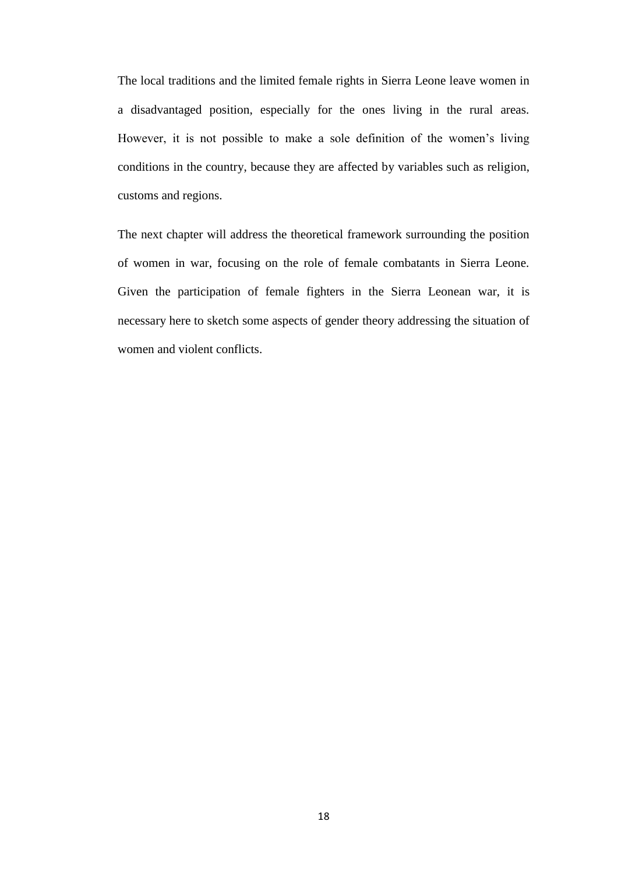The local traditions and the limited female rights in Sierra Leone leave women in a disadvantaged position, especially for the ones living in the rural areas. However, it is not possible to make a sole definition of the women's living conditions in the country, because they are affected by variables such as religion, customs and regions.

The next chapter will address the theoretical framework surrounding the position of women in war, focusing on the role of female combatants in Sierra Leone. Given the participation of female fighters in the Sierra Leonean war, it is necessary here to sketch some aspects of gender theory addressing the situation of women and violent conflicts.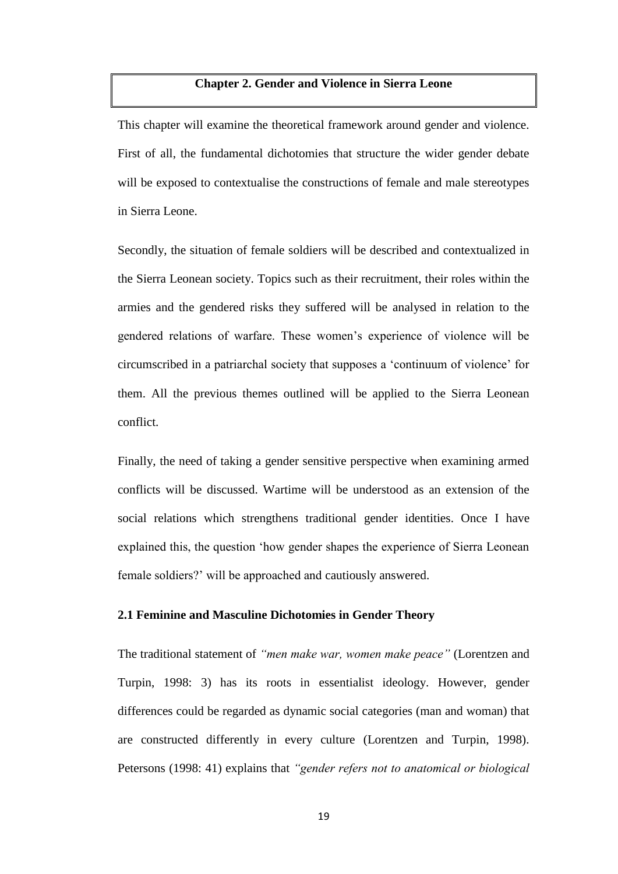## **Chapter 2. Gender and Violence in Sierra Leone**

This chapter will examine the theoretical framework around gender and violence. First of all, the fundamental dichotomies that structure the wider gender debate will be exposed to contextualise the constructions of female and male stereotypes in Sierra Leone.

Secondly, the situation of female soldiers will be described and contextualized in the Sierra Leonean society. Topics such as their recruitment, their roles within the armies and the gendered risks they suffered will be analysed in relation to the gendered relations of warfare. These women's experience of violence will be circumscribed in a patriarchal society that supposes a 'continuum of violence' for them. All the previous themes outlined will be applied to the Sierra Leonean conflict.

Finally, the need of taking a gender sensitive perspective when examining armed conflicts will be discussed. Wartime will be understood as an extension of the social relations which strengthens traditional gender identities. Once I have explained this, the question 'how gender shapes the experience of Sierra Leonean female soldiers?' will be approached and cautiously answered.

## **2.1 Feminine and Masculine Dichotomies in Gender Theory**

The traditional statement of *"men make war, women make peace"* (Lorentzen and Turpin, 1998: 3) has its roots in essentialist ideology. However, gender differences could be regarded as dynamic social categories (man and woman) that are constructed differently in every culture (Lorentzen and Turpin, 1998). Petersons (1998: 41) explains that *"gender refers not to anatomical or biological*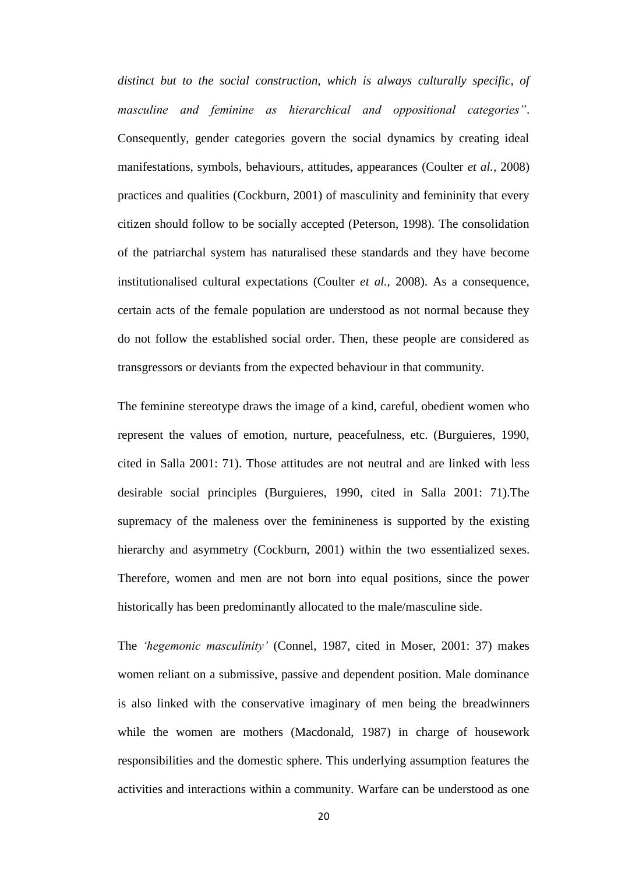*distinct but to the social construction, which is always culturally specific, of masculine and feminine as hierarchical and oppositional categories"*. Consequently, gender categories govern the social dynamics by creating ideal manifestations, symbols, behaviours, attitudes, appearances (Coulter *et al.,* 2008) practices and qualities (Cockburn, 2001) of masculinity and femininity that every citizen should follow to be socially accepted (Peterson, 1998). The consolidation of the patriarchal system has naturalised these standards and they have become institutionalised cultural expectations (Coulter *et al.,* 2008). As a consequence, certain acts of the female population are understood as not normal because they do not follow the established social order. Then, these people are considered as transgressors or deviants from the expected behaviour in that community.

The feminine stereotype draws the image of a kind, careful, obedient women who represent the values of emotion, nurture, peacefulness, etc. (Burguieres, 1990, cited in Salla 2001: 71). Those attitudes are not neutral and are linked with less desirable social principles (Burguieres, 1990, cited in Salla 2001: 71).The supremacy of the maleness over the feminineness is supported by the existing hierarchy and asymmetry (Cockburn, 2001) within the two essentialized sexes. Therefore, women and men are not born into equal positions, since the power historically has been predominantly allocated to the male/masculine side.

The *'hegemonic masculinity'* (Connel, 1987, cited in Moser, 2001: 37) makes women reliant on a submissive, passive and dependent position. Male dominance is also linked with the conservative imaginary of men being the breadwinners while the women are mothers (Macdonald, 1987) in charge of housework responsibilities and the domestic sphere. This underlying assumption features the activities and interactions within a community. Warfare can be understood as one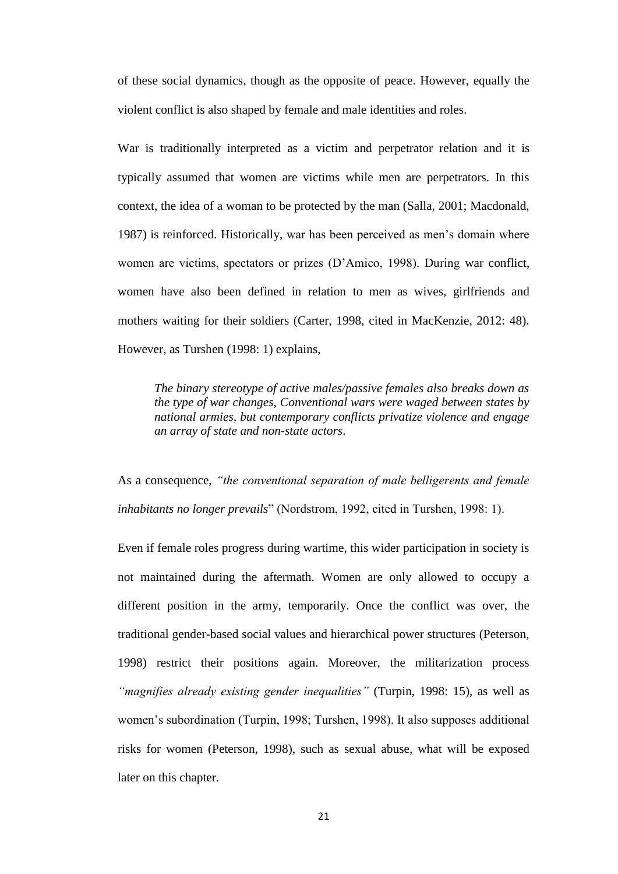of these social dynamics, though as the opposite of peace. However, equally the violent conflict is also shaped by female and male identities and roles.

War is traditionally interpreted as a victim and perpetrator relation and it is typically assumed that women are victims while men are perpetrators. In this context, the idea of a woman to be protected by the man (Salla, 2001; Macdonald, 1987) is reinforced. Historically, war has been perceived as men's domain where women are victims, spectators or prizes (D'Amico, 1998). During war conflict, women have also been defined in relation to men as wives, girlfriends and mothers waiting for their soldiers (Carter, 1998, cited in MacKenzie, 2012: 48). However, as Turshen (1998: 1) explains,

*The binary stereotype of active males/passive females also breaks down as the type of war changes, Conventional wars were waged between states by national armies, but contemporary conflicts privatize violence and engage an array of state and non-state actors*.

As a consequence, *"the conventional separation of male belligerents and female inhabitants no longer prevails*" (Nordstrom, 1992, cited in Turshen, 1998: 1).

Even if female roles progress during wartime, this wider participation in society is not maintained during the aftermath. Women are only allowed to occupy a different position in the army, temporarily. Once the conflict was over, the traditional gender-based social values and hierarchical power structures (Peterson, 1998) restrict their positions again. Moreover, the militarization process *"magnifies already existing gender inequalities"* (Turpin, 1998: 15), as well as women's subordination (Turpin, 1998; Turshen, 1998). It also supposes additional risks for women (Peterson, 1998), such as sexual abuse, what will be exposed later on this chapter.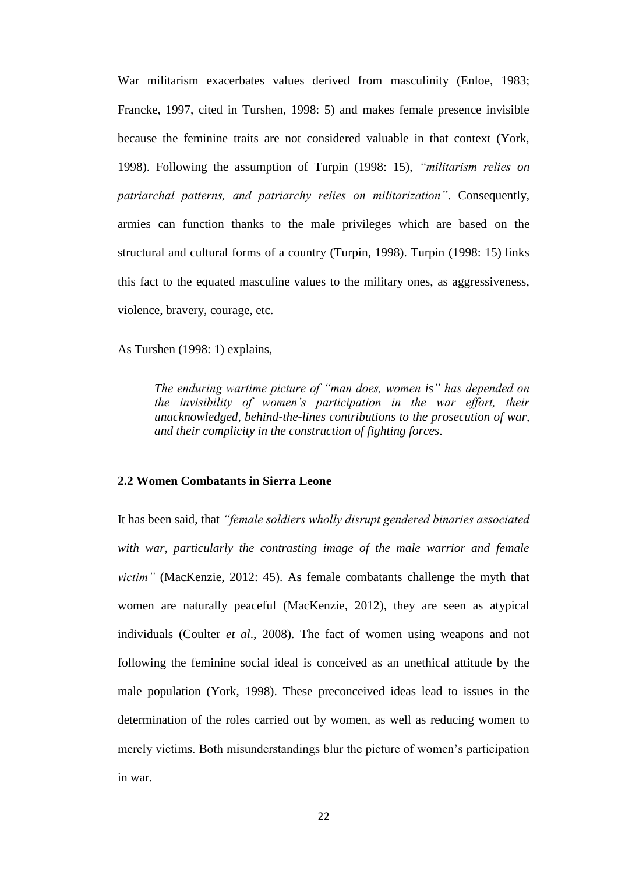War militarism exacerbates values derived from masculinity (Enloe, 1983; Francke, 1997, cited in Turshen, 1998: 5) and makes female presence invisible because the feminine traits are not considered valuable in that context (York, 1998). Following the assumption of Turpin (1998: 15), *"militarism relies on patriarchal patterns, and patriarchy relies on militarization"*. Consequently, armies can function thanks to the male privileges which are based on the structural and cultural forms of a country (Turpin, 1998). Turpin (1998: 15) links this fact to the equated masculine values to the military ones, as aggressiveness, violence, bravery, courage, etc.

As Turshen (1998: 1) explains,

*The enduring wartime picture of "man does, women is" has depended on the invisibility of women's participation in the war effort, their unacknowledged, behind-the-lines contributions to the prosecution of war, and their complicity in the construction of fighting forces*.

## **2.2 Women Combatants in Sierra Leone**

It has been said, that *"female soldiers wholly disrupt gendered binaries associated with war, particularly the contrasting image of the male warrior and female victim"* (MacKenzie, 2012: 45). As female combatants challenge the myth that women are naturally peaceful (MacKenzie, 2012), they are seen as atypical individuals (Coulter *et al*., 2008). The fact of women using weapons and not following the feminine social ideal is conceived as an unethical attitude by the male population (York, 1998). These preconceived ideas lead to issues in the determination of the roles carried out by women, as well as reducing women to merely victims. Both misunderstandings blur the picture of women's participation in war.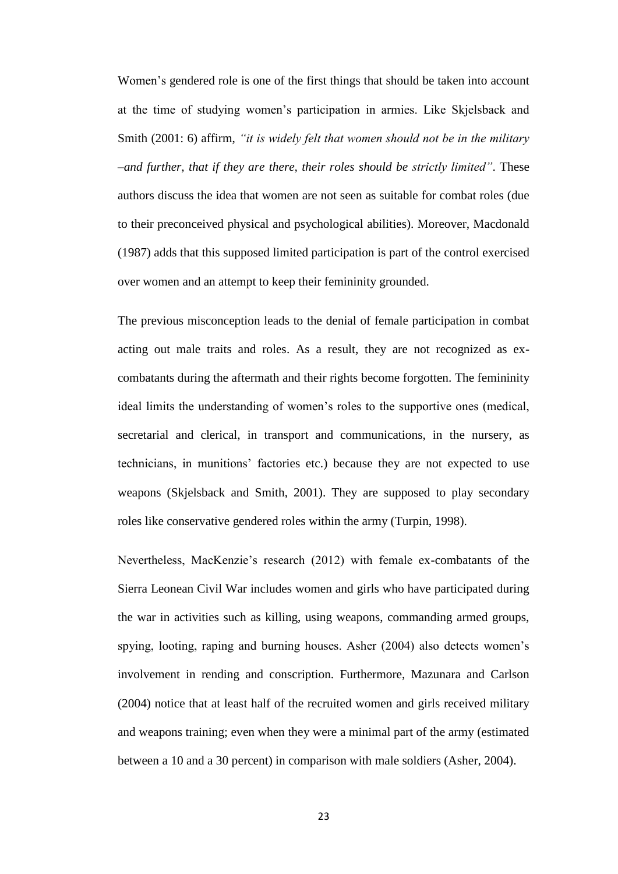Women's gendered role is one of the first things that should be taken into account at the time of studying women's participation in armies. Like Skjelsback and Smith (2001: 6) affirm, *"it is widely felt that women should not be in the military –and further, that if they are there, their roles should be strictly limited"*. These authors discuss the idea that women are not seen as suitable for combat roles (due to their preconceived physical and psychological abilities). Moreover, Macdonald (1987) adds that this supposed limited participation is part of the control exercised over women and an attempt to keep their femininity grounded.

The previous misconception leads to the denial of female participation in combat acting out male traits and roles. As a result, they are not recognized as excombatants during the aftermath and their rights become forgotten. The femininity ideal limits the understanding of women's roles to the supportive ones (medical, secretarial and clerical, in transport and communications, in the nursery, as technicians, in munitions' factories etc.) because they are not expected to use weapons (Skjelsback and Smith, 2001). They are supposed to play secondary roles like conservative gendered roles within the army (Turpin, 1998).

Nevertheless, MacKenzie's research (2012) with female ex-combatants of the Sierra Leonean Civil War includes women and girls who have participated during the war in activities such as killing, using weapons, commanding armed groups, spying, looting, raping and burning houses. Asher (2004) also detects women's involvement in rending and conscription. Furthermore, Mazunara and Carlson (2004) notice that at least half of the recruited women and girls received military and weapons training; even when they were a minimal part of the army (estimated between a 10 and a 30 percent) in comparison with male soldiers (Asher, 2004).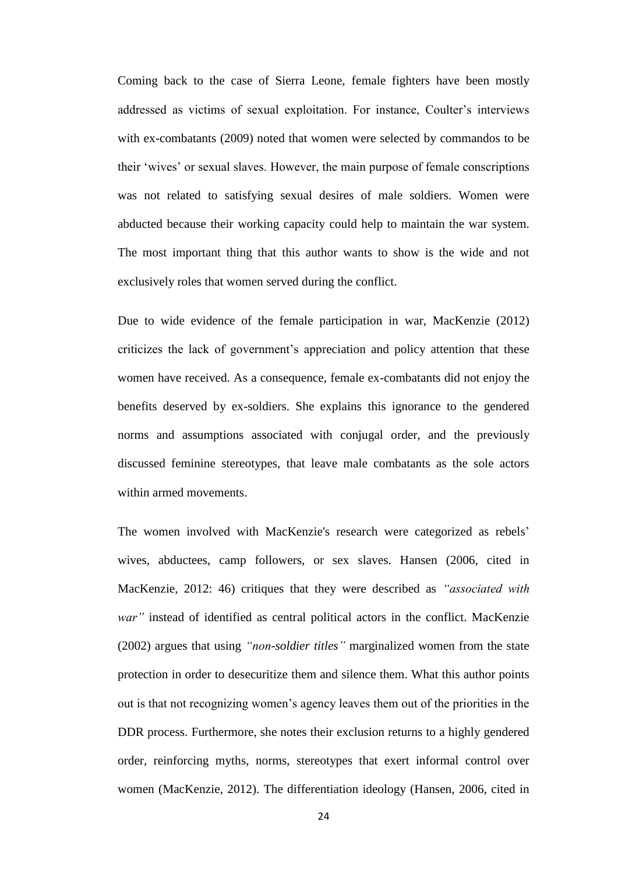Coming back to the case of Sierra Leone, female fighters have been mostly addressed as victims of sexual exploitation. For instance, Coulter's interviews with ex-combatants (2009) noted that women were selected by commandos to be their 'wives' or sexual slaves. However, the main purpose of female conscriptions was not related to satisfying sexual desires of male soldiers. Women were abducted because their working capacity could help to maintain the war system. The most important thing that this author wants to show is the wide and not exclusively roles that women served during the conflict.

Due to wide evidence of the female participation in war, MacKenzie (2012) criticizes the lack of government's appreciation and policy attention that these women have received. As a consequence, female ex-combatants did not enjoy the benefits deserved by ex-soldiers. She explains this ignorance to the gendered norms and assumptions associated with conjugal order, and the previously discussed feminine stereotypes, that leave male combatants as the sole actors within armed movements.

The women involved with MacKenzie's research were categorized as rebels' wives, abductees, camp followers, or sex slaves. Hansen (2006, cited in MacKenzie, 2012: 46) critiques that they were described as *"associated with war"* instead of identified as central political actors in the conflict. MacKenzie (2002) argues that using *"non-soldier titles"* marginalized women from the state protection in order to desecuritize them and silence them. What this author points out is that not recognizing women's agency leaves them out of the priorities in the DDR process. Furthermore, she notes their exclusion returns to a highly gendered order, reinforcing myths, norms, stereotypes that exert informal control over women (MacKenzie, 2012). The differentiation ideology (Hansen, 2006, cited in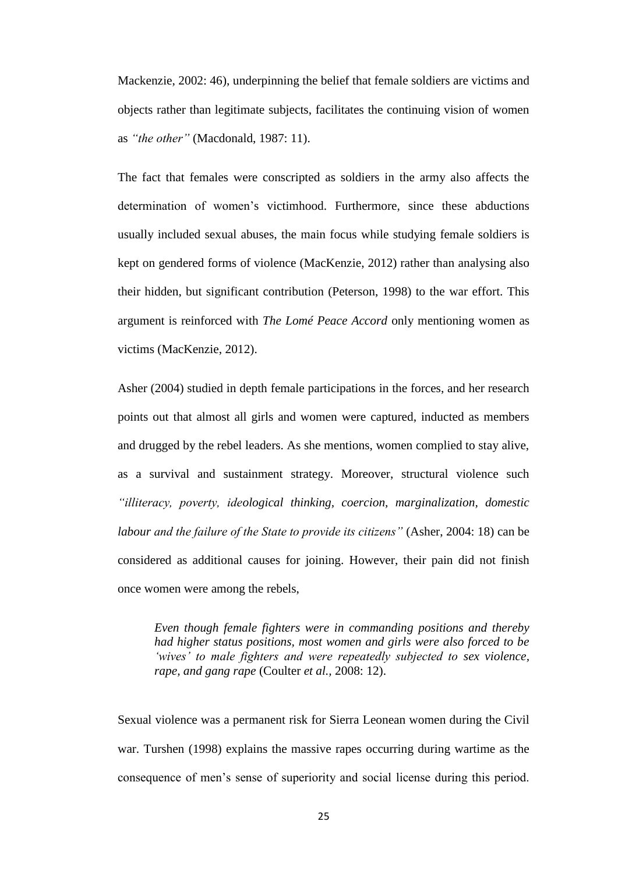Mackenzie, 2002: 46), underpinning the belief that female soldiers are victims and objects rather than legitimate subjects, facilitates the continuing vision of women as *"the other"* (Macdonald, 1987: 11).

The fact that females were conscripted as soldiers in the army also affects the determination of women's victimhood. Furthermore, since these abductions usually included sexual abuses, the main focus while studying female soldiers is kept on gendered forms of violence (MacKenzie, 2012) rather than analysing also their hidden, but significant contribution (Peterson, 1998) to the war effort. This argument is reinforced with *The Lomé Peace Accord* only mentioning women as victims (MacKenzie, 2012).

Asher (2004) studied in depth female participations in the forces, and her research points out that almost all girls and women were captured, inducted as members and drugged by the rebel leaders. As she mentions, women complied to stay alive, as a survival and sustainment strategy. Moreover, structural violence such *"illiteracy, poverty, ideological thinking, coercion, marginalization, domestic labour and the failure of the State to provide its citizens"* (Asher, 2004: 18) can be considered as additional causes for joining. However, their pain did not finish once women were among the rebels,

*Even though female fighters were in commanding positions and thereby had higher status positions, most women and girls were also forced to be 'wives' to male fighters and were repeatedly subjected to sex violence, rape, and gang rape* (Coulter *et al.,* 2008: 12).

Sexual violence was a permanent risk for Sierra Leonean women during the Civil war. Turshen (1998) explains the massive rapes occurring during wartime as the consequence of men's sense of superiority and social license during this period.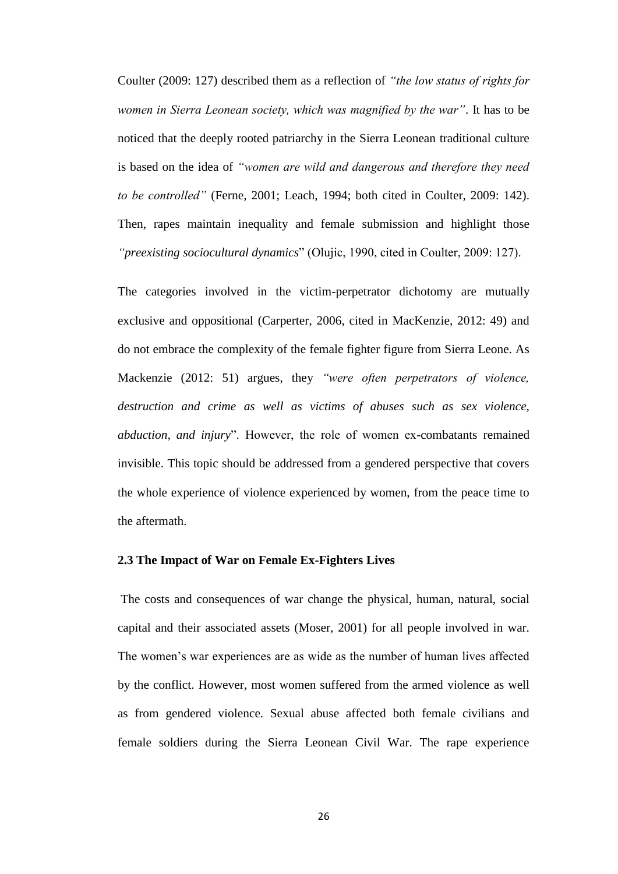Coulter (2009: 127) described them as a reflection of *"the low status of rights for women in Sierra Leonean society, which was magnified by the war"*. It has to be noticed that the deeply rooted patriarchy in the Sierra Leonean traditional culture is based on the idea of *"women are wild and dangerous and therefore they need to be controlled"* (Ferne, 2001; Leach, 1994; both cited in Coulter, 2009: 142). Then, rapes maintain inequality and female submission and highlight those *"preexisting sociocultural dynamics*" (Olujic, 1990, cited in Coulter, 2009: 127).

The categories involved in the victim-perpetrator dichotomy are mutually exclusive and oppositional (Carperter, 2006, cited in MacKenzie, 2012: 49) and do not embrace the complexity of the female fighter figure from Sierra Leone. As Mackenzie (2012: 51) argues, they *"were often perpetrators of violence, destruction and crime as well as victims of abuses such as sex violence, abduction, and injury*". However, the role of women ex-combatants remained invisible. This topic should be addressed from a gendered perspective that covers the whole experience of violence experienced by women, from the peace time to the aftermath.

## **2.3 The Impact of War on Female Ex-Fighters Lives**

The costs and consequences of war change the physical, human, natural, social capital and their associated assets (Moser, 2001) for all people involved in war. The women's war experiences are as wide as the number of human lives affected by the conflict. However, most women suffered from the armed violence as well as from gendered violence. Sexual abuse affected both female civilians and female soldiers during the Sierra Leonean Civil War. The rape experience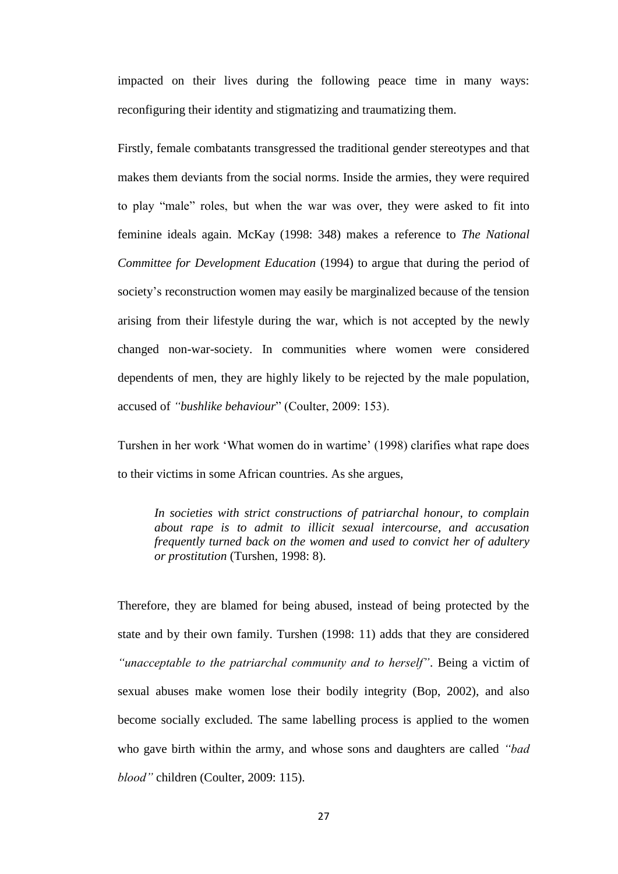impacted on their lives during the following peace time in many ways: reconfiguring their identity and stigmatizing and traumatizing them.

Firstly, female combatants transgressed the traditional gender stereotypes and that makes them deviants from the social norms. Inside the armies, they were required to play "male" roles, but when the war was over, they were asked to fit into feminine ideals again. McKay (1998: 348) makes a reference to *The National Committee for Development Education* (1994) to argue that during the period of society's reconstruction women may easily be marginalized because of the tension arising from their lifestyle during the war, which is not accepted by the newly changed non-war-society. In communities where women were considered dependents of men, they are highly likely to be rejected by the male population, accused of *"bushlike behaviour*" (Coulter, 2009: 153).

Turshen in her work 'What women do in wartime' (1998) clarifies what rape does to their victims in some African countries. As she argues,

*In societies with strict constructions of patriarchal honour, to complain about rape is to admit to illicit sexual intercourse, and accusation frequently turned back on the women and used to convict her of adultery or prostitution* (Turshen, 1998: 8).

Therefore, they are blamed for being abused, instead of being protected by the state and by their own family. Turshen (1998: 11) adds that they are considered *"unacceptable to the patriarchal community and to herself"*. Being a victim of sexual abuses make women lose their bodily integrity (Bop, 2002), and also become socially excluded. The same labelling process is applied to the women who gave birth within the army, and whose sons and daughters are called *"bad blood"* children (Coulter, 2009: 115).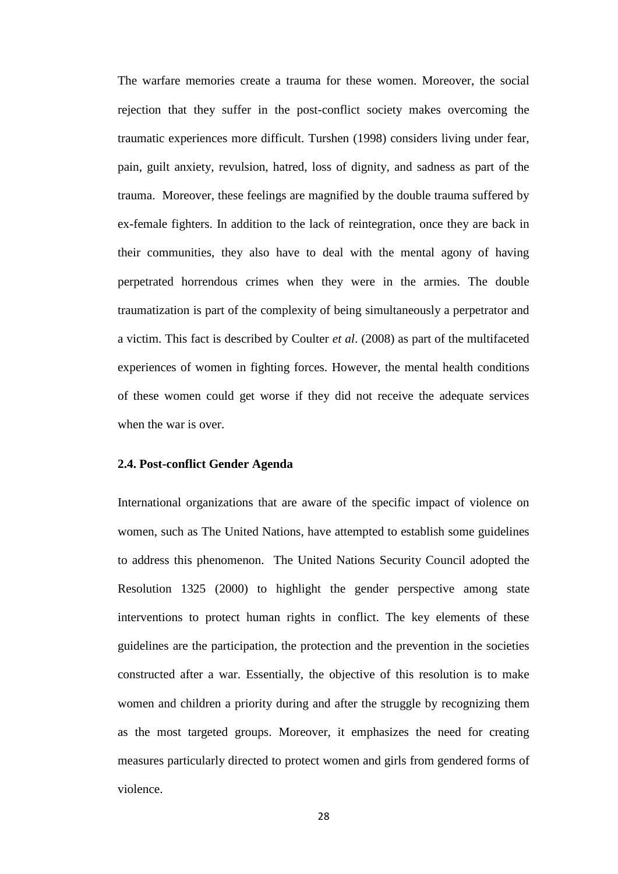The warfare memories create a trauma for these women. Moreover, the social rejection that they suffer in the post-conflict society makes overcoming the traumatic experiences more difficult. Turshen (1998) considers living under fear, pain, guilt anxiety, revulsion, hatred, loss of dignity, and sadness as part of the trauma. Moreover, these feelings are magnified by the double trauma suffered by ex-female fighters. In addition to the lack of reintegration, once they are back in their communities, they also have to deal with the mental agony of having perpetrated horrendous crimes when they were in the armies. The double traumatization is part of the complexity of being simultaneously a perpetrator and a victim. This fact is described by Coulter *et al*. (2008) as part of the multifaceted experiences of women in fighting forces. However, the mental health conditions of these women could get worse if they did not receive the adequate services when the war is over.

### **2.4. Post-conflict Gender Agenda**

International organizations that are aware of the specific impact of violence on women, such as The United Nations, have attempted to establish some guidelines to address this phenomenon. The United Nations Security Council adopted the Resolution 1325 (2000) to highlight the gender perspective among state interventions to protect human rights in conflict. The key elements of these guidelines are the participation, the protection and the prevention in the societies constructed after a war. Essentially, the objective of this resolution is to make women and children a priority during and after the struggle by recognizing them as the most targeted groups. Moreover, it emphasizes the need for creating measures particularly directed to protect women and girls from gendered forms of violence.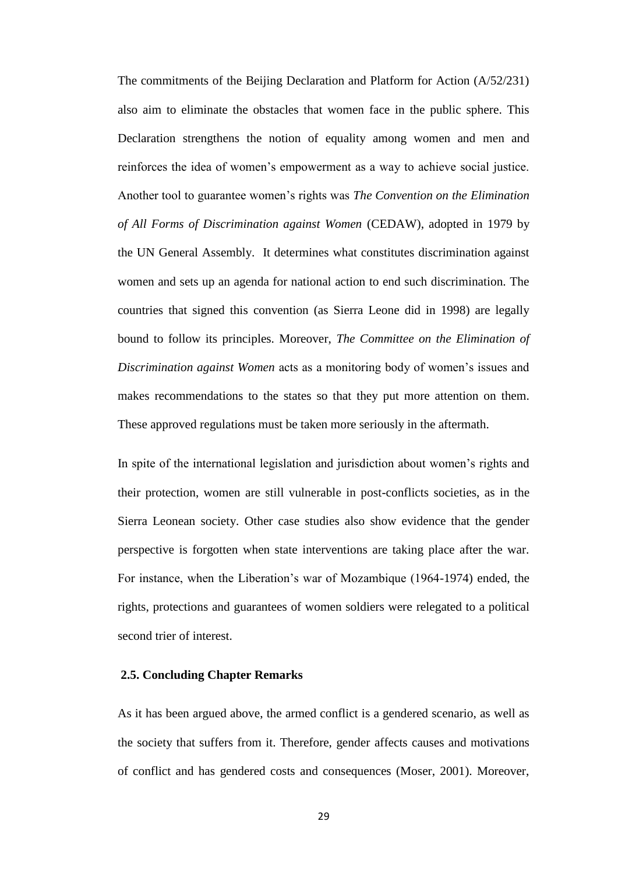The commitments of the Beijing Declaration and Platform for Action (A/52/231) also aim to eliminate the obstacles that women face in the public sphere. This Declaration strengthens the notion of equality among women and men and reinforces the idea of women's empowerment as a way to achieve social justice. Another tool to guarantee women's rights was *The Convention on the Elimination of All Forms of Discrimination against Women* (CEDAW), adopted in 1979 by the UN General Assembly. It determines what constitutes discrimination against women and sets up an agenda for national action to end such discrimination. The countries that signed this convention (as Sierra Leone did in 1998) are legally bound to follow its principles. Moreover, *The Committee on the Elimination of Discrimination against Women* acts as a monitoring body of women's issues and makes recommendations to the states so that they put more attention on them. These approved regulations must be taken more seriously in the aftermath.

In spite of the international legislation and jurisdiction about women's rights and their protection, women are still vulnerable in post-conflicts societies, as in the Sierra Leonean society. Other case studies also show evidence that the gender perspective is forgotten when state interventions are taking place after the war. For instance, when the Liberation's war of Mozambique (1964-1974) ended, the rights, protections and guarantees of women soldiers were relegated to a political second trier of interest.

## **2.5. Concluding Chapter Remarks**

As it has been argued above, the armed conflict is a gendered scenario, as well as the society that suffers from it. Therefore, gender affects causes and motivations of conflict and has gendered costs and consequences (Moser, 2001). Moreover,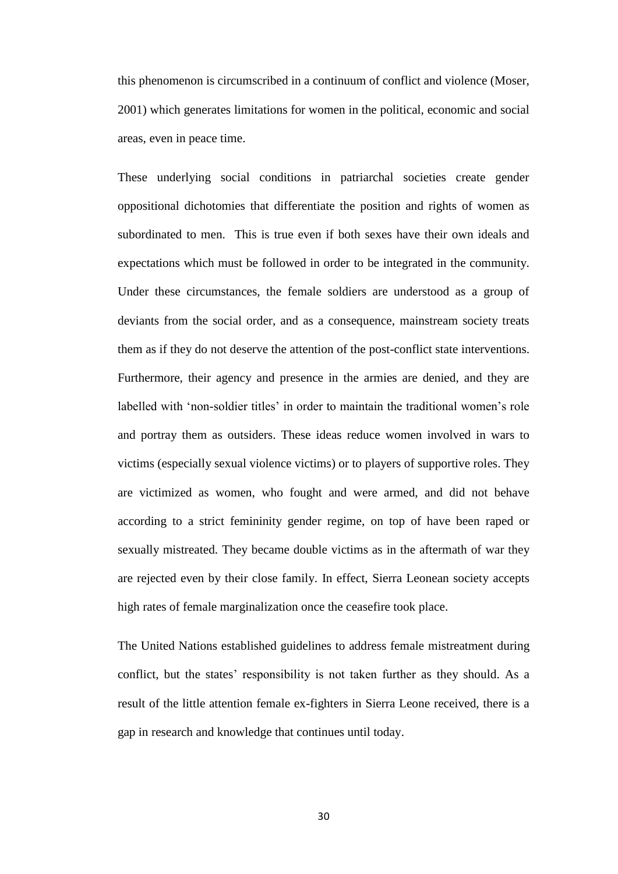this phenomenon is circumscribed in a continuum of conflict and violence (Moser, 2001) which generates limitations for women in the political, economic and social areas, even in peace time.

These underlying social conditions in patriarchal societies create gender oppositional dichotomies that differentiate the position and rights of women as subordinated to men. This is true even if both sexes have their own ideals and expectations which must be followed in order to be integrated in the community. Under these circumstances, the female soldiers are understood as a group of deviants from the social order, and as a consequence, mainstream society treats them as if they do not deserve the attention of the post-conflict state interventions. Furthermore, their agency and presence in the armies are denied, and they are labelled with 'non-soldier titles' in order to maintain the traditional women's role and portray them as outsiders. These ideas reduce women involved in wars to victims (especially sexual violence victims) or to players of supportive roles. They are victimized as women, who fought and were armed, and did not behave according to a strict femininity gender regime, on top of have been raped or sexually mistreated. They became double victims as in the aftermath of war they are rejected even by their close family. In effect, Sierra Leonean society accepts high rates of female marginalization once the ceasefire took place.

The United Nations established guidelines to address female mistreatment during conflict, but the states' responsibility is not taken further as they should. As a result of the little attention female ex-fighters in Sierra Leone received, there is a gap in research and knowledge that continues until today.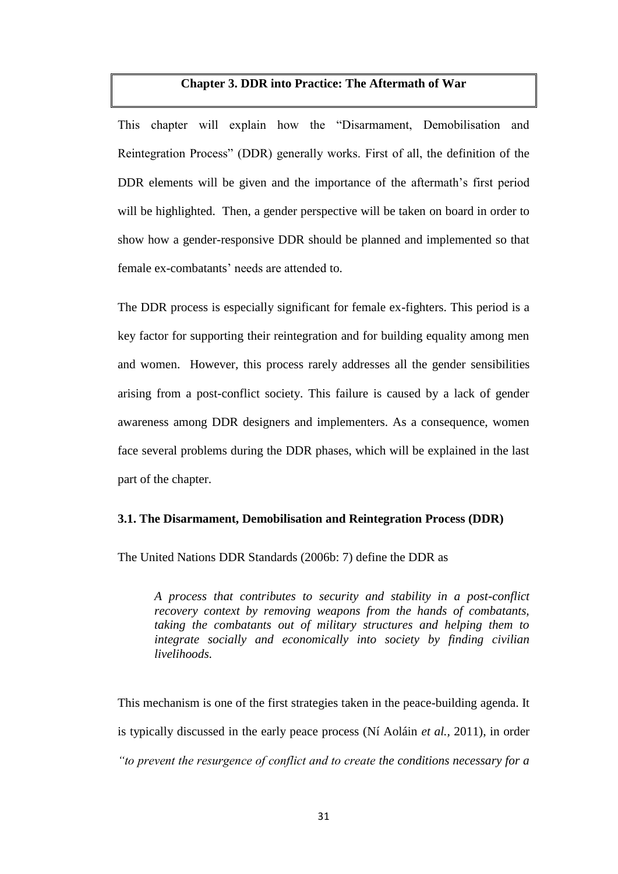## **Chapter 3. DDR into Practice: The Aftermath of War**

This chapter will explain how the "Disarmament, Demobilisation and Reintegration Process" (DDR) generally works. First of all, the definition of the DDR elements will be given and the importance of the aftermath's first period will be highlighted. Then, a gender perspective will be taken on board in order to show how a gender-responsive DDR should be planned and implemented so that female ex-combatants' needs are attended to.

The DDR process is especially significant for female ex-fighters. This period is a key factor for supporting their reintegration and for building equality among men and women. However, this process rarely addresses all the gender sensibilities arising from a post-conflict society. This failure is caused by a lack of gender awareness among DDR designers and implementers. As a consequence, women face several problems during the DDR phases, which will be explained in the last part of the chapter.

## **3.1. The Disarmament, Demobilisation and Reintegration Process (DDR)**

The United Nations DDR Standards (2006b: 7) define the DDR as

*A process that contributes to security and stability in a post-conflict recovery context by removing weapons from the hands of combatants, taking the combatants out of military structures and helping them to integrate socially and economically into society by finding civilian livelihoods.*

This mechanism is one of the first strategies taken in the peace-building agenda. It is typically discussed in the early peace process (Ní Aoláin *et al.,* 2011), in order *"to prevent the resurgence of conflict and to create the conditions necessary for a*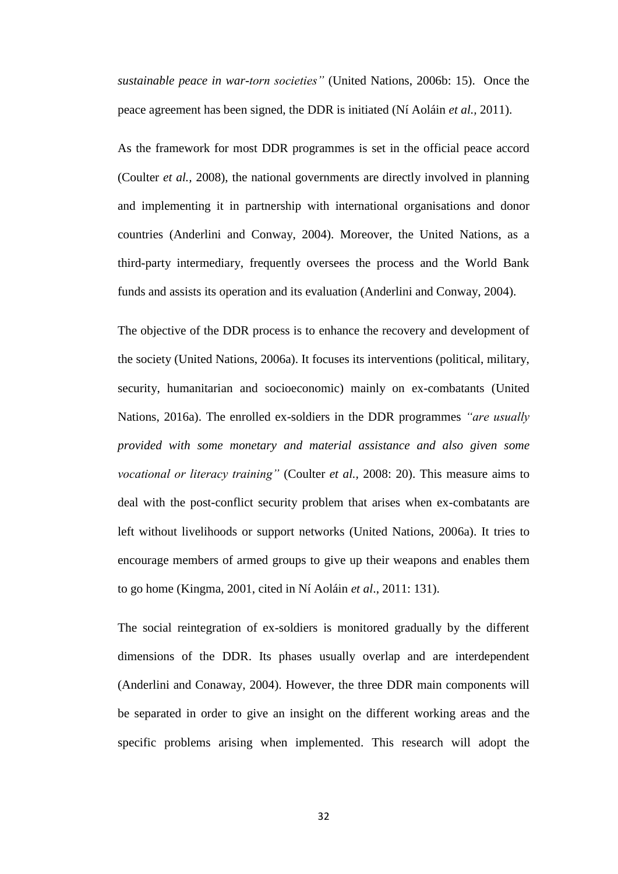*sustainable peace in war-torn societies"* (United Nations, 2006b: 15). Once the peace agreement has been signed, the DDR is initiated (Ní Aoláin *et al.,* 2011).

As the framework for most DDR programmes is set in the official peace accord (Coulter *et al.,* 2008), the national governments are directly involved in planning and implementing it in partnership with international organisations and donor countries (Anderlini and Conway, 2004). Moreover, the United Nations, as a third-party intermediary, frequently oversees the process and the World Bank funds and assists its operation and its evaluation (Anderlini and Conway, 2004).

The objective of the DDR process is to enhance the recovery and development of the society (United Nations, 2006a). It focuses its interventions (political, military, security, humanitarian and socioeconomic) mainly on ex-combatants (United Nations, 2016a). The enrolled ex-soldiers in the DDR programmes *"are usually provided with some monetary and material assistance and also given some vocational or literacy training"* (Coulter *et al.,* 2008: 20). This measure aims to deal with the post-conflict security problem that arises when ex-combatants are left without livelihoods or support networks (United Nations, 2006a). It tries to encourage members of armed groups to give up their weapons and enables them to go home (Kingma, 2001, cited in Ní Aoláin *et al*., 2011: 131).

The social reintegration of ex-soldiers is monitored gradually by the different dimensions of the DDR. Its phases usually overlap and are interdependent (Anderlini and Conaway, 2004). However, the three DDR main components will be separated in order to give an insight on the different working areas and the specific problems arising when implemented. This research will adopt the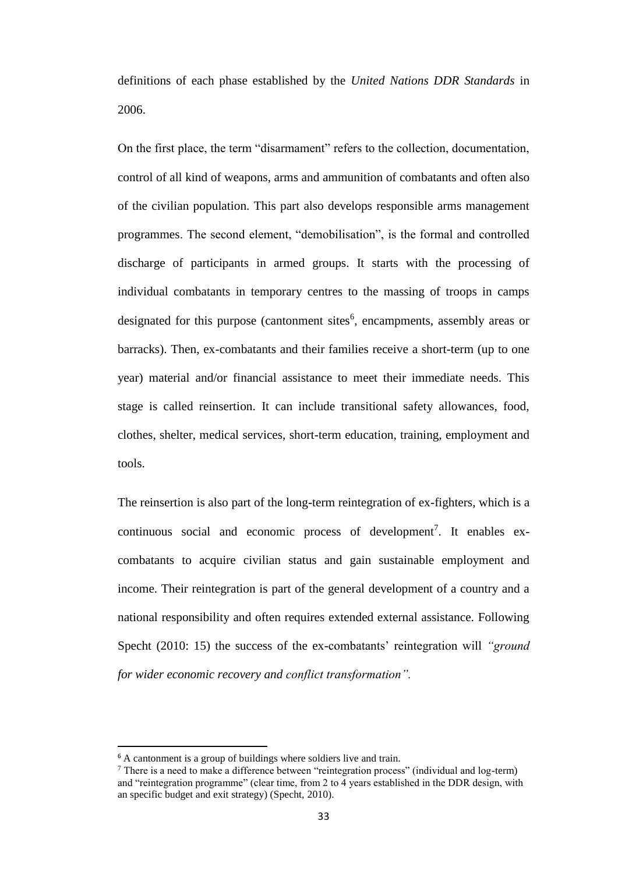definitions of each phase established by the *United Nations DDR Standards* in 2006.

On the first place, the term "disarmament" refers to the collection, documentation, control of all kind of weapons, arms and ammunition of combatants and often also of the civilian population. This part also develops responsible arms management programmes. The second element, "demobilisation", is the formal and controlled discharge of participants in armed groups. It starts with the processing of individual combatants in temporary centres to the massing of troops in camps designated for this purpose (cantonment sites<sup>6</sup>, encampments, assembly areas or barracks). Then, ex-combatants and their families receive a short-term (up to one year) material and/or financial assistance to meet their immediate needs. This stage is called reinsertion. It can include transitional safety allowances, food, clothes, shelter, medical services, short-term education, training, employment and tools.

The reinsertion is also part of the long-term reintegration of ex-fighters, which is a continuous social and economic process of development<sup>7</sup>. It enables excombatants to acquire civilian status and gain sustainable employment and income. Their reintegration is part of the general development of a country and a national responsibility and often requires extended external assistance. Following Specht (2010: 15) the success of the ex-combatants' reintegration will *"ground for wider economic recovery and conflict transformation".*

 $\overline{\phantom{a}}$ 

<sup>&</sup>lt;sup>6</sup> A cantonment is a group of buildings where soldiers live and train.

<sup>7</sup> There is a need to make a difference between "reintegration process" (individual and log-term) and "reintegration programme" (clear time, from 2 to 4 years established in the DDR design, with an specific budget and exit strategy) (Specht, 2010).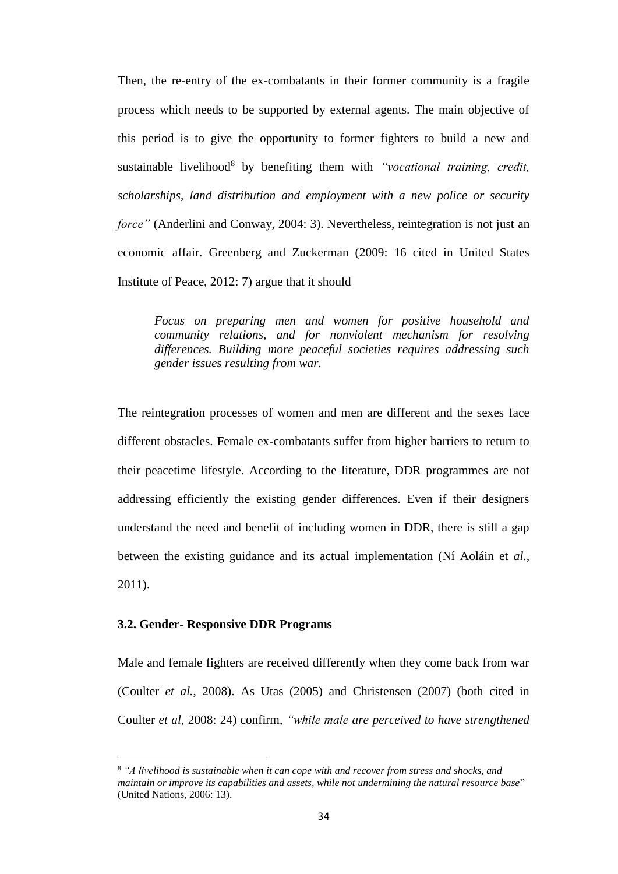Then, the re-entry of the ex-combatants in their former community is a fragile process which needs to be supported by external agents. The main objective of this period is to give the opportunity to former fighters to build a new and sustainable livelihood 8 by benefiting them with *"vocational training, credit, scholarships, land distribution and employment with a new police or security force"* (Anderlini and Conway, 2004: 3). Nevertheless, reintegration is not just an economic affair. Greenberg and Zuckerman (2009: 16 cited in United States Institute of Peace, 2012: 7) argue that it should

*Focus on preparing men and women for positive household and community relations, and for nonviolent mechanism for resolving differences. Building more peaceful societies requires addressing such gender issues resulting from war.*

The reintegration processes of women and men are different and the sexes face different obstacles. Female ex-combatants suffer from higher barriers to return to their peacetime lifestyle. According to the literature, DDR programmes are not addressing efficiently the existing gender differences. Even if their designers understand the need and benefit of including women in DDR, there is still a gap between the existing guidance and its actual implementation (Ní Aoláin et *al.,* 2011).

## **3.2. Gender- Responsive DDR Programs**

 $\overline{\phantom{a}}$ 

Male and female fighters are received differently when they come back from war (Coulter *et al.*, 2008). As Utas (2005) and Christensen (2007) (both cited in Coulter *et al*, 2008: 24) confirm, *"while male are perceived to have strengthened* 

<sup>8</sup> *"A livelihood is sustainable when it can cope with and recover from stress and shocks, and maintain or improve its capabilities and assets, while not undermining the natural resource base*" (United Nations, 2006: 13).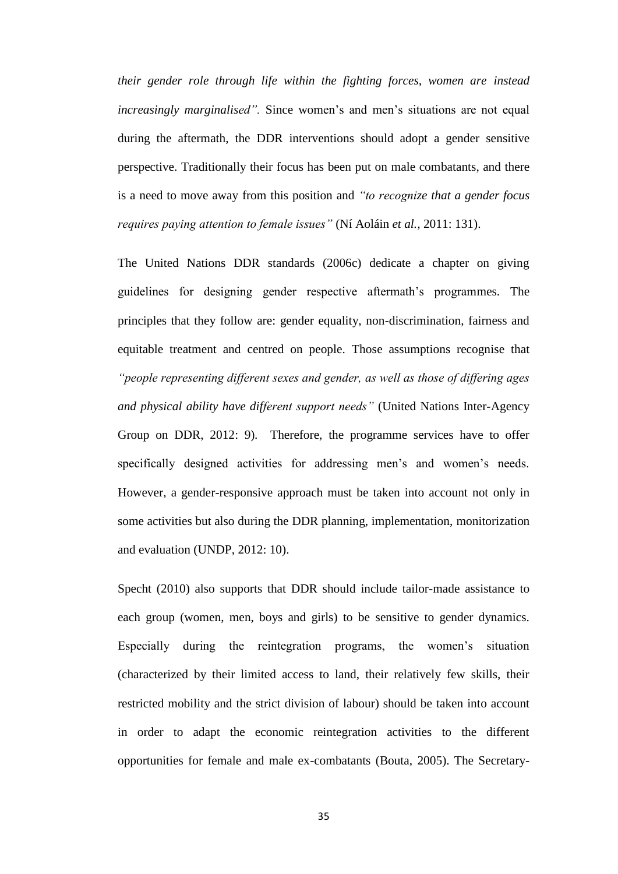*their gender role through life within the fighting forces, women are instead increasingly marginalised".* Since women's and men's situations are not equal during the aftermath, the DDR interventions should adopt a gender sensitive perspective. Traditionally their focus has been put on male combatants, and there is a need to move away from this position and *"to recognize that a gender focus requires paying attention to female issues"* (Ní Aoláin *et al.,* 2011: 131).

The United Nations DDR standards (2006c) dedicate a chapter on giving guidelines for designing gender respective aftermath's programmes. The principles that they follow are: gender equality, non-discrimination, fairness and equitable treatment and centred on people. Those assumptions recognise that *"people representing different sexes and gender, as well as those of differing ages and physical ability have different support needs"* (United Nations Inter-Agency Group on DDR, 2012: 9)*.* Therefore, the programme services have to offer specifically designed activities for addressing men's and women's needs. However, a gender-responsive approach must be taken into account not only in some activities but also during the DDR planning, implementation, monitorization and evaluation (UNDP, 2012: 10).

Specht (2010) also supports that DDR should include tailor-made assistance to each group (women, men, boys and girls) to be sensitive to gender dynamics. Especially during the reintegration programs, the women's situation (characterized by their limited access to land, their relatively few skills, their restricted mobility and the strict division of labour) should be taken into account in order to adapt the economic reintegration activities to the different opportunities for female and male ex-combatants (Bouta, 2005). The Secretary-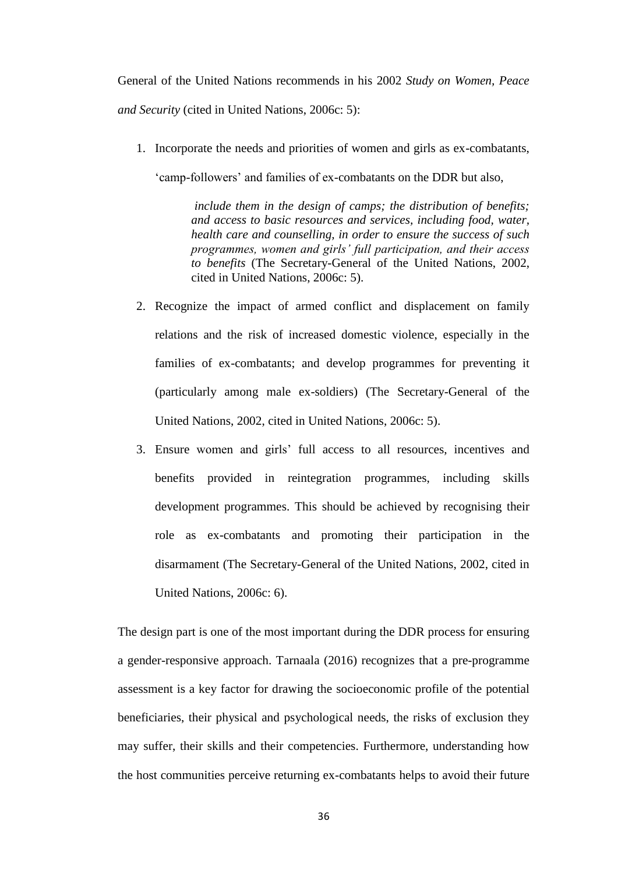General of the United Nations recommends in his 2002 *Study on Women, Peace and Security* (cited in United Nations, 2006c: 5):

1. Incorporate the needs and priorities of women and girls as ex-combatants,

'camp-followers' and families of ex-combatants on the DDR but also,

*include them in the design of camps; the distribution of benefits; and access to basic resources and services, including food, water, health care and counselling, in order to ensure the success of such programmes, women and girls' full participation, and their access to benefits* (The Secretary-General of the United Nations, 2002, cited in United Nations, 2006c: 5).

- 2. Recognize the impact of armed conflict and displacement on family relations and the risk of increased domestic violence, especially in the families of ex-combatants; and develop programmes for preventing it (particularly among male ex-soldiers) (The Secretary-General of the United Nations, 2002, cited in United Nations, 2006c: 5).
- 3. Ensure women and girls' full access to all resources, incentives and benefits provided in reintegration programmes, including skills development programmes. This should be achieved by recognising their role as ex-combatants and promoting their participation in the disarmament (The Secretary-General of the United Nations, 2002, cited in United Nations, 2006c: 6).

The design part is one of the most important during the DDR process for ensuring a gender-responsive approach. Tarnaala (2016) recognizes that a pre-programme assessment is a key factor for drawing the socioeconomic profile of the potential beneficiaries, their physical and psychological needs, the risks of exclusion they may suffer, their skills and their competencies. Furthermore, understanding how the host communities perceive returning ex-combatants helps to avoid their future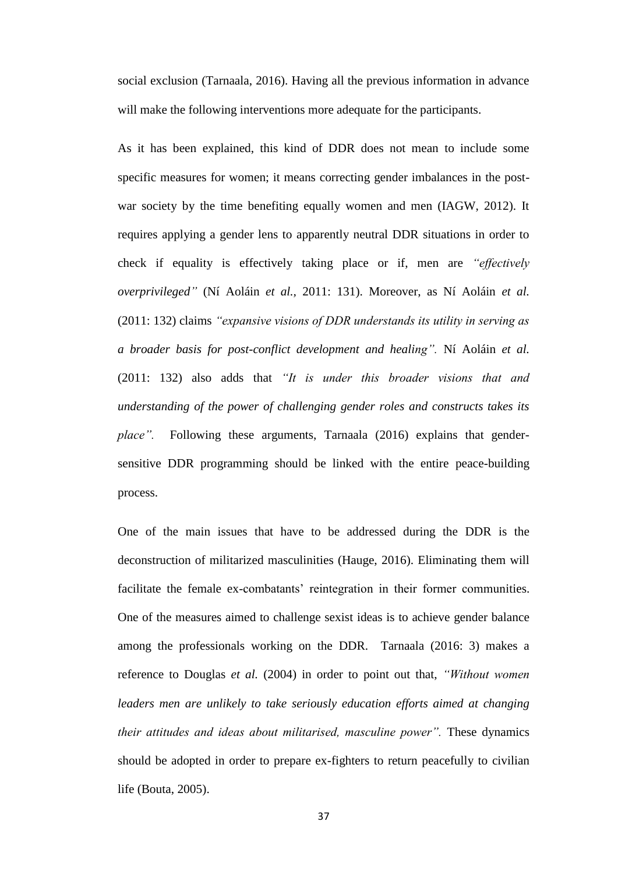social exclusion (Tarnaala, 2016). Having all the previous information in advance will make the following interventions more adequate for the participants.

As it has been explained, this kind of DDR does not mean to include some specific measures for women; it means correcting gender imbalances in the postwar society by the time benefiting equally women and men (IAGW, 2012). It requires applying a gender lens to apparently neutral DDR situations in order to check if equality is effectively taking place or if, men are *"effectively overprivileged"* (Ní Aoláin *et al.,* 2011: 131). Moreover, as Ní Aoláin *et al.* (2011: 132) claims *"expansive visions of DDR understands its utility in serving as a broader basis for post-conflict development and healing".* Ní Aoláin *et al.* (2011: 132) also adds that *"It is under this broader visions that and understanding of the power of challenging gender roles and constructs takes its place".* Following these arguments, Tarnaala (2016) explains that gendersensitive DDR programming should be linked with the entire peace-building process.

One of the main issues that have to be addressed during the DDR is the deconstruction of militarized masculinities (Hauge, 2016). Eliminating them will facilitate the female ex-combatants' reintegration in their former communities. One of the measures aimed to challenge sexist ideas is to achieve gender balance among the professionals working on the DDR. Tarnaala (2016: 3) makes a reference to Douglas *et al.* (2004) in order to point out that, *"Without women leaders men are unlikely to take seriously education efforts aimed at changing their attitudes and ideas about militarised, masculine power".* These dynamics should be adopted in order to prepare ex-fighters to return peacefully to civilian life (Bouta, 2005).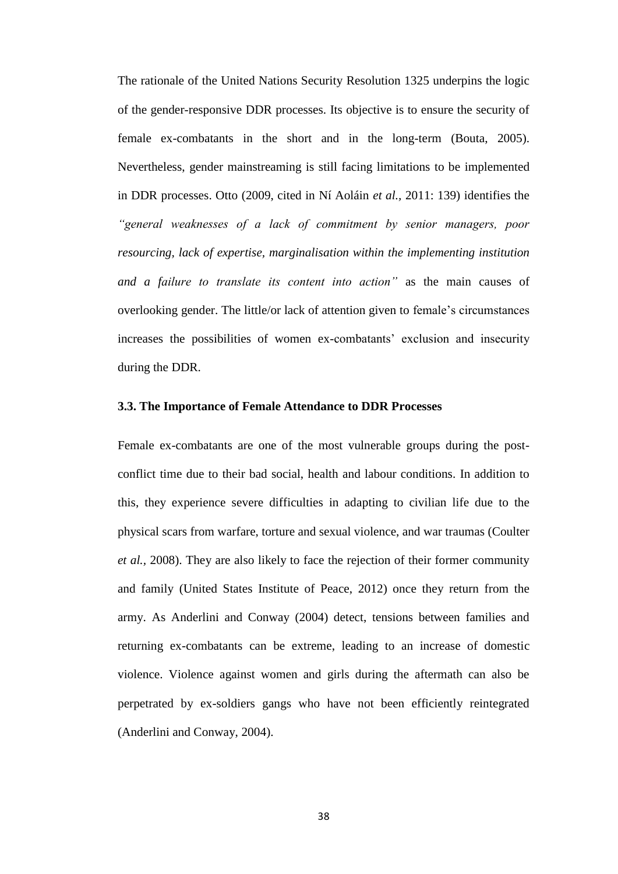The rationale of the United Nations Security Resolution 1325 underpins the logic of the gender-responsive DDR processes. Its objective is to ensure the security of female ex-combatants in the short and in the long-term (Bouta, 2005). Nevertheless, gender mainstreaming is still facing limitations to be implemented in DDR processes. Otto (2009, cited in Ní Aoláin *et al.,* 2011: 139) identifies the *"general weaknesses of a lack of commitment by senior managers, poor resourcing, lack of expertise, marginalisation within the implementing institution and a failure to translate its content into action"* as the main causes of overlooking gender. The little/or lack of attention given to female's circumstances increases the possibilities of women ex-combatants' exclusion and insecurity during the DDR.

### **3.3. The Importance of Female Attendance to DDR Processes**

Female ex-combatants are one of the most vulnerable groups during the postconflict time due to their bad social, health and labour conditions. In addition to this, they experience severe difficulties in adapting to civilian life due to the physical scars from warfare, torture and sexual violence, and war traumas (Coulter *et al.,* 2008). They are also likely to face the rejection of their former community and family (United States Institute of Peace, 2012) once they return from the army. As Anderlini and Conway (2004) detect, tensions between families and returning ex-combatants can be extreme, leading to an increase of domestic violence. Violence against women and girls during the aftermath can also be perpetrated by ex-soldiers gangs who have not been efficiently reintegrated (Anderlini and Conway, 2004).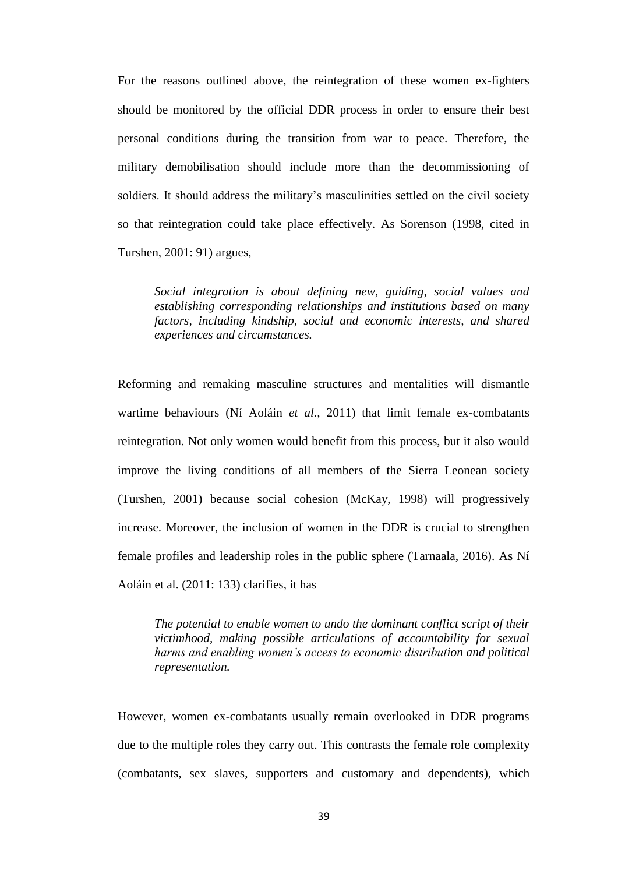For the reasons outlined above, the reintegration of these women ex-fighters should be monitored by the official DDR process in order to ensure their best personal conditions during the transition from war to peace. Therefore, the military demobilisation should include more than the decommissioning of soldiers. It should address the military's masculinities settled on the civil society so that reintegration could take place effectively. As Sorenson (1998, cited in Turshen, 2001: 91) argues,

*Social integration is about defining new, guiding, social values and establishing corresponding relationships and institutions based on many factors, including kindship, social and economic interests, and shared experiences and circumstances.*

Reforming and remaking masculine structures and mentalities will dismantle wartime behaviours (Ní Aoláin *et al.,* 2011) that limit female ex-combatants reintegration. Not only women would benefit from this process, but it also would improve the living conditions of all members of the Sierra Leonean society (Turshen, 2001) because social cohesion (McKay, 1998) will progressively increase. Moreover, the inclusion of women in the DDR is crucial to strengthen female profiles and leadership roles in the public sphere (Tarnaala, 2016). As Ní Aoláin et al. (2011: 133) clarifies, it has

*The potential to enable women to undo the dominant conflict script of their victimhood, making possible articulations of accountability for sexual harms and enabling women's access to economic distribution and political representation.*

However, women ex-combatants usually remain overlooked in DDR programs due to the multiple roles they carry out. This contrasts the female role complexity (combatants, sex slaves, supporters and customary and dependents), which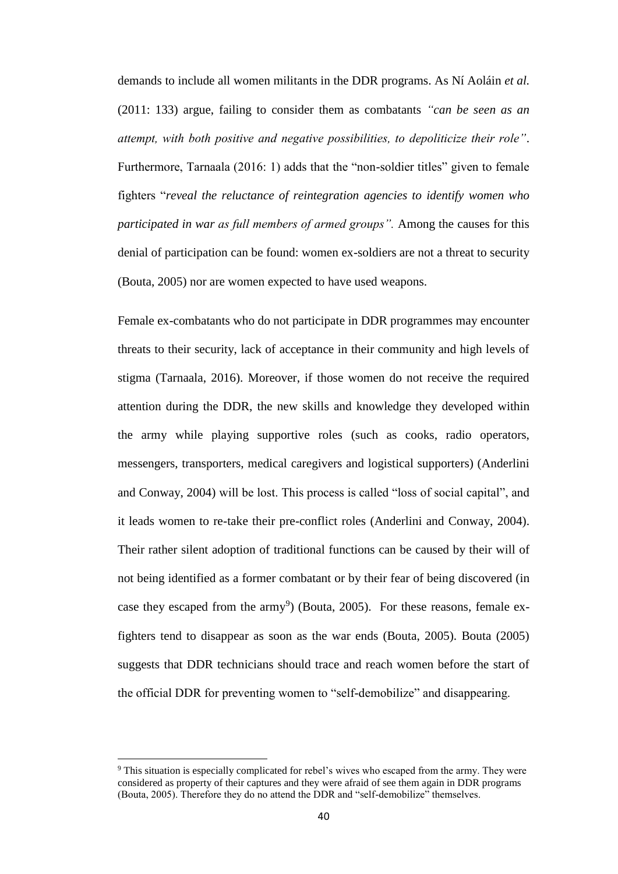demands to include all women militants in the DDR programs. As Ní Aoláin *et al.* (2011: 133) argue, failing to consider them as combatants *"can be seen as an attempt, with both positive and negative possibilities, to depoliticize their role"*. Furthermore, Tarnaala (2016: 1) adds that the "non-soldier titles" given to female fighters "*reveal the reluctance of reintegration agencies to identify women who participated in war as full members of armed groups".* Among the causes for this denial of participation can be found: women ex-soldiers are not a threat to security (Bouta, 2005) nor are women expected to have used weapons.

Female ex-combatants who do not participate in DDR programmes may encounter threats to their security, lack of acceptance in their community and high levels of stigma (Tarnaala, 2016). Moreover, if those women do not receive the required attention during the DDR, the new skills and knowledge they developed within the army while playing supportive roles (such as cooks, radio operators, messengers, transporters, medical caregivers and logistical supporters) (Anderlini and Conway, 2004) will be lost. This process is called "loss of social capital", and it leads women to re-take their pre-conflict roles (Anderlini and Conway, 2004). Their rather silent adoption of traditional functions can be caused by their will of not being identified as a former combatant or by their fear of being discovered (in case they escaped from the army<sup>9</sup>) (Bouta, 2005). For these reasons, female exfighters tend to disappear as soon as the war ends (Bouta, 2005). Bouta (2005) suggests that DDR technicians should trace and reach women before the start of the official DDR for preventing women to "self-demobilize" and disappearing.

 $\overline{\phantom{a}}$ 

<sup>&</sup>lt;sup>9</sup> This situation is especially complicated for rebel's wives who escaped from the army. They were considered as property of their captures and they were afraid of see them again in DDR programs (Bouta, 2005). Therefore they do no attend the DDR and "self-demobilize" themselves.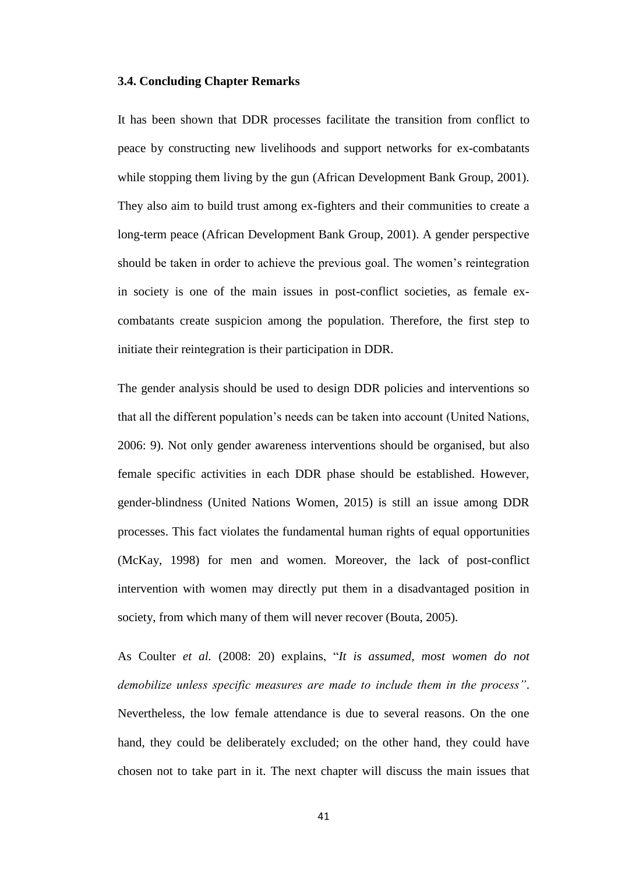### **3.4. Concluding Chapter Remarks**

It has been shown that DDR processes facilitate the transition from conflict to peace by constructing new livelihoods and support networks for ex-combatants while stopping them living by the gun (African Development Bank Group, 2001). They also aim to build trust among ex-fighters and their communities to create a long-term peace (African Development Bank Group, 2001). A gender perspective should be taken in order to achieve the previous goal. The women's reintegration in society is one of the main issues in post-conflict societies, as female excombatants create suspicion among the population. Therefore, the first step to initiate their reintegration is their participation in DDR.

The gender analysis should be used to design DDR policies and interventions so that all the different population's needs can be taken into account (United Nations, 2006: 9). Not only gender awareness interventions should be organised, but also female specific activities in each DDR phase should be established. However, gender-blindness (United Nations Women, 2015) is still an issue among DDR processes. This fact violates the fundamental human rights of equal opportunities (McKay, 1998) for men and women. Moreover, the lack of post-conflict intervention with women may directly put them in a disadvantaged position in society, from which many of them will never recover (Bouta, 2005).

As Coulter *et al.* (2008: 20) explains, "*It is assumed, most women do not demobilize unless specific measures are made to include them in the process"*. Nevertheless, the low female attendance is due to several reasons. On the one hand, they could be deliberately excluded; on the other hand, they could have chosen not to take part in it. The next chapter will discuss the main issues that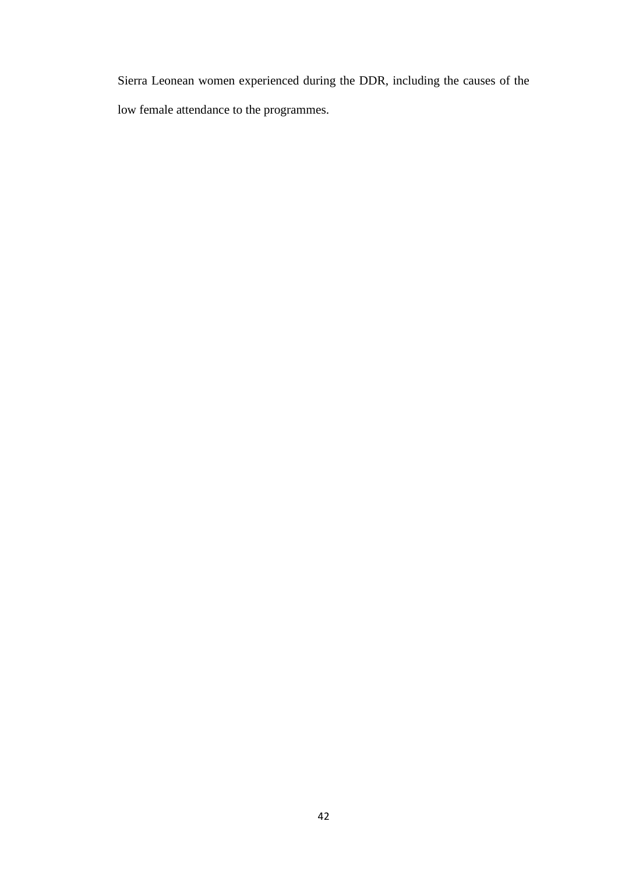Sierra Leonean women experienced during the DDR, including the causes of the low female attendance to the programmes.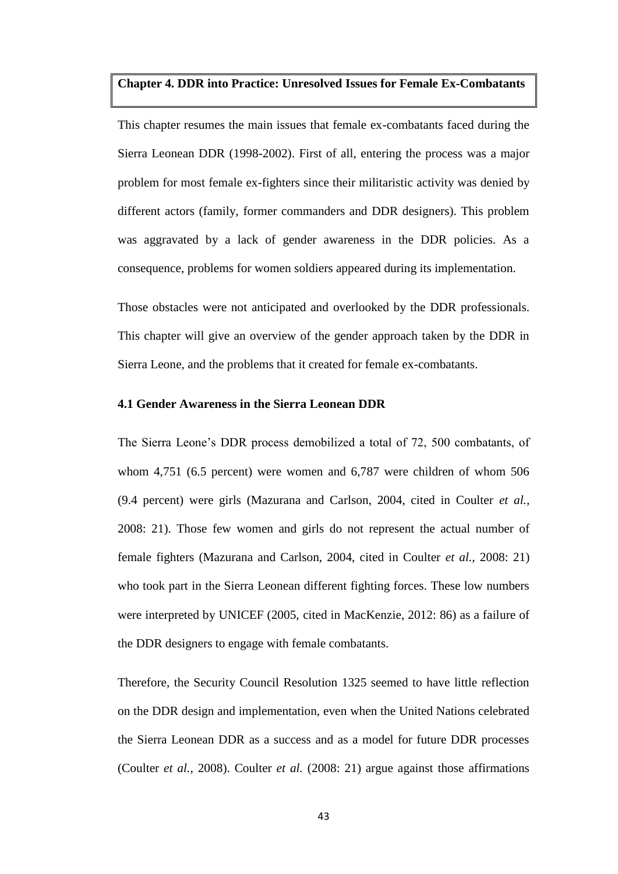# **Chapter 4. DDR into Practice: Unresolved Issues for Female Ex-Combatants**

This chapter resumes the main issues that female ex-combatants faced during the Sierra Leonean DDR (1998-2002). First of all, entering the process was a major problem for most female ex-fighters since their militaristic activity was denied by different actors (family, former commanders and DDR designers). This problem was aggravated by a lack of gender awareness in the DDR policies. As a consequence, problems for women soldiers appeared during its implementation.

Those obstacles were not anticipated and overlooked by the DDR professionals. This chapter will give an overview of the gender approach taken by the DDR in Sierra Leone, and the problems that it created for female ex-combatants.

# **4.1 Gender Awareness in the Sierra Leonean DDR**

The Sierra Leone's DDR process demobilized a total of 72, 500 combatants, of whom 4,751 (6.5 percent) were women and 6,787 were children of whom 506 (9.4 percent) were girls (Mazurana and Carlson, 2004, cited in Coulter *et al.,* 2008: 21). Those few women and girls do not represent the actual number of female fighters (Mazurana and Carlson, 2004, cited in Coulter *et al.,* 2008: 21) who took part in the Sierra Leonean different fighting forces. These low numbers were interpreted by UNICEF (2005, cited in MacKenzie, 2012: 86) as a failure of the DDR designers to engage with female combatants.

Therefore, the Security Council Resolution 1325 seemed to have little reflection on the DDR design and implementation, even when the United Nations celebrated the Sierra Leonean DDR as a success and as a model for future DDR processes (Coulter *et al.*, 2008). Coulter *et al.* (2008: 21) argue against those affirmations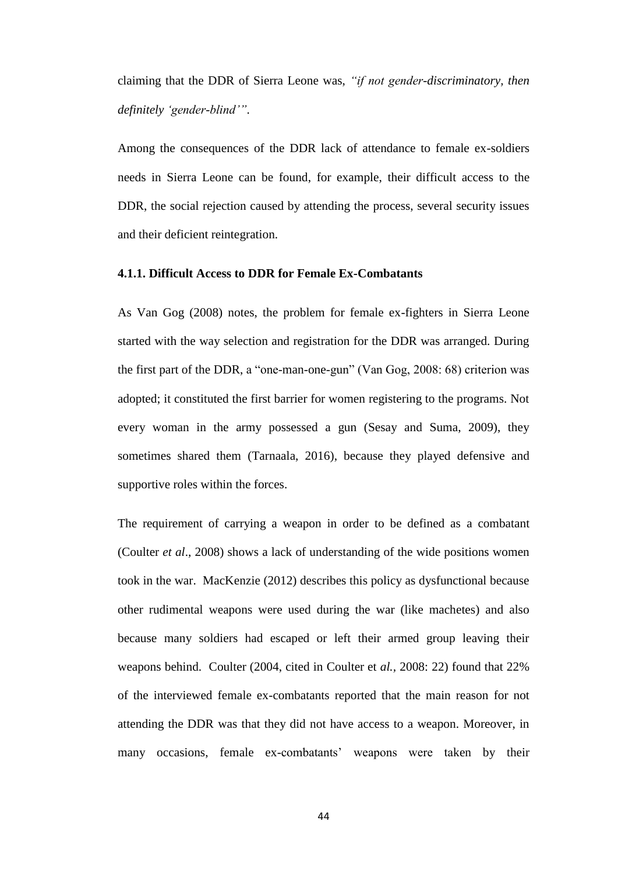claiming that the DDR of Sierra Leone was, *"if not gender-discriminatory, then definitely 'gender-blind'"*.

Among the consequences of the DDR lack of attendance to female ex-soldiers needs in Sierra Leone can be found, for example, their difficult access to the DDR, the social rejection caused by attending the process, several security issues and their deficient reintegration.

#### **4.1.1. Difficult Access to DDR for Female Ex-Combatants**

As Van Gog (2008) notes, the problem for female ex-fighters in Sierra Leone started with the way selection and registration for the DDR was arranged. During the first part of the DDR, a "one-man-one-gun" (Van Gog, 2008: 68) criterion was adopted; it constituted the first barrier for women registering to the programs. Not every woman in the army possessed a gun (Sesay and Suma, 2009), they sometimes shared them (Tarnaala, 2016), because they played defensive and supportive roles within the forces.

The requirement of carrying a weapon in order to be defined as a combatant (Coulter *et al*., 2008) shows a lack of understanding of the wide positions women took in the war. MacKenzie (2012) describes this policy as dysfunctional because other rudimental weapons were used during the war (like machetes) and also because many soldiers had escaped or left their armed group leaving their weapons behind. Coulter (2004, cited in Coulter et *al.,* 2008: 22) found that 22% of the interviewed female ex-combatants reported that the main reason for not attending the DDR was that they did not have access to a weapon. Moreover, in many occasions, female ex-combatants' weapons were taken by their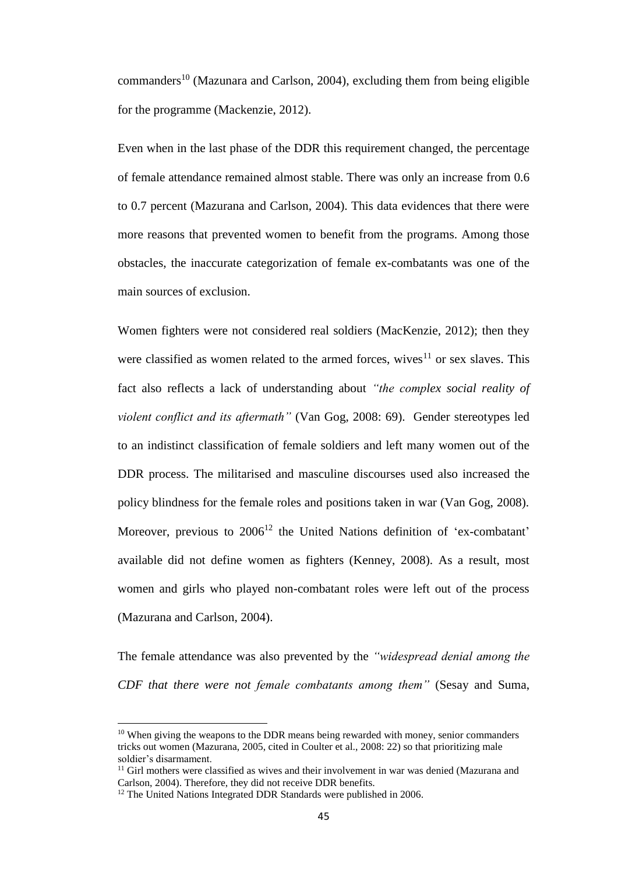commanders<sup>10</sup> (Mazunara and Carlson, 2004), excluding them from being eligible for the programme (Mackenzie, 2012).

Even when in the last phase of the DDR this requirement changed, the percentage of female attendance remained almost stable. There was only an increase from 0.6 to 0.7 percent (Mazurana and Carlson, 2004). This data evidences that there were more reasons that prevented women to benefit from the programs. Among those obstacles, the inaccurate categorization of female ex-combatants was one of the main sources of exclusion.

Women fighters were not considered real soldiers (MacKenzie, 2012); then they were classified as women related to the armed forces, wives<sup>11</sup> or sex slaves. This fact also reflects a lack of understanding about *"the complex social reality of violent conflict and its aftermath"* (Van Gog, 2008: 69). Gender stereotypes led to an indistinct classification of female soldiers and left many women out of the DDR process. The militarised and masculine discourses used also increased the policy blindness for the female roles and positions taken in war (Van Gog, 2008). Moreover, previous to  $2006^{12}$  the United Nations definition of 'ex-combatant' available did not define women as fighters (Kenney, 2008). As a result, most women and girls who played non-combatant roles were left out of the process (Mazurana and Carlson, 2004).

The female attendance was also prevented by the *"widespread denial among the CDF that there were not female combatants among them"* (Sesay and Suma,

l

<sup>&</sup>lt;sup>10</sup> When giving the weapons to the DDR means being rewarded with money, senior commanders tricks out women (Mazurana, 2005, cited in Coulter et al., 2008: 22) so that prioritizing male soldier's disarmament.

<sup>&</sup>lt;sup>11</sup> Girl mothers were classified as wives and their involvement in war was denied (Mazurana and Carlson, 2004). Therefore, they did not receive DDR benefits.

 $12$  The United Nations Integrated DDR Standards were published in 2006.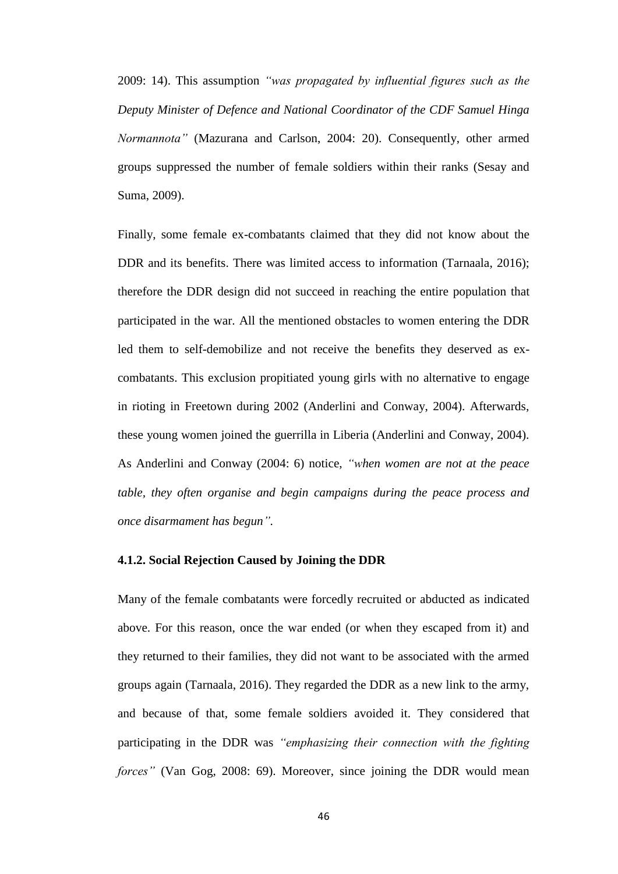2009: 14). This assumption *"was propagated by influential figures such as the Deputy Minister of Defence and National Coordinator of the CDF Samuel Hinga Normannota"* (Mazurana and Carlson, 2004: 20). Consequently, other armed groups suppressed the number of female soldiers within their ranks (Sesay and Suma, 2009).

Finally, some female ex-combatants claimed that they did not know about the DDR and its benefits. There was limited access to information (Tarnaala, 2016); therefore the DDR design did not succeed in reaching the entire population that participated in the war. All the mentioned obstacles to women entering the DDR led them to self-demobilize and not receive the benefits they deserved as excombatants. This exclusion propitiated young girls with no alternative to engage in rioting in Freetown during 2002 (Anderlini and Conway, 2004). Afterwards, these young women joined the guerrilla in Liberia (Anderlini and Conway, 2004). As Anderlini and Conway (2004: 6) notice, *"when women are not at the peace table, they often organise and begin campaigns during the peace process and once disarmament has begun".*

#### **4.1.2. Social Rejection Caused by Joining the DDR**

Many of the female combatants were forcedly recruited or abducted as indicated above. For this reason, once the war ended (or when they escaped from it) and they returned to their families, they did not want to be associated with the armed groups again (Tarnaala, 2016). They regarded the DDR as a new link to the army, and because of that, some female soldiers avoided it. They considered that participating in the DDR was *"emphasizing their connection with the fighting forces"* (Van Gog, 2008: 69). Moreover, since joining the DDR would mean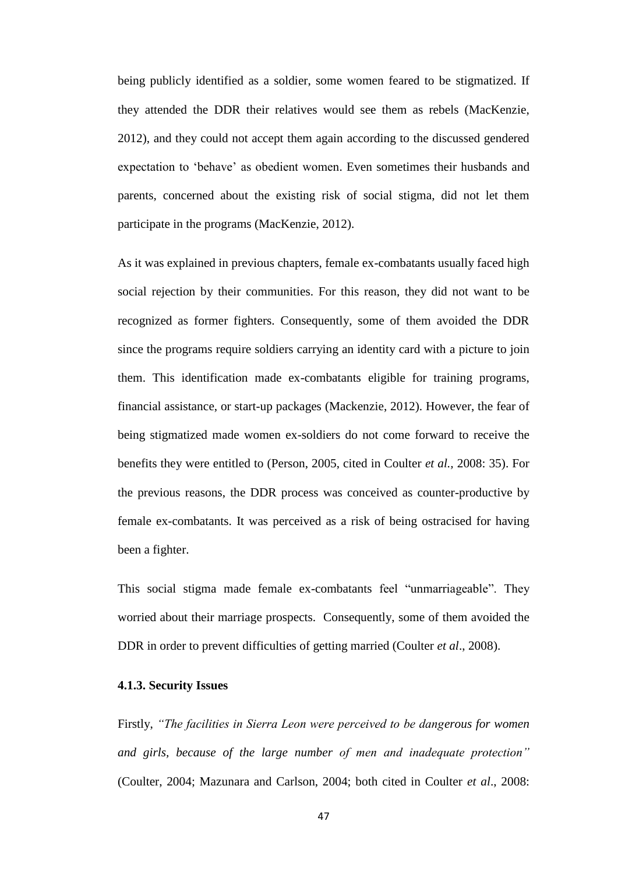being publicly identified as a soldier, some women feared to be stigmatized. If they attended the DDR their relatives would see them as rebels (MacKenzie, 2012), and they could not accept them again according to the discussed gendered expectation to 'behave' as obedient women. Even sometimes their husbands and parents, concerned about the existing risk of social stigma, did not let them participate in the programs (MacKenzie, 2012).

As it was explained in previous chapters, female ex-combatants usually faced high social rejection by their communities. For this reason, they did not want to be recognized as former fighters. Consequently, some of them avoided the DDR since the programs require soldiers carrying an identity card with a picture to join them. This identification made ex-combatants eligible for training programs, financial assistance, or start-up packages (Mackenzie, 2012). However, the fear of being stigmatized made women ex-soldiers do not come forward to receive the benefits they were entitled to (Person, 2005, cited in Coulter *et al.,* 2008: 35). For the previous reasons, the DDR process was conceived as counter-productive by female ex-combatants. It was perceived as a risk of being ostracised for having been a fighter.

This social stigma made female ex-combatants feel "unmarriageable". They worried about their marriage prospects. Consequently, some of them avoided the DDR in order to prevent difficulties of getting married (Coulter *et al*., 2008).

# **4.1.3. Security Issues**

Firstly, *"The facilities in Sierra Leon were perceived to be dangerous for women and girls, because of the large number of men and inadequate protection"* (Coulter, 2004; Mazunara and Carlson, 2004; both cited in Coulter *et al*., 2008: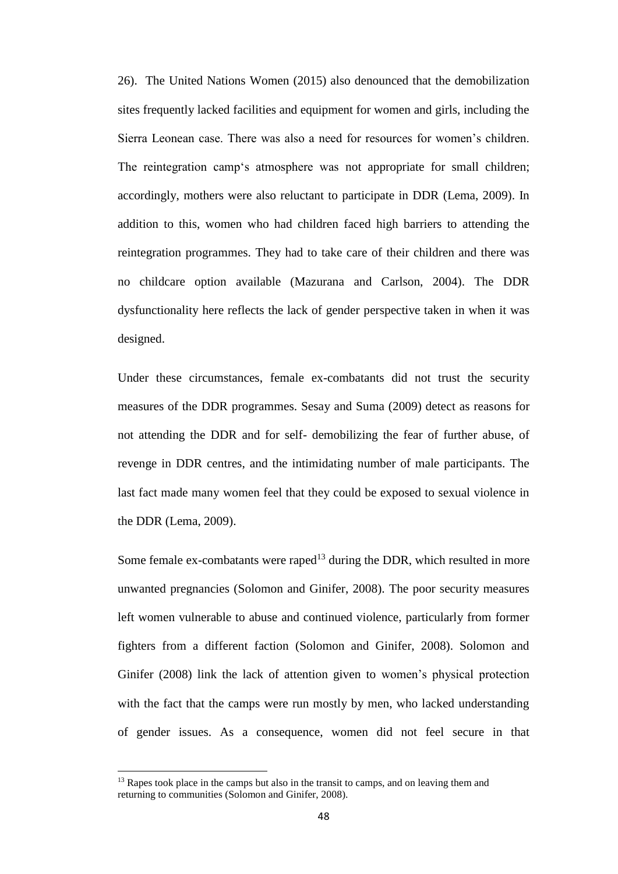26). The United Nations Women (2015) also denounced that the demobilization sites frequently lacked facilities and equipment for women and girls, including the Sierra Leonean case. There was also a need for resources for women's children. The reintegration camp's atmosphere was not appropriate for small children; accordingly, mothers were also reluctant to participate in DDR (Lema, 2009). In addition to this, women who had children faced high barriers to attending the reintegration programmes. They had to take care of their children and there was no childcare option available (Mazurana and Carlson, 2004). The DDR dysfunctionality here reflects the lack of gender perspective taken in when it was designed.

Under these circumstances, female ex-combatants did not trust the security measures of the DDR programmes. Sesay and Suma (2009) detect as reasons for not attending the DDR and for self- demobilizing the fear of further abuse, of revenge in DDR centres, and the intimidating number of male participants. The last fact made many women feel that they could be exposed to sexual violence in the DDR (Lema, 2009).

Some female  $ex$ -combatants were raped<sup>13</sup> during the DDR, which resulted in more unwanted pregnancies (Solomon and Ginifer, 2008). The poor security measures left women vulnerable to abuse and continued violence, particularly from former fighters from a different faction (Solomon and Ginifer, 2008). Solomon and Ginifer (2008) link the lack of attention given to women's physical protection with the fact that the camps were run mostly by men, who lacked understanding of gender issues. As a consequence, women did not feel secure in that

 $\overline{\phantom{a}}$ 

<sup>&</sup>lt;sup>13</sup> Rapes took place in the camps but also in the transit to camps, and on leaving them and returning to communities (Solomon and Ginifer, 2008).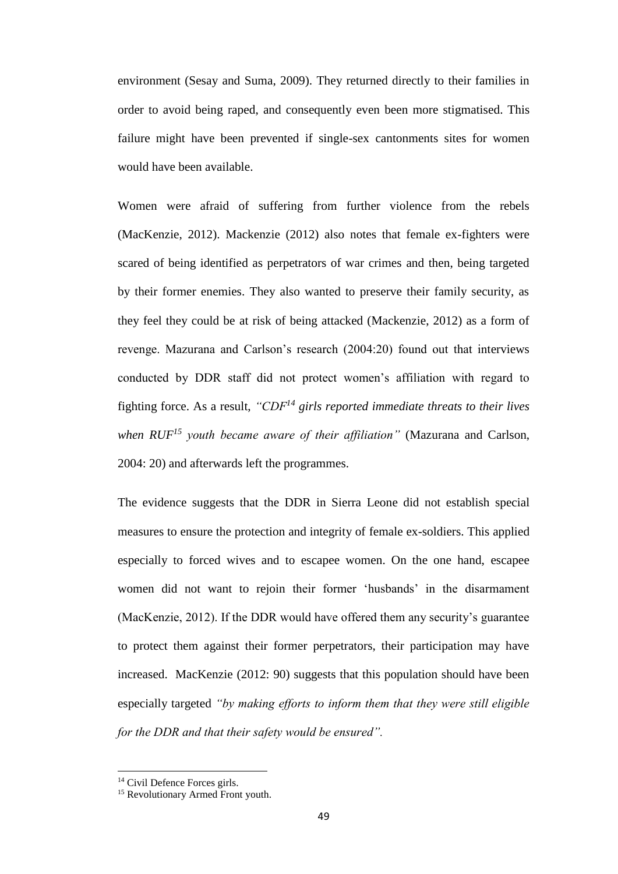environment (Sesay and Suma, 2009). They returned directly to their families in order to avoid being raped, and consequently even been more stigmatised. This failure might have been prevented if single-sex cantonments sites for women would have been available.

Women were afraid of suffering from further violence from the rebels (MacKenzie, 2012). Mackenzie (2012) also notes that female ex-fighters were scared of being identified as perpetrators of war crimes and then, being targeted by their former enemies. They also wanted to preserve their family security, as they feel they could be at risk of being attacked (Mackenzie, 2012) as a form of revenge. Mazurana and Carlson's research (2004:20) found out that interviews conducted by DDR staff did not protect women's affiliation with regard to fighting force. As a result, *"CDF<sup>14</sup> girls reported immediate threats to their lives when RUF<sup>15</sup> youth became aware of their affiliation"* (Mazurana and Carlson, 2004: 20) and afterwards left the programmes.

The evidence suggests that the DDR in Sierra Leone did not establish special measures to ensure the protection and integrity of female ex-soldiers. This applied especially to forced wives and to escapee women. On the one hand, escapee women did not want to rejoin their former 'husbands' in the disarmament (MacKenzie, 2012). If the DDR would have offered them any security's guarantee to protect them against their former perpetrators, their participation may have increased. MacKenzie (2012: 90) suggests that this population should have been especially targeted *"by making efforts to inform them that they were still eligible for the DDR and that their safety would be ensured".*

 $\overline{\phantom{a}}$ 

<sup>&</sup>lt;sup>14</sup> Civil Defence Forces girls.

<sup>&</sup>lt;sup>15</sup> Revolutionary Armed Front youth.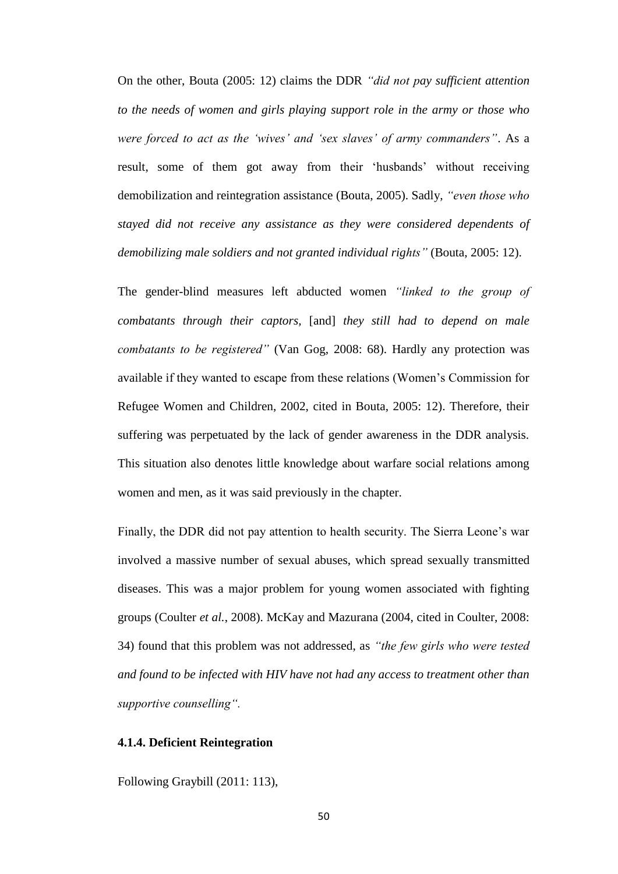On the other, Bouta (2005: 12) claims the DDR *"did not pay sufficient attention to the needs of women and girls playing support role in the army or those who were forced to act as the 'wives' and 'sex slaves' of army commanders"*. As a result, some of them got away from their 'husbands' without receiving demobilization and reintegration assistance (Bouta, 2005). Sadly, *"even those who stayed did not receive any assistance as they were considered dependents of demobilizing male soldiers and not granted individual rights"* (Bouta, 2005: 12).

The gender-blind measures left abducted women *"linked to the group of combatants through their captors,* [and] *they still had to depend on male combatants to be registered"* (Van Gog, 2008: 68). Hardly any protection was available if they wanted to escape from these relations (Women's Commission for Refugee Women and Children, 2002, cited in Bouta, 2005: 12). Therefore, their suffering was perpetuated by the lack of gender awareness in the DDR analysis. This situation also denotes little knowledge about warfare social relations among women and men, as it was said previously in the chapter.

Finally, the DDR did not pay attention to health security. The Sierra Leone's war involved a massive number of sexual abuses, which spread sexually transmitted diseases. This was a major problem for young women associated with fighting groups (Coulter *et al.*, 2008). McKay and Mazurana (2004, cited in Coulter, 2008: 34) found that this problem was not addressed, as *"the few girls who were tested and found to be infected with HIV have not had any access to treatment other than supportive counselling".*

# **4.1.4. Deficient Reintegration**

Following Graybill (2011: 113),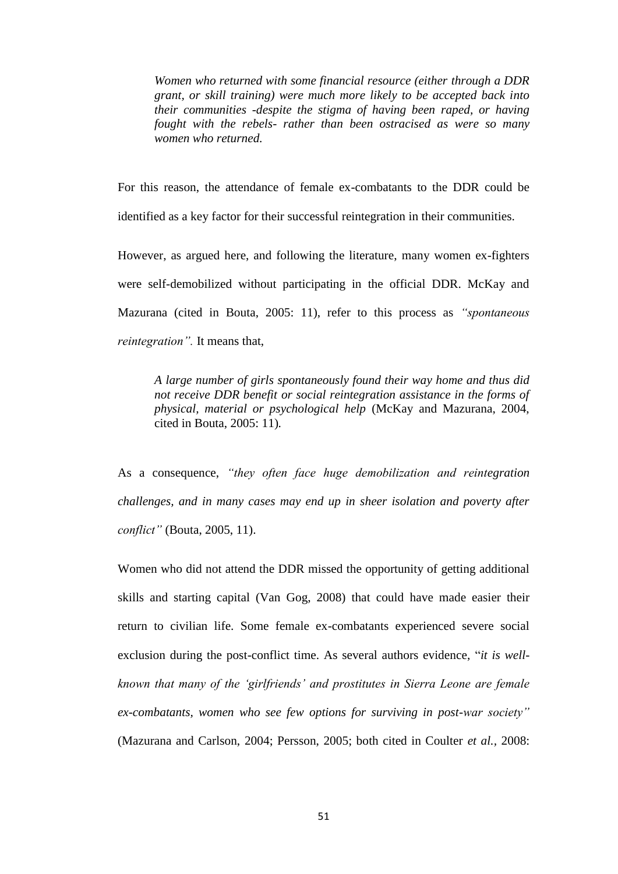*Women who returned with some financial resource (either through a DDR grant, or skill training) were much more likely to be accepted back into their communities -despite the stigma of having been raped, or having fought with the rebels- rather than been ostracised as were so many women who returned.*

For this reason, the attendance of female ex-combatants to the DDR could be identified as a key factor for their successful reintegration in their communities.

However, as argued here, and following the literature, many women ex-fighters were self-demobilized without participating in the official DDR. McKay and Mazurana (cited in Bouta, 2005: 11), refer to this process as *"spontaneous reintegration".* It means that,

*A large number of girls spontaneously found their way home and thus did not receive DDR benefit or social reintegration assistance in the forms of physical, material or psychological help* (McKay and Mazurana, 2004, cited in Bouta, 2005: 11)*.* 

As a consequence, *"they often face huge demobilization and reintegration challenges, and in many cases may end up in sheer isolation and poverty after conflict"* (Bouta, 2005, 11).

Women who did not attend the DDR missed the opportunity of getting additional skills and starting capital (Van Gog, 2008) that could have made easier their return to civilian life. Some female ex-combatants experienced severe social exclusion during the post-conflict time. As several authors evidence, "*it is wellknown that many of the 'girlfriends' and prostitutes in Sierra Leone are female ex-combatants, women who see few options for surviving in post-war society"* (Mazurana and Carlson, 2004; Persson, 2005; both cited in Coulter *et al.,* 2008: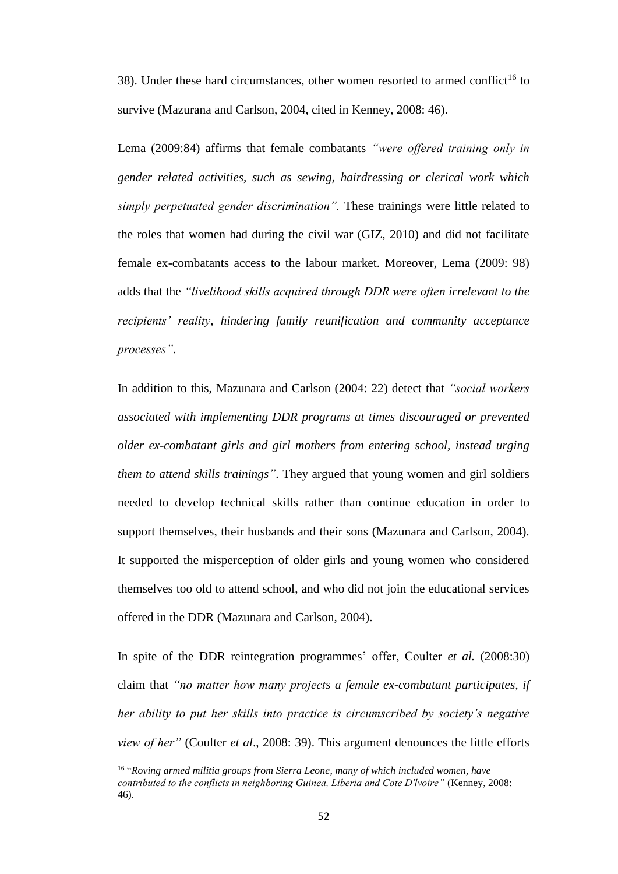38). Under these hard circumstances, other women resorted to armed conflict<sup>16</sup> to survive (Mazurana and Carlson, 2004, cited in Kenney, 2008: 46).

Lema (2009:84) affirms that female combatants *"were offered training only in gender related activities, such as sewing, hairdressing or clerical work which simply perpetuated gender discrimination".* These trainings were little related to the roles that women had during the civil war (GIZ, 2010) and did not facilitate female ex-combatants access to the labour market. Moreover, Lema (2009: 98) adds that the *"livelihood skills acquired through DDR were often irrelevant to the recipients' reality, hindering family reunification and community acceptance processes"*.

In addition to this, Mazunara and Carlson (2004: 22) detect that *"social workers associated with implementing DDR programs at times discouraged or prevented older ex-combatant girls and girl mothers from entering school, instead urging them to attend skills trainings"*. They argued that young women and girl soldiers needed to develop technical skills rather than continue education in order to support themselves, their husbands and their sons (Mazunara and Carlson, 2004). It supported the misperception of older girls and young women who considered themselves too old to attend school, and who did not join the educational services offered in the DDR (Mazunara and Carlson, 2004).

In spite of the DDR reintegration programmes' offer, Coulter *et al.* (2008:30) claim that *"no matter how many projects a female ex-combatant participates, if her ability to put her skills into practice is circumscribed by society's negative view of her"* (Coulter *et al*., 2008: 39). This argument denounces the little efforts

 $\overline{\phantom{a}}$ 

<sup>&</sup>lt;sup>16</sup> "Roving armed militia groups from Sierra Leone, many of which included women, have *contributed to the conflicts in neighboring Guinea, Liberia and Cote D'lvoire"* (Kenney, 2008: 46).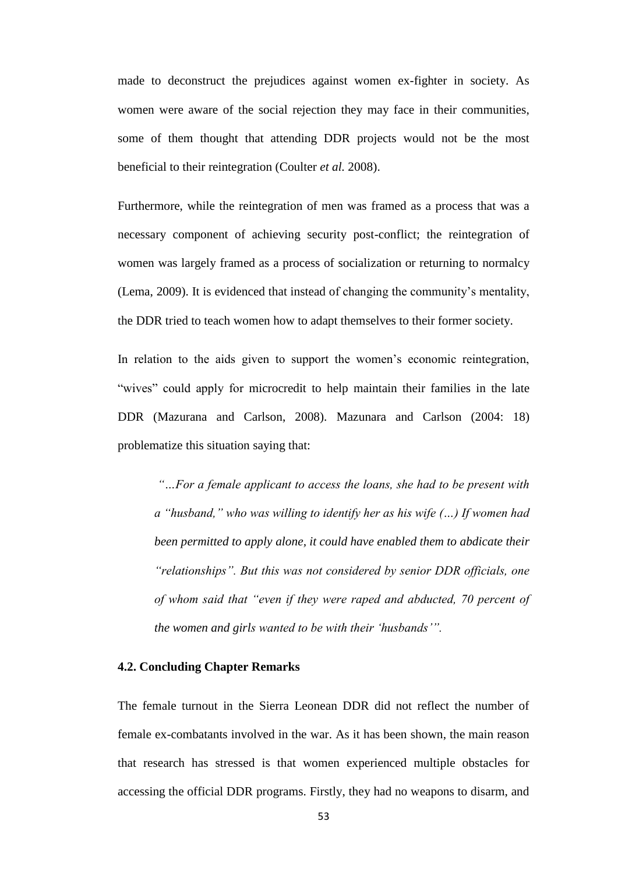made to deconstruct the prejudices against women ex-fighter in society. As women were aware of the social rejection they may face in their communities, some of them thought that attending DDR projects would not be the most beneficial to their reintegration (Coulter *et al.* 2008).

Furthermore, while the reintegration of men was framed as a process that was a necessary component of achieving security post-conflict; the reintegration of women was largely framed as a process of socialization or returning to normalcy (Lema, 2009). It is evidenced that instead of changing the community's mentality, the DDR tried to teach women how to adapt themselves to their former society.

In relation to the aids given to support the women's economic reintegration, "wives" could apply for microcredit to help maintain their families in the late DDR (Mazurana and Carlson, 2008). Mazunara and Carlson (2004: 18) problematize this situation saying that:

*"…For a female applicant to access the loans, she had to be present with a "husband," who was willing to identify her as his wife (…) If women had been permitted to apply alone, it could have enabled them to abdicate their "relationships". But this was not considered by senior DDR officials, one of whom said that "even if they were raped and abducted, 70 percent of the women and girls wanted to be with their 'husbands'".*

#### **4.2. Concluding Chapter Remarks**

The female turnout in the Sierra Leonean DDR did not reflect the number of female ex-combatants involved in the war. As it has been shown, the main reason that research has stressed is that women experienced multiple obstacles for accessing the official DDR programs. Firstly, they had no weapons to disarm, and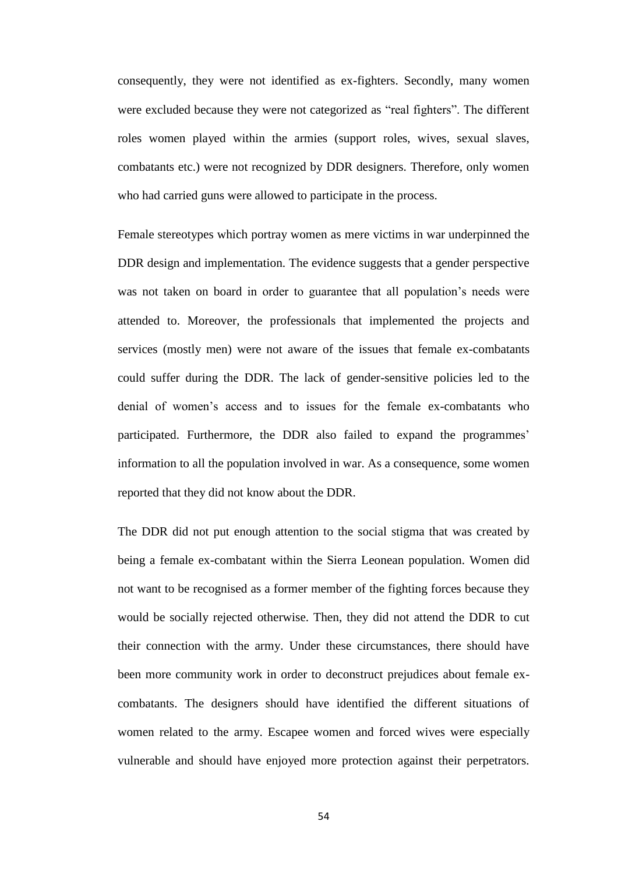consequently, they were not identified as ex-fighters. Secondly, many women were excluded because they were not categorized as "real fighters". The different roles women played within the armies (support roles, wives, sexual slaves, combatants etc.) were not recognized by DDR designers. Therefore, only women who had carried guns were allowed to participate in the process.

Female stereotypes which portray women as mere victims in war underpinned the DDR design and implementation. The evidence suggests that a gender perspective was not taken on board in order to guarantee that all population's needs were attended to. Moreover, the professionals that implemented the projects and services (mostly men) were not aware of the issues that female ex-combatants could suffer during the DDR. The lack of gender-sensitive policies led to the denial of women's access and to issues for the female ex-combatants who participated. Furthermore, the DDR also failed to expand the programmes' information to all the population involved in war. As a consequence, some women reported that they did not know about the DDR.

The DDR did not put enough attention to the social stigma that was created by being a female ex-combatant within the Sierra Leonean population. Women did not want to be recognised as a former member of the fighting forces because they would be socially rejected otherwise. Then, they did not attend the DDR to cut their connection with the army. Under these circumstances, there should have been more community work in order to deconstruct prejudices about female excombatants. The designers should have identified the different situations of women related to the army. Escapee women and forced wives were especially vulnerable and should have enjoyed more protection against their perpetrators.

54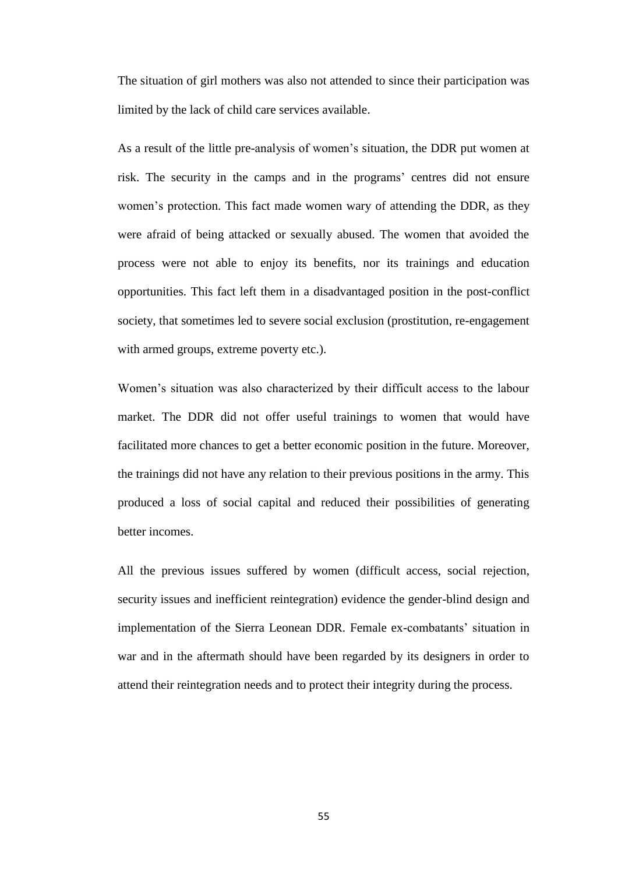The situation of girl mothers was also not attended to since their participation was limited by the lack of child care services available.

As a result of the little pre-analysis of women's situation, the DDR put women at risk. The security in the camps and in the programs' centres did not ensure women's protection. This fact made women wary of attending the DDR, as they were afraid of being attacked or sexually abused. The women that avoided the process were not able to enjoy its benefits, nor its trainings and education opportunities. This fact left them in a disadvantaged position in the post-conflict society, that sometimes led to severe social exclusion (prostitution, re-engagement with armed groups, extreme poverty etc.).

Women's situation was also characterized by their difficult access to the labour market. The DDR did not offer useful trainings to women that would have facilitated more chances to get a better economic position in the future. Moreover, the trainings did not have any relation to their previous positions in the army. This produced a loss of social capital and reduced their possibilities of generating better incomes.

All the previous issues suffered by women (difficult access, social rejection, security issues and inefficient reintegration) evidence the gender-blind design and implementation of the Sierra Leonean DDR. Female ex-combatants' situation in war and in the aftermath should have been regarded by its designers in order to attend their reintegration needs and to protect their integrity during the process.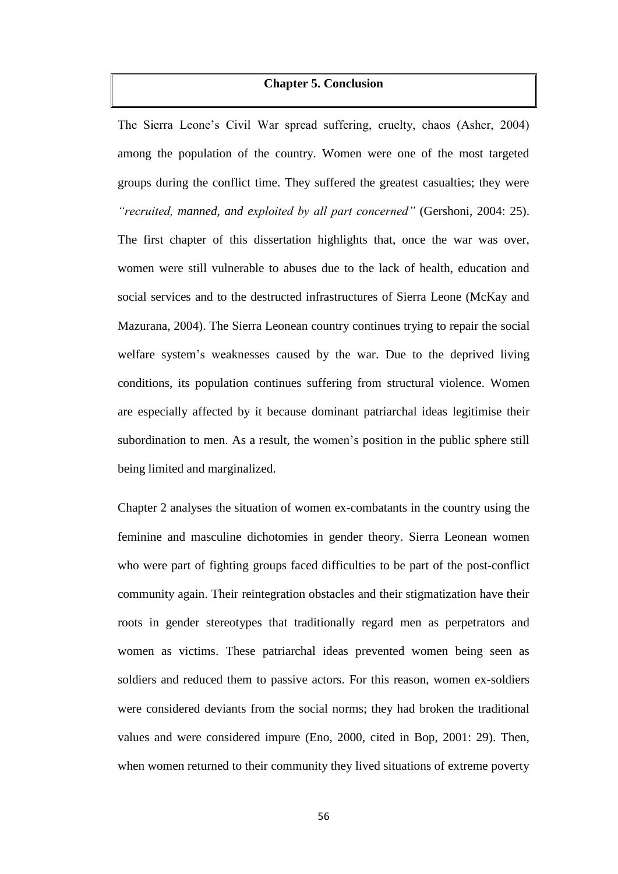### **Chapter 5. Conclusion**

The Sierra Leone's Civil War spread suffering, cruelty, chaos (Asher, 2004) among the population of the country. Women were one of the most targeted groups during the conflict time. They suffered the greatest casualties; they were *"recruited, manned, and exploited by all part concerned"* (Gershoni, 2004: 25). The first chapter of this dissertation highlights that, once the war was over, women were still vulnerable to abuses due to the lack of health, education and social services and to the destructed infrastructures of Sierra Leone (McKay and Mazurana, 2004). The Sierra Leonean country continues trying to repair the social welfare system's weaknesses caused by the war. Due to the deprived living conditions, its population continues suffering from structural violence. Women are especially affected by it because dominant patriarchal ideas legitimise their subordination to men. As a result, the women's position in the public sphere still being limited and marginalized.

Chapter 2 analyses the situation of women ex-combatants in the country using the feminine and masculine dichotomies in gender theory. Sierra Leonean women who were part of fighting groups faced difficulties to be part of the post-conflict community again. Their reintegration obstacles and their stigmatization have their roots in gender stereotypes that traditionally regard men as perpetrators and women as victims. These patriarchal ideas prevented women being seen as soldiers and reduced them to passive actors. For this reason, women ex-soldiers were considered deviants from the social norms; they had broken the traditional values and were considered impure (Eno, 2000, cited in Bop, 2001: 29). Then, when women returned to their community they lived situations of extreme poverty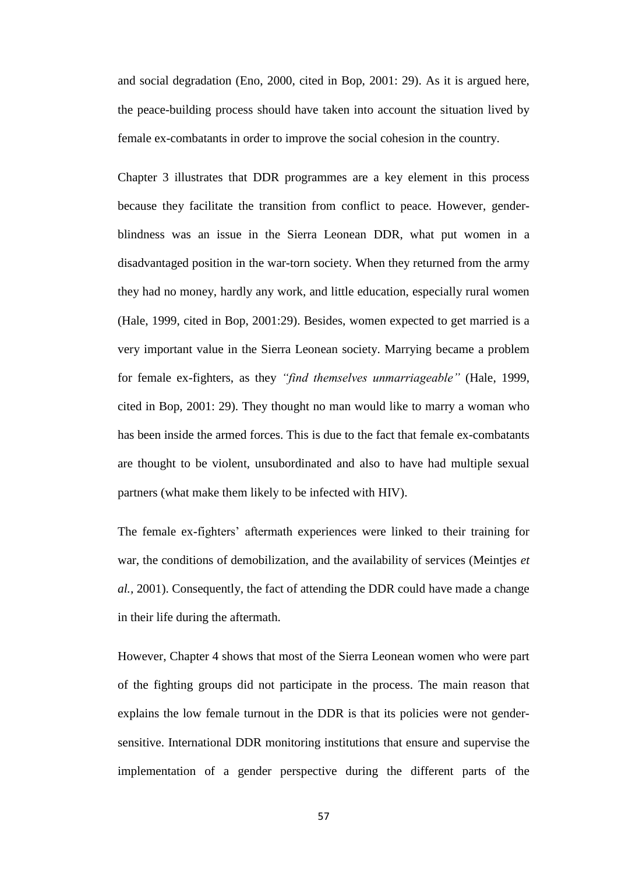and social degradation (Eno, 2000, cited in Bop, 2001: 29). As it is argued here, the peace-building process should have taken into account the situation lived by female ex-combatants in order to improve the social cohesion in the country.

Chapter 3 illustrates that DDR programmes are a key element in this process because they facilitate the transition from conflict to peace. However, genderblindness was an issue in the Sierra Leonean DDR, what put women in a disadvantaged position in the war-torn society. When they returned from the army they had no money, hardly any work, and little education, especially rural women (Hale, 1999, cited in Bop, 2001:29). Besides, women expected to get married is a very important value in the Sierra Leonean society. Marrying became a problem for female ex-fighters, as they *"find themselves unmarriageable"* (Hale, 1999, cited in Bop, 2001: 29). They thought no man would like to marry a woman who has been inside the armed forces. This is due to the fact that female ex-combatants are thought to be violent, unsubordinated and also to have had multiple sexual partners (what make them likely to be infected with HIV).

The female ex-fighters' aftermath experiences were linked to their training for war, the conditions of demobilization, and the availability of services (Meintjes *et al.,* 2001). Consequently, the fact of attending the DDR could have made a change in their life during the aftermath.

However, Chapter 4 shows that most of the Sierra Leonean women who were part of the fighting groups did not participate in the process. The main reason that explains the low female turnout in the DDR is that its policies were not gendersensitive. International DDR monitoring institutions that ensure and supervise the implementation of a gender perspective during the different parts of the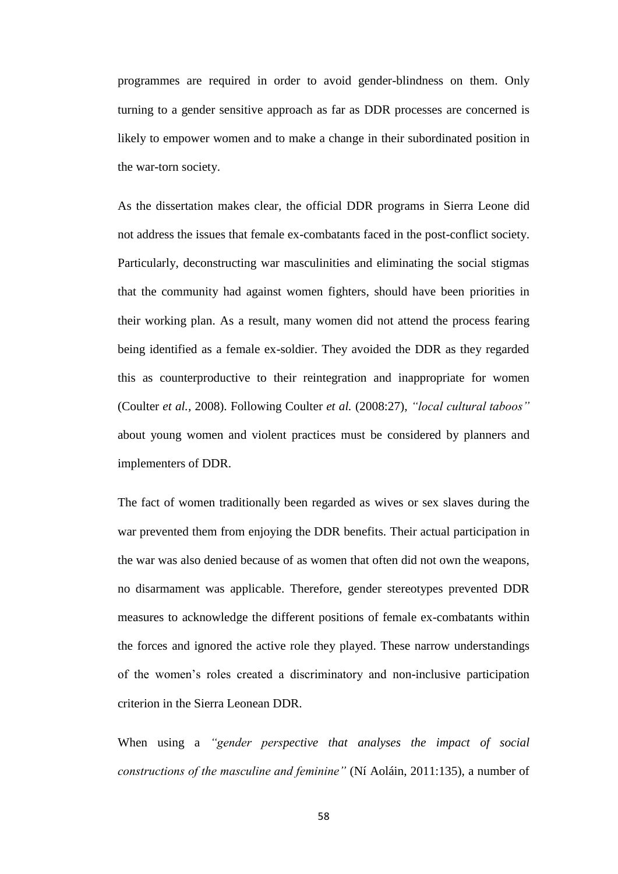programmes are required in order to avoid gender-blindness on them. Only turning to a gender sensitive approach as far as DDR processes are concerned is likely to empower women and to make a change in their subordinated position in the war-torn society.

As the dissertation makes clear, the official DDR programs in Sierra Leone did not address the issues that female ex-combatants faced in the post-conflict society. Particularly, deconstructing war masculinities and eliminating the social stigmas that the community had against women fighters, should have been priorities in their working plan. As a result, many women did not attend the process fearing being identified as a female ex-soldier. They avoided the DDR as they regarded this as counterproductive to their reintegration and inappropriate for women (Coulter *et al.,* 2008). Following Coulter *et al.* (2008:27), *"local cultural taboos"* about young women and violent practices must be considered by planners and implementers of DDR.

The fact of women traditionally been regarded as wives or sex slaves during the war prevented them from enjoying the DDR benefits. Their actual participation in the war was also denied because of as women that often did not own the weapons, no disarmament was applicable. Therefore, gender stereotypes prevented DDR measures to acknowledge the different positions of female ex-combatants within the forces and ignored the active role they played. These narrow understandings of the women's roles created a discriminatory and non-inclusive participation criterion in the Sierra Leonean DDR.

When using a *"gender perspective that analyses the impact of social constructions of the masculine and feminine"* (Ní Aoláin, 2011:135), a number of

58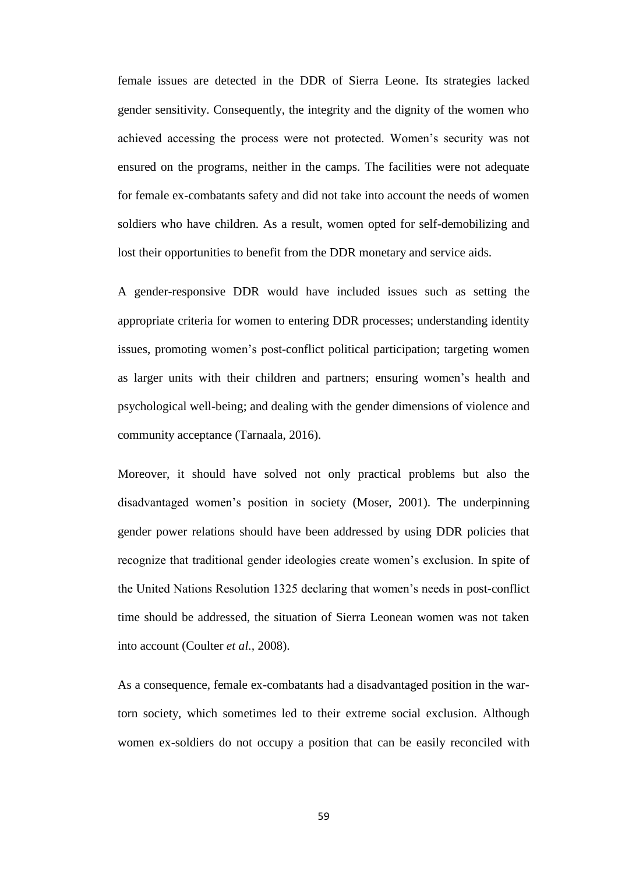female issues are detected in the DDR of Sierra Leone. Its strategies lacked gender sensitivity. Consequently, the integrity and the dignity of the women who achieved accessing the process were not protected. Women's security was not ensured on the programs, neither in the camps. The facilities were not adequate for female ex-combatants safety and did not take into account the needs of women soldiers who have children. As a result, women opted for self-demobilizing and lost their opportunities to benefit from the DDR monetary and service aids.

A gender-responsive DDR would have included issues such as setting the appropriate criteria for women to entering DDR processes; understanding identity issues, promoting women's post-conflict political participation; targeting women as larger units with their children and partners; ensuring women's health and psychological well-being; and dealing with the gender dimensions of violence and community acceptance (Tarnaala, 2016).

Moreover, it should have solved not only practical problems but also the disadvantaged women's position in society (Moser, 2001). The underpinning gender power relations should have been addressed by using DDR policies that recognize that traditional gender ideologies create women's exclusion. In spite of the United Nations Resolution 1325 declaring that women's needs in post-conflict time should be addressed, the situation of Sierra Leonean women was not taken into account (Coulter *et al.,* 2008).

As a consequence, female ex-combatants had a disadvantaged position in the wartorn society, which sometimes led to their extreme social exclusion. Although women ex-soldiers do not occupy a position that can be easily reconciled with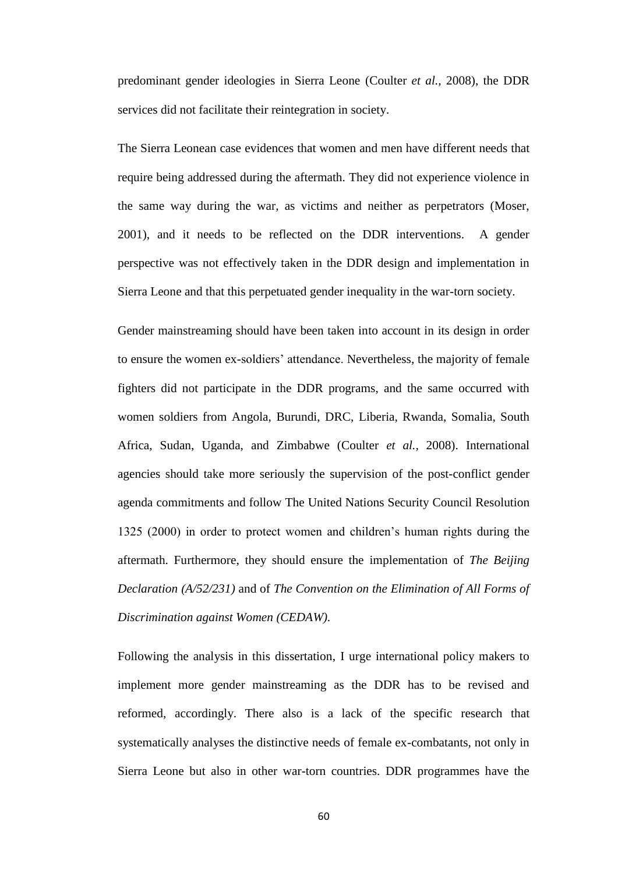predominant gender ideologies in Sierra Leone (Coulter *et al.,* 2008), the DDR services did not facilitate their reintegration in society.

The Sierra Leonean case evidences that women and men have different needs that require being addressed during the aftermath. They did not experience violence in the same way during the war, as victims and neither as perpetrators (Moser, 2001), and it needs to be reflected on the DDR interventions. A gender perspective was not effectively taken in the DDR design and implementation in Sierra Leone and that this perpetuated gender inequality in the war-torn society.

Gender mainstreaming should have been taken into account in its design in order to ensure the women ex-soldiers' attendance. Nevertheless, the majority of female fighters did not participate in the DDR programs, and the same occurred with women soldiers from Angola, Burundi, DRC, Liberia, Rwanda, Somalia, South Africa, Sudan, Uganda, and Zimbabwe (Coulter *et al.,* 2008). International agencies should take more seriously the supervision of the post-conflict gender agenda commitments and follow The United Nations Security Council Resolution 1325 (2000) in order to protect women and children's human rights during the aftermath. Furthermore, they should ensure the implementation of *The Beijing Declaration (A/52/231)* and of *The Convention on the Elimination of All Forms of Discrimination against Women (CEDAW).* 

Following the analysis in this dissertation, I urge international policy makers to implement more gender mainstreaming as the DDR has to be revised and reformed, accordingly. There also is a lack of the specific research that systematically analyses the distinctive needs of female ex-combatants, not only in Sierra Leone but also in other war-torn countries. DDR programmes have the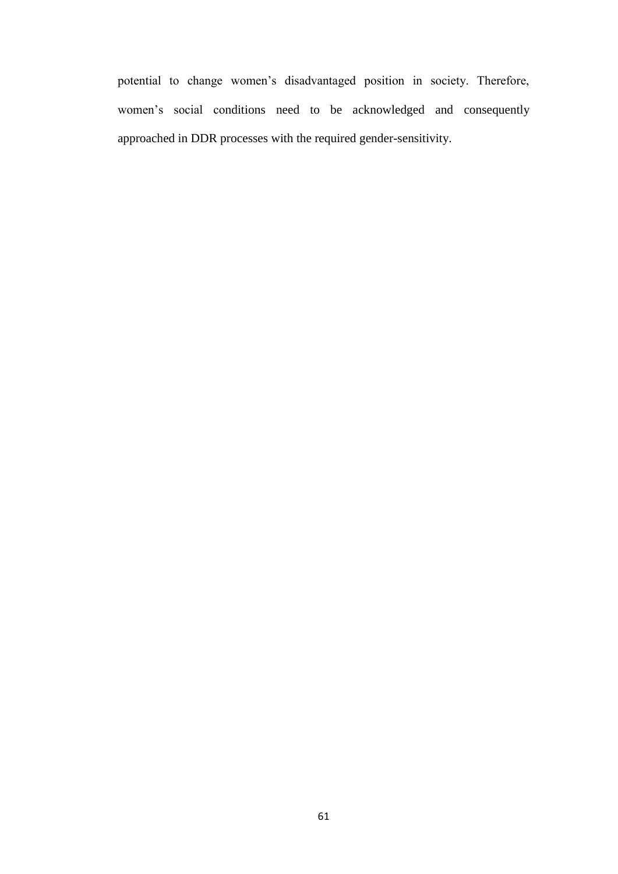potential to change women's disadvantaged position in society. Therefore, women's social conditions need to be acknowledged and consequently approached in DDR processes with the required gender-sensitivity.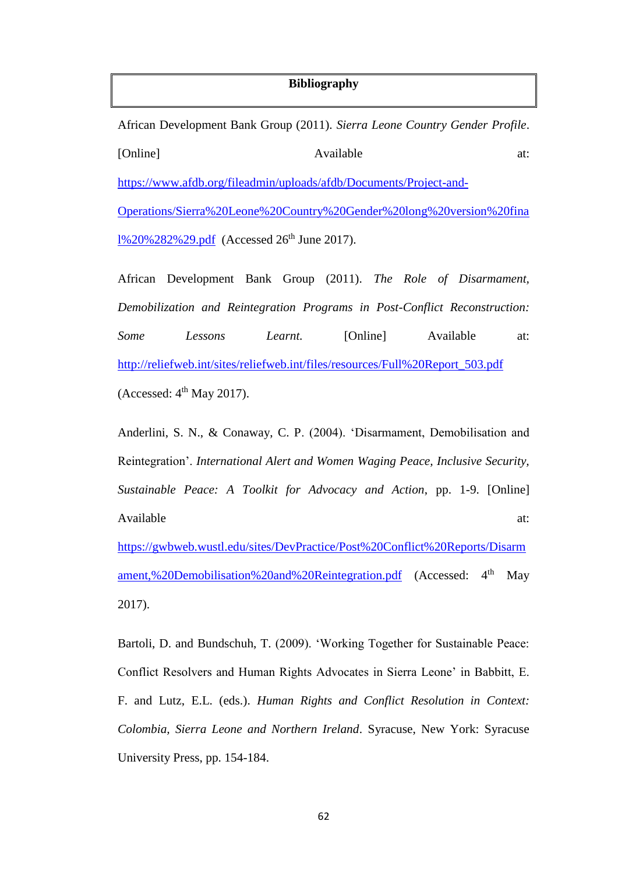# **Bibliography**

|                                                                                |  | African Development Bank Group (2011). Sierra Leone Country Gender Profile. |           |                    |     |
|--------------------------------------------------------------------------------|--|-----------------------------------------------------------------------------|-----------|--------------------|-----|
| [Online]                                                                       |  |                                                                             | Available |                    |     |
| https://www.afdb.org/fileadmin/uploads/afdb/Documents/Project-and-             |  |                                                                             |           |                    |     |
| Operations/Sierra%20Leone%20Country%20Gender%20long%20version%20fina           |  |                                                                             |           |                    |     |
| 1%20%282%29.pdf (Accessed 26 <sup>th</sup> June 2017).                         |  |                                                                             |           |                    |     |
|                                                                                |  | African Development Bank Group (2011). The Role of Disarmament,             |           |                    |     |
| Demobilization and Reintegration Programs in Post-Conflict Reconstruction:     |  |                                                                             |           |                    |     |
| Some                                                                           |  | Lessons Learnt.                                                             |           | [Online] Available | at: |
| http://reliefweb.int/sites/reliefweb.int/files/resources/Full%20Report_503.pdf |  |                                                                             |           |                    |     |

(Accessed:  $4<sup>th</sup>$  May 2017).

Anderlini, S. N., & Conaway, C. P. (2004). 'Disarmament, Demobilisation and Reintegration'. *International Alert and Women Waging Peace, Inclusive Security, Sustainable Peace: A Toolkit for Advocacy and Action*, pp. 1-9. [Online] Available at:

[https://gwbweb.wustl.edu/sites/DevPractice/Post%20Conflict%20Reports/Disarm](https://gwbweb.wustl.edu/sites/DevPractice/Post%20Conflict%20Reports/Disarmament,%20Demobilisation%20and%20Reintegration.pdf) [ament,%20Demobilisation%20and%20Reintegration.pdf](https://gwbweb.wustl.edu/sites/DevPractice/Post%20Conflict%20Reports/Disarmament,%20Demobilisation%20and%20Reintegration.pdf) (Accessed: 4<sup>th</sup> May 2017).

Bartoli, D. and Bundschuh, T. (2009). 'Working Together for Sustainable Peace: Conflict Resolvers and Human Rights Advocates in Sierra Leone' in Babbitt, E. F. and Lutz, E.L. (eds.). *Human Rights and Conflict Resolution in Context: Colombia, Sierra Leone and Northern Ireland*. Syracuse, New York: Syracuse University Press, pp. 154-184.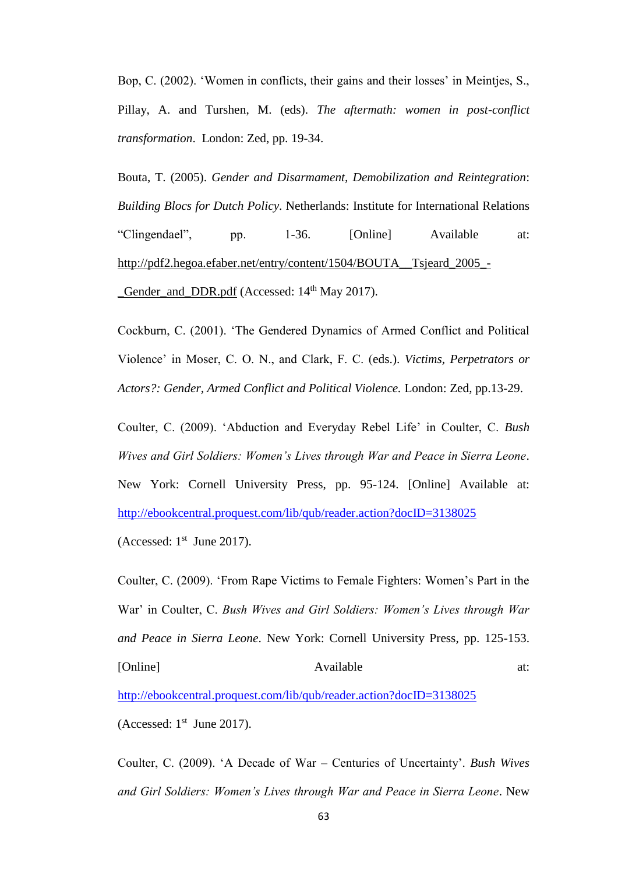Bop, C. (2002). 'Women in conflicts, their gains and their losses' in Meintjes, S., Pillay, A. and Turshen, M. (eds). *The aftermath: women in post-conflict transformation*. London: Zed, pp. 19-34.

Bouta, T. (2005). *Gender and Disarmament, Demobilization and Reintegration*: *Building Blocs for Dutch Policy*. Netherlands: Institute for International Relations "Clingendael", pp. 1-36. [Online] Available at: [http://pdf2.hegoa.efaber.net/entry/content/1504/BOUTA\\_\\_Tsjeard\\_2005\\_-](http://pdf2.hegoa.efaber.net/entry/content/1504/BOUTA__Tsjeard_2005_-_Gender_and_DDR.pdf) Gender and DDR.pdf (Accessed: 14<sup>th</sup> May 2017).

Cockburn, C. (2001). 'The Gendered Dynamics of Armed Conflict and Political Violence' in Moser, C. O. N., and Clark, F. C. (eds.). *Victims, Perpetrators or Actors?: Gender, Armed Conflict and Political Violence.* London: Zed, pp.13-29.

Coulter, C. (2009). 'Abduction and Everyday Rebel Life' in Coulter, C. *Bush Wives and Girl Soldiers: Women's Lives through War and Peace in Sierra Leone*. New York: Cornell University Press, pp. 95-124. [Online] Available at: <http://ebookcentral.proquest.com/lib/qub/reader.action?docID=3138025>

(Accessed:  $1<sup>st</sup>$  June 2017).

Coulter, C. (2009). 'From Rape Victims to Female Fighters: Women's Part in the War' in Coulter, C. *Bush Wives and Girl Soldiers: Women's Lives through War and Peace in Sierra Leone*. New York: Cornell University Press, pp. 125-153. [Online] Available at:

<http://ebookcentral.proquest.com/lib/qub/reader.action?docID=3138025>

(Accessed:  $1<sup>st</sup>$  June 2017).

Coulter, C. (2009). 'A Decade of War – Centuries of Uncertainty'. *Bush Wives and Girl Soldiers: Women's Lives through War and Peace in Sierra Leone*. New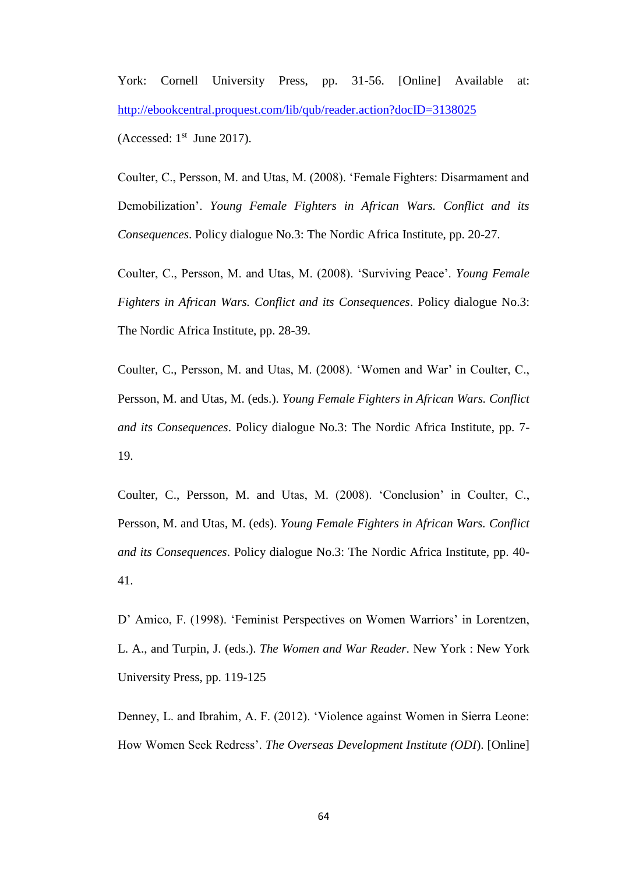York: Cornell University Press, pp. 31-56. [Online] Available at: <http://ebookcentral.proquest.com/lib/qub/reader.action?docID=3138025> (Accessed:  $1<sup>st</sup>$  June 2017).

Coulter, C., Persson, M. and Utas, M. (2008). 'Female Fighters: Disarmament and Demobilization'. *Young Female Fighters in African Wars. Conflict and its Consequences*. Policy dialogue No.3: The Nordic Africa Institute, pp. 20-27.

Coulter, C., Persson, M. and Utas, M. (2008). 'Surviving Peace'. *Young Female Fighters in African Wars. Conflict and its Consequences*. Policy dialogue No.3: The Nordic Africa Institute, pp. 28-39.

Coulter, C., Persson, M. and Utas, M. (2008). 'Women and War' in Coulter, C., Persson, M. and Utas, M. (eds.). *Young Female Fighters in African Wars. Conflict and its Consequences*. Policy dialogue No.3: The Nordic Africa Institute, pp. 7- 19.

Coulter, C., Persson, M. and Utas, M. (2008). 'Conclusion' in Coulter, C., Persson, M. and Utas, M. (eds). *Young Female Fighters in African Wars. Conflict and its Consequences*. Policy dialogue No.3: The Nordic Africa Institute, pp. 40- 41.

D' Amico, F. (1998). 'Feminist Perspectives on Women Warriors' in Lorentzen, L. A., and Turpin, J. (eds.). *The Women and War Reader*. New York : New York University Press, pp. 119-125

Denney, L. and Ibrahim, A. F. (2012). 'Violence against Women in Sierra Leone: How Women Seek Redress'. *The Overseas Development Institute (ODI*). [Online]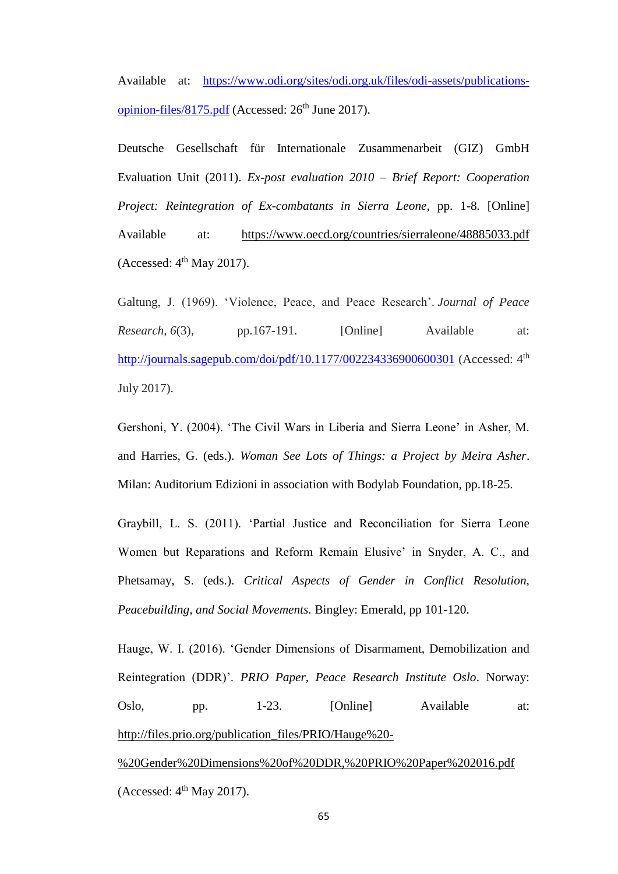Available at: [https://www.odi.org/sites/odi.org.uk/files/odi-assets/publications](https://www.odi.org/sites/odi.org.uk/files/odi-assets/publications-opinion-files/8175.pdf)[opinion-files/8175.pdf](https://www.odi.org/sites/odi.org.uk/files/odi-assets/publications-opinion-files/8175.pdf) (Accessed:  $26<sup>th</sup>$  June 2017).

Deutsche Gesellschaft für Internationale Zusammenarbeit (GIZ) GmbH Evaluation Unit (2011). *Ex-post evaluation 2010 – Brief Report: Cooperation Project: Reintegration of Ex-combatants in Sierra Leone,* pp. 1-8*.* [Online] Available at: <https://www.oecd.org/countries/sierraleone/48885033.pdf> (Accessed:  $4<sup>th</sup>$  May 2017).

Galtung, J. (1969). 'Violence, Peace, and Peace Research'. *Journal of Peace Research*, *6*(3), pp.167-191. [Online] Available at: <http://journals.sagepub.com/doi/pdf/10.1177/002234336900600301> (Accessed: 4<sup>th</sup> July 2017).

Gershoni, Y. (2004). 'The Civil Wars in Liberia and Sierra Leone' in Asher, M. and Harries, G. (eds.). *Woman See Lots of Things: a Project by Meira Asher*. Milan: Auditorium Edizioni in association with Bodylab Foundation, pp.18-25.

Graybill, L. S. (2011). 'Partial Justice and Reconciliation for Sierra Leone Women but Reparations and Reform Remain Elusive' in Snyder, A. C., and Phetsamay, S. (eds.). *Critical Aspects of Gender in Conflict Resolution, Peacebuilding, and Social Movements.* Bingley: Emerald, pp 101-120.

Hauge, W. I. (2016). 'Gender Dimensions of Disarmament, Demobilization and Reintegration (DDR)'. *PRIO Paper, Peace Research Institute Oslo*. Norway: Oslo, pp. 1-23. [Online] Available at: [http://files.prio.org/publication\\_files/PRIO/Hauge%20-](http://files.prio.org/publication_files/PRIO/Hauge%20-%20Gender%20Dimensions%20of%20DDR,%20PRIO%20Paper%202016.pdf)

[%20Gender%20Dimensions%20of%20DDR,%20PRIO%20Paper%202016.pdf](http://files.prio.org/publication_files/PRIO/Hauge%20-%20Gender%20Dimensions%20of%20DDR,%20PRIO%20Paper%202016.pdf) (Accessed:  $4<sup>th</sup>$  May 2017).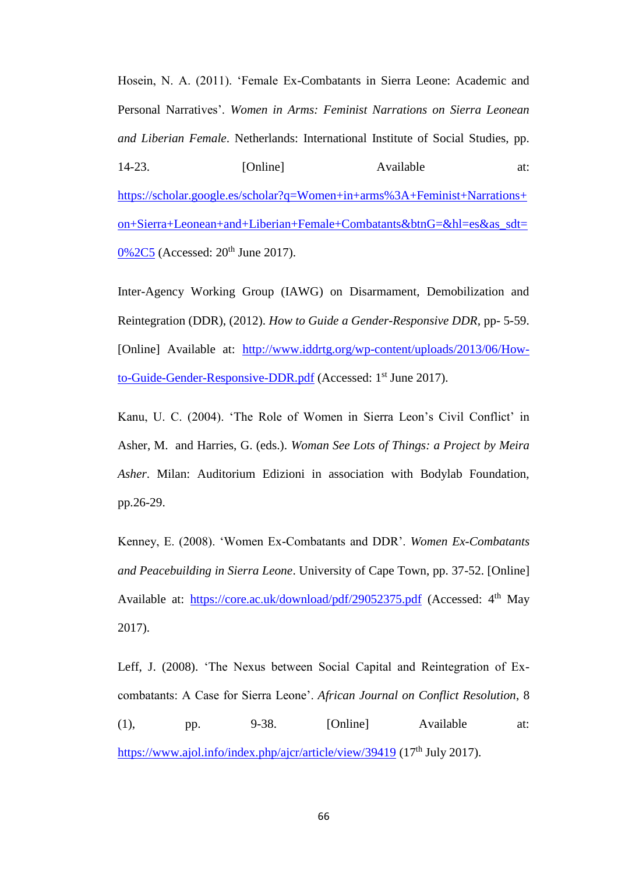Hosein, N. A. (2011). 'Female Ex-Combatants in Sierra Leone: Academic and Personal Narratives'. *Women in Arms: Feminist Narrations on Sierra Leonean and Liberian Female*. Netherlands: International Institute of Social Studies, pp. 14-23. [Online] Available at: [https://scholar.google.es/scholar?q=Women+in+arms%3A+Feminist+Narrations+](https://scholar.google.es/scholar?q=Women+in+arms%3A+Feminist+Narrations+on+Sierra+Leonean+and+Liberian+Female+Combatants&btnG=&hl=es&as_sdt=0%2C5) [on+Sierra+Leonean+and+Liberian+Female+Combatants&btnG=&hl=es&as\\_sdt=](https://scholar.google.es/scholar?q=Women+in+arms%3A+Feminist+Narrations+on+Sierra+Leonean+and+Liberian+Female+Combatants&btnG=&hl=es&as_sdt=0%2C5) [0%2C5](https://scholar.google.es/scholar?q=Women+in+arms%3A+Feminist+Narrations+on+Sierra+Leonean+and+Liberian+Female+Combatants&btnG=&hl=es&as_sdt=0%2C5) (Accessed: 20<sup>th</sup> June 2017).

Inter-Agency Working Group (IAWG) on Disarmament, Demobilization and Reintegration (DDR), (2012). *How to Guide a Gender-Responsive DDR,* pp- 5-59. [Online] Available at: [http://www.iddrtg.org/wp-content/uploads/2013/06/How](http://www.iddrtg.org/wp-content/uploads/2013/06/How-to-Guide-Gender-Responsive-DDR.pdf)[to-Guide-Gender-Responsive-DDR.pdf](http://www.iddrtg.org/wp-content/uploads/2013/06/How-to-Guide-Gender-Responsive-DDR.pdf) (Accessed: 1<sup>st</sup> June 2017).

Kanu, U. C. (2004). 'The Role of Women in Sierra Leon's Civil Conflict' in Asher, M. and Harries, G. (eds.). *Woman See Lots of Things: a Project by Meira Asher*. Milan: Auditorium Edizioni in association with Bodylab Foundation, pp.26-29.

Kenney, E. (2008). 'Women Ex-Combatants and DDR'. *Women Ex-Combatants and Peacebuilding in Sierra Leone*. University of Cape Town, pp. 37-52. [Online] Available at: <https://core.ac.uk/download/pdf/29052375.pdf> (Accessed: 4<sup>th</sup> May 2017).

Leff, J. (2008). 'The Nexus between Social Capital and Reintegration of Excombatants: A Case for Sierra Leone'. *African Journal on Conflict Resolution*, 8 (1), pp. 9-38. [Online] Available at: <https://www.ajol.info/index.php/ajcr/article/view/39419> (17<sup>th</sup> July 2017).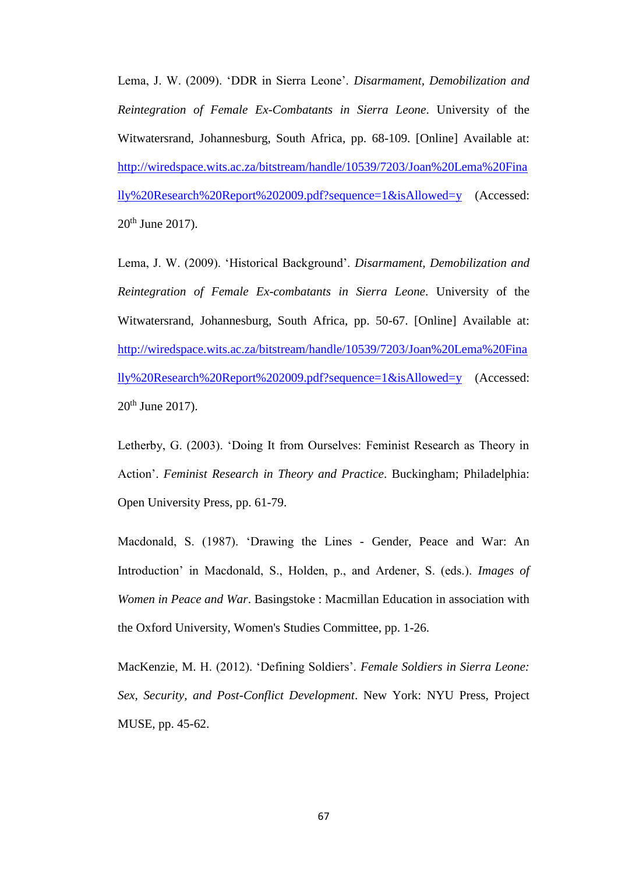Lema, J. W. (2009). 'DDR in Sierra Leone'. *Disarmament, Demobilization and Reintegration of Female Ex-Combatants in Sierra Leone*. University of the Witwatersrand, Johannesburg, South Africa, pp. 68-109. [Online] Available at: [http://wiredspace.wits.ac.za/bitstream/handle/10539/7203/Joan%20Lema%20Fina](http://wiredspace.wits.ac.za/bitstream/handle/10539/7203/Joan%20Lema%20Finally%20Research%20Report%202009.pdf?sequence=1&isAllowed=y) [lly%20Research%20Report%202009.pdf?sequence=1&isAllowed=y](http://wiredspace.wits.ac.za/bitstream/handle/10539/7203/Joan%20Lema%20Finally%20Research%20Report%202009.pdf?sequence=1&isAllowed=y) (Accessed: 20<sup>th</sup> June 2017).

Lema, J. W. (2009). 'Historical Background'. *Disarmament, Demobilization and Reintegration of Female Ex-combatants in Sierra Leone*. University of the Witwatersrand, Johannesburg, South Africa, pp. 50-67. [Online] Available at: [http://wiredspace.wits.ac.za/bitstream/handle/10539/7203/Joan%20Lema%20Fina](http://wiredspace.wits.ac.za/bitstream/handle/10539/7203/Joan%20Lema%20Finally%20Research%20Report%202009.pdf?sequence=1&isAllowed=y) [lly%20Research%20Report%202009.pdf?sequence=1&isAllowed=y](http://wiredspace.wits.ac.za/bitstream/handle/10539/7203/Joan%20Lema%20Finally%20Research%20Report%202009.pdf?sequence=1&isAllowed=y) (Accessed: 20th June 2017).

Letherby, G. (2003). 'Doing It from Ourselves: Feminist Research as Theory in Action'. *Feminist Research in Theory and Practice*. Buckingham; Philadelphia: Open University Press, pp. 61-79.

Macdonald, S. (1987). 'Drawing the Lines - Gender, Peace and War: An Introduction' in Macdonald, S., Holden, p., and Ardener, S. (eds.). *Images of Women in Peace and War*. Basingstoke : Macmillan Education in association with the Oxford University, Women's Studies Committee, pp. 1-26.

MacKenzie, M. H. (2012). 'Defining Soldiers'. *Female Soldiers in Sierra Leone: Sex, Security, and Post-Conflict Development*. New York: NYU Press, Project MUSE, pp. 45-62.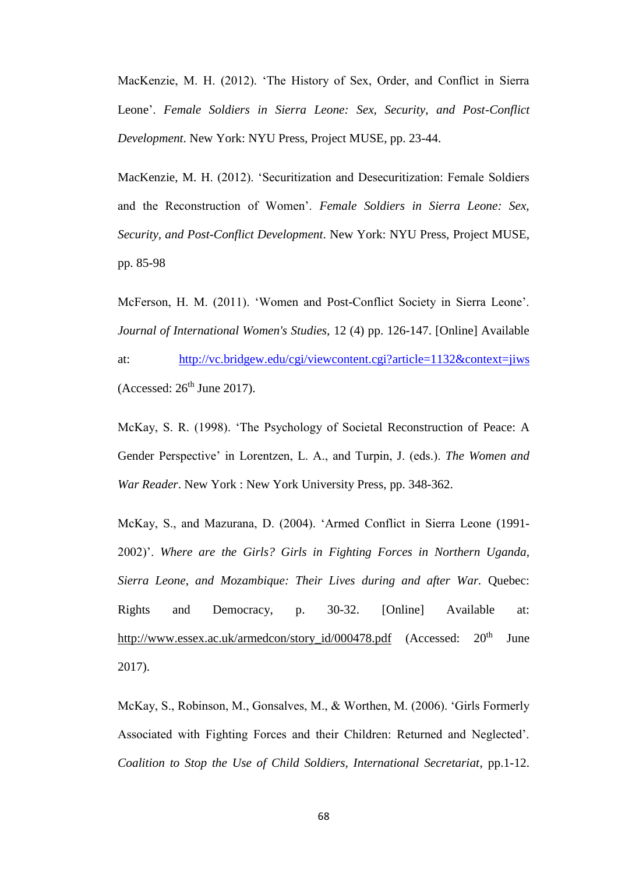MacKenzie, M. H. (2012). 'The History of Sex, Order, and Conflict in Sierra Leone'. *Female Soldiers in Sierra Leone: Sex, Security, and Post-Conflict Development*. New York: NYU Press, Project MUSE, pp. 23-44.

MacKenzie, M. H. (2012). 'Securitization and Desecuritization: Female Soldiers and the Reconstruction of Women'. *Female Soldiers in Sierra Leone: Sex, Security, and Post-Conflict Development*. New York: NYU Press, Project MUSE, pp. 85-98

McFerson, H. M. (2011). 'Women and Post-Conflict Society in Sierra Leone'. *Journal of International Women's Studies,* 12 (4) pp. 126-147. [Online] Available

at: <http://vc.bridgew.edu/cgi/viewcontent.cgi?article=1132&context=jiws> (Accessed:  $26<sup>th</sup>$  June 2017).

McKay, S. R. (1998). 'The Psychology of Societal Reconstruction of Peace: A Gender Perspective' in Lorentzen, L. A., and Turpin, J. (eds.). *The Women and War Reader*. New York : New York University Press, pp. 348-362.

McKay, S., and Mazurana, D. (2004). 'Armed Conflict in Sierra Leone (1991- 2002)'. *Where are the Girls? Girls in Fighting Forces in Northern Uganda, Sierra Leone, and Mozambique: Their Lives during and after War.* Quebec: Rights and Democracy, p. 30-32. [Online] Available at: [http://www.essex.ac.uk/armedcon/story\\_id/000478.pdf](http://www.essex.ac.uk/armedcon/story_id/000478.pdf) (Accessed:  $20<sup>th</sup>$  June 2017).

McKay, S., Robinson, M., Gonsalves, M., & Worthen, M. (2006). 'Girls Formerly Associated with Fighting Forces and their Children: Returned and Neglected'. *Coalition to Stop the Use of Child Soldiers, International Secretariat*, pp.1-12.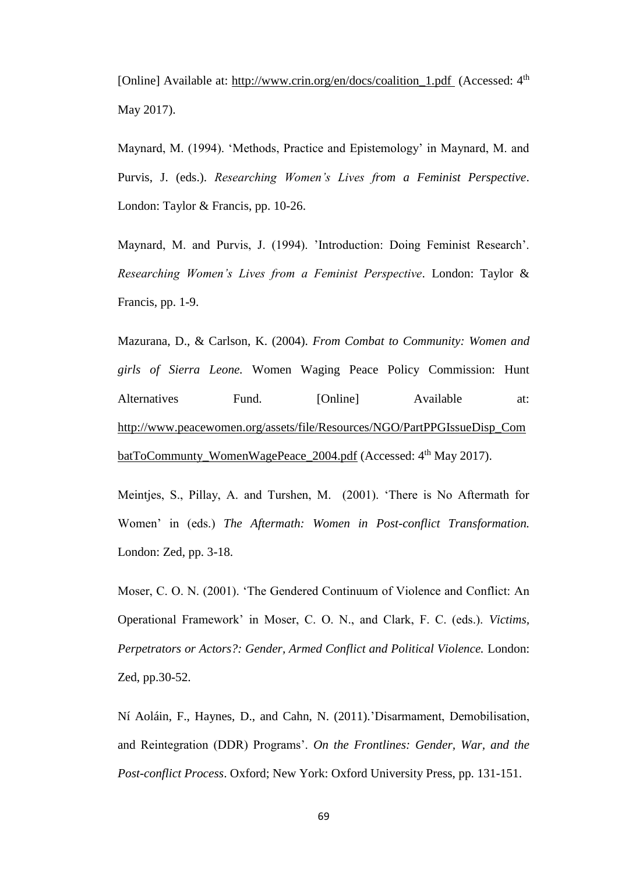[Online] Available at: [http://www.crin.org/en/docs/coalition\\_1.pdf](http://www.crin.org/en/docs/coalition_1.pdf) (Accessed: 4<sup>th</sup>) May 2017).

Maynard, M. (1994). 'Methods, Practice and Epistemology' in Maynard, M. and Purvis, J. (eds.). *Researching Women's Lives from a Feminist Perspective*. London: Taylor & Francis, pp. 10-26.

Maynard, M. and Purvis, J. (1994). 'Introduction: Doing Feminist Research'. *Researching Women's Lives from a Feminist Perspective*. London: Taylor & Francis, pp. 1-9.

Mazurana, D., & Carlson, K. (2004). *From Combat to Community: Women and girls of Sierra Leone.* Women Waging Peace Policy Commission: Hunt Alternatives Fund. [Online] Available at: [http://www.peacewomen.org/assets/file/Resources/NGO/PartPPGIssueDisp\\_Com](http://www.peacewomen.org/assets/file/Resources/NGO/PartPPGIssueDisp_CombatToCommunty_WomenWagePeace_2004.pdf) batToCommunty WomenWagePeace 2004.pdf (Accessed: 4<sup>th</sup> May 2017).

Meintjes, S., Pillay, A. and Turshen, M. (2001). 'There is No Aftermath for Women' in (eds.) *The Aftermath: Women in Post-conflict Transformation.*  London: Zed, pp. 3-18.

Moser, C. O. N. (2001). 'The Gendered Continuum of Violence and Conflict: An Operational Framework' in Moser, C. O. N., and Clark, F. C. (eds.). *Victims, Perpetrators or Actors?: Gender, Armed Conflict and Political Violence.* London: Zed, pp.30-52.

Ní Aoláin, F., Haynes, D., and Cahn, N. (2011)*.*'Disarmament, Demobilisation, and Reintegration (DDR) Programs'. *On the Frontlines: Gender, War, and the Post-conflict Process*. Oxford; New York: Oxford University Press, pp. 131-151.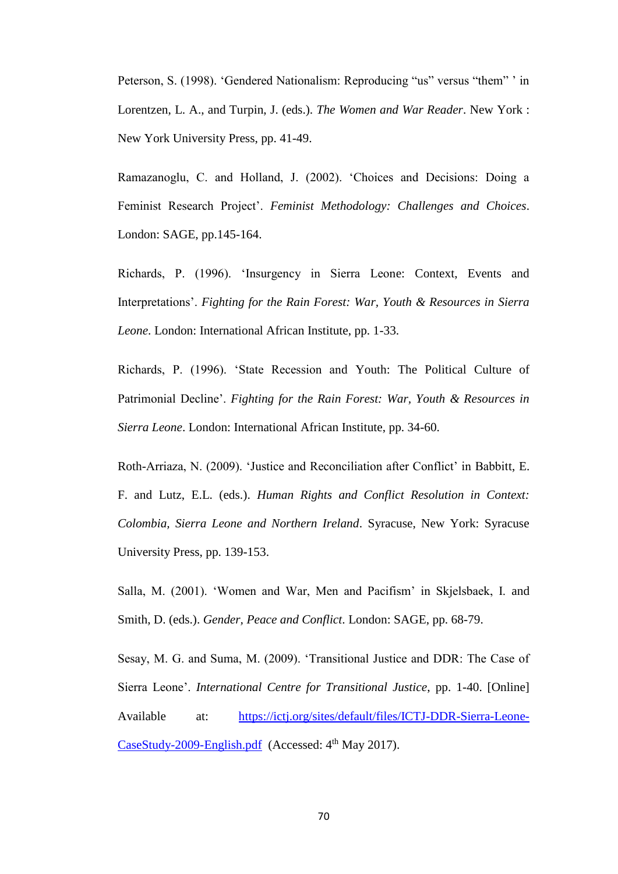Peterson, S. (1998). 'Gendered Nationalism: Reproducing "us" versus "them" ' in Lorentzen, L. A., and Turpin, J. (eds.). *The Women and War Reader*. New York : New York University Press, pp. 41-49.

Ramazanoglu, C. and Holland, J. (2002). 'Choices and Decisions: Doing a Feminist Research Project'. *Feminist Methodology: Challenges and Choices*. London: SAGE, pp.145-164.

Richards, P. (1996). 'Insurgency in Sierra Leone: Context, Events and Interpretations'. *Fighting for the Rain Forest: War, Youth & Resources in Sierra Leone*. London: International African Institute, pp. 1-33.

Richards, P. (1996). 'State Recession and Youth: The Political Culture of Patrimonial Decline'. *Fighting for the Rain Forest: War, Youth & Resources in Sierra Leone*. London: International African Institute, pp. 34-60.

Roth-Arriaza, N. (2009). 'Justice and Reconciliation after Conflict' in Babbitt, E. F. and Lutz, E.L. (eds.). *Human Rights and Conflict Resolution in Context: Colombia, Sierra Leone and Northern Ireland*. Syracuse, New York: Syracuse University Press, pp. 139-153.

Salla, M. (2001). 'Women and War, Men and Pacifism' in Skjelsbaek, I. and Smith, D. (eds.). *Gender, Peace and Conflict*. London: SAGE, pp. 68-79.

Sesay, M. G. and Suma, M. (2009). 'Transitional Justice and DDR: The Case of Sierra Leone'. *International Centre for Transitional Justice*, pp. 1-40. [Online] Available at: [https://ictj.org/sites/default/files/ICTJ-DDR-Sierra-Leone-](https://ictj.org/sites/default/files/ICTJ-DDR-Sierra-Leone-CaseStudy-2009-English.pdf) $\text{CaseStudy-2009-English.pdf}$  (Accessed:  $4^{\text{th}}$  May 2017).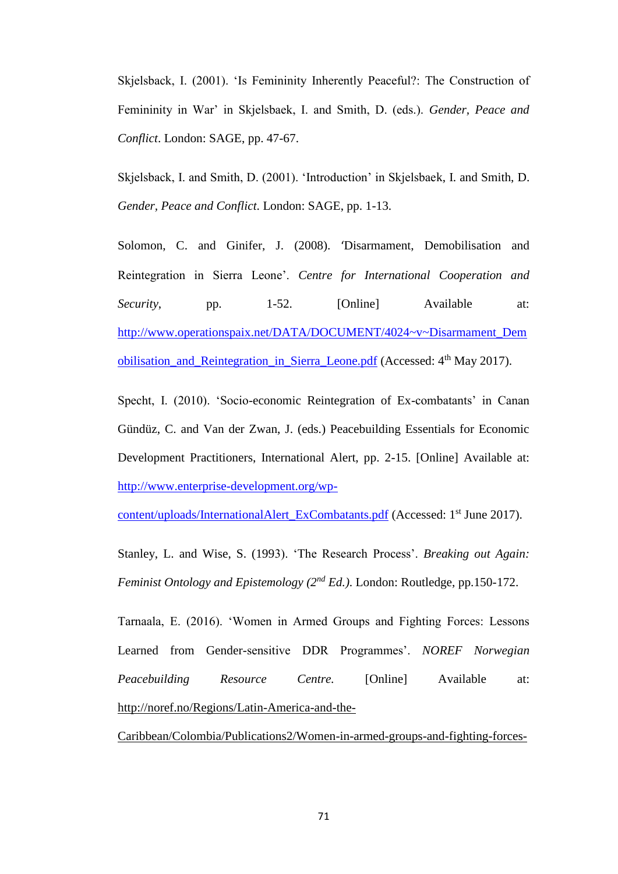Skjelsback, I. (2001). 'Is Femininity Inherently Peaceful?: The Construction of Femininity in War' in Skjelsbaek, I. and Smith, D. (eds.). *Gender, Peace and Conflict*. London: SAGE, pp. 47-67.

Skjelsback, I. and Smith, D. (2001). 'Introduction' in Skjelsbaek, I. and Smith, D. *Gender, Peace and Conflict*. London: SAGE, pp. 1-13.

Solomon, C. and Ginifer, J. (2008). 'Disarmament, Demobilisation and Reintegration in Sierra Leone'. *Centre for International Cooperation and Security*, pp. 1-52. [Online] Available at: [http://www.operationspaix.net/DATA/DOCUMENT/4024~v~Disarmament\\_Dem](http://www.operationspaix.net/DATA/DOCUMENT/4024~v~Disarmament_Demobilisation_and_Reintegration_in_Sierra_Leone.pdf) obilisation and Reintegration in Sierra Leone.pdf (Accessed: 4<sup>th</sup> May 2017).

Specht, I. (2010). 'Socio-economic Reintegration of Ex-combatants' in Canan Gündüz, C. and Van der Zwan, J. (eds.) Peacebuilding Essentials for Economic Development Practitioners, International Alert, pp. 2-15. [Online] Available at: [http://www.enterprise-development.org/wp-](http://www.enterprise-development.org/wp-content/uploads/InternationalAlert_ExCombatants.pdf)

[content/uploads/InternationalAlert\\_ExCombatants.pdf](http://www.enterprise-development.org/wp-content/uploads/InternationalAlert_ExCombatants.pdf) (Accessed: 1<sup>st</sup> June 2017).

Stanley, L. and Wise, S. (1993). 'The Research Process'. *Breaking out Again: Feminist Ontology and Epistemology (2nd Ed.)*. London: Routledge, pp.150-172.

Tarnaala, E. (2016). 'Women in Armed Groups and Fighting Forces: Lessons Learned from Gender-sensitive DDR Programmes'. *NOREF Norwegian Peacebuilding Resource Centre.* [Online] Available at: [http://noref.no/Regions/Latin-America-and-the-](http://noref.no/Regions/Latin-America-and-the-Caribbean/Colombia/Publications2/Women-in-armed-groups-and-fighting-forces-lessons-learned-from-gender-sensitive-DDR-programmes)

[Caribbean/Colombia/Publications2/Women-in-armed-groups-and-fighting-forces-](http://noref.no/Regions/Latin-America-and-the-Caribbean/Colombia/Publications2/Women-in-armed-groups-and-fighting-forces-lessons-learned-from-gender-sensitive-DDR-programmes)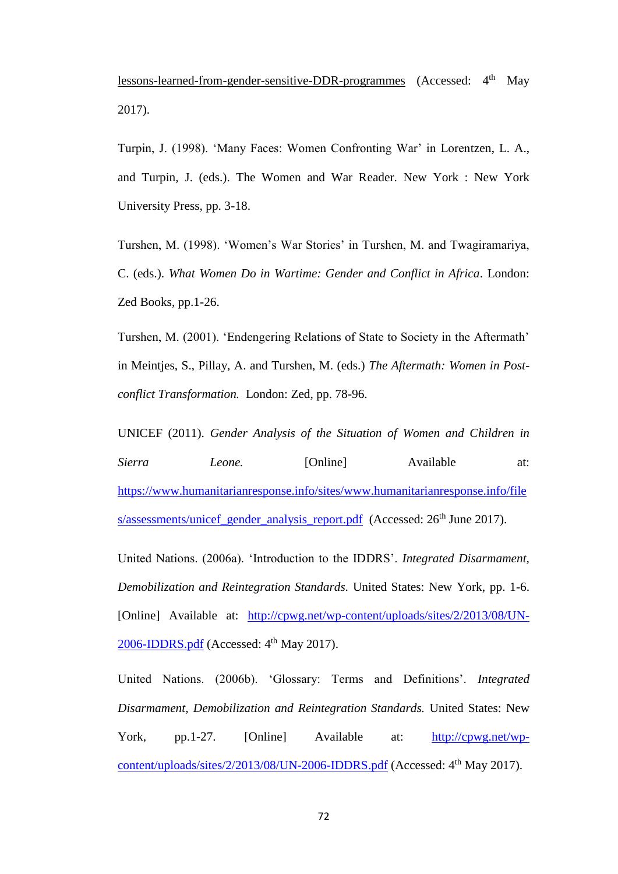[lessons-learned-from-gender-sensitive-DDR-programmes](http://noref.no/Regions/Latin-America-and-the-Caribbean/Colombia/Publications2/Women-in-armed-groups-and-fighting-forces-lessons-learned-from-gender-sensitive-DDR-programmes) (Accessed: 4<sup>th</sup> May 2017).

Turpin, J. (1998). 'Many Faces: Women Confronting War' in Lorentzen, L. A., and Turpin, J. (eds.). The Women and War Reader. New York : New York University Press, pp. 3-18.

Turshen, M. (1998). 'Women's War Stories' in Turshen, M. and Twagiramariya, C. (eds.). *What Women Do in Wartime: Gender and Conflict in Africa*. London: Zed Books, pp.1-26.

Turshen, M. (2001). 'Endengering Relations of State to Society in the Aftermath' in Meintjes, S., Pillay, A. and Turshen, M. (eds.) *The Aftermath: Women in Postconflict Transformation.* London: Zed, pp. 78-96.

UNICEF (2011). *Gender Analysis of the Situation of Women and Children in Sierra Leone.* [Online] Available at: [https://www.humanitarianresponse.info/sites/www.humanitarianresponse.info/file](https://www.humanitarianresponse.info/sites/www.humanitarianresponse.info/files/assessments/unicef_gender_analysis_report.pdf) [s/assessments/unicef\\_gender\\_analysis\\_report.pdf](https://www.humanitarianresponse.info/sites/www.humanitarianresponse.info/files/assessments/unicef_gender_analysis_report.pdf) (Accessed: 26<sup>th</sup> June 2017).

United Nations. (2006a). 'Introduction to the IDDRS'. *Integrated Disarmament, Demobilization and Reintegration Standards.* United States: New York, pp. 1-6. [Online] Available at: [http://cpwg.net/wp-content/uploads/sites/2/2013/08/UN-](http://cpwg.net/wp-content/uploads/sites/2/2013/08/UN-2006-IDDRS.pdf) $2006$ -IDDRS.pdf (Accessed:  $4<sup>th</sup>$  May 2017).

United Nations. (2006b). 'Glossary: Terms and Definitions'. *Integrated Disarmament, Demobilization and Reintegration Standards.* United States: New York, pp.1-27. [Online] Available at: [http://cpwg.net/wp](http://cpwg.net/wp-content/uploads/sites/2/2013/08/UN-2006-IDDRS.pdf)[content/uploads/sites/2/2013/08/UN-2006-IDDRS.pdf](http://cpwg.net/wp-content/uploads/sites/2/2013/08/UN-2006-IDDRS.pdf) (Accessed: 4<sup>th</sup> May 2017).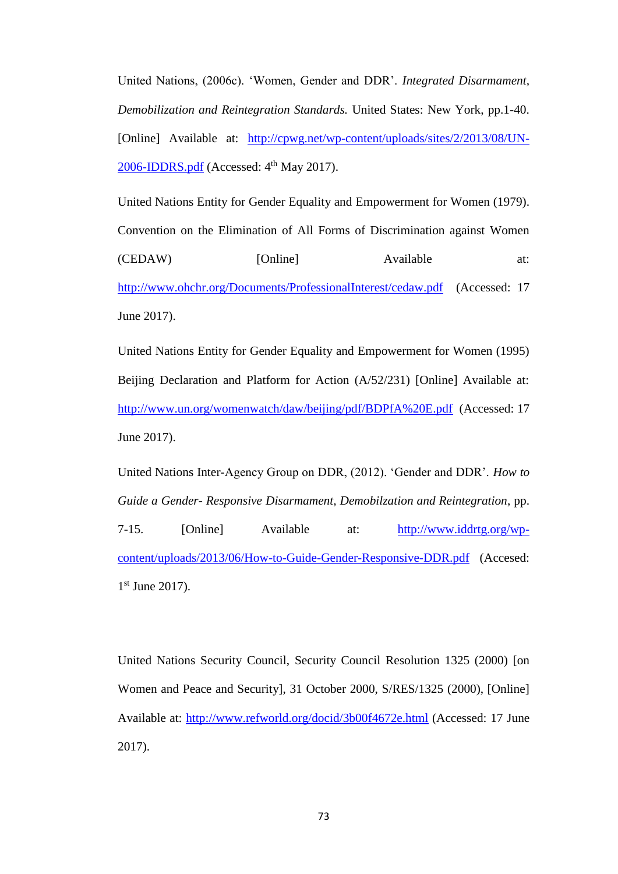United Nations, (2006c). 'Women, Gender and DDR'. *Integrated Disarmament, Demobilization and Reintegration Standards.* United States: New York, pp.1-40. [Online] Available at: [http://cpwg.net/wp-content/uploads/sites/2/2013/08/UN-](http://cpwg.net/wp-content/uploads/sites/2/2013/08/UN-2006-IDDRS.pdf)[2006-IDDRS.pdf](http://cpwg.net/wp-content/uploads/sites/2/2013/08/UN-2006-IDDRS.pdf) (Accessed: 4<sup>th</sup> May 2017).

United Nations Entity for Gender Equality and Empowerment for Women (1979). Convention on the Elimination of All Forms of Discrimination against Women (CEDAW) [Online] Available at: <http://www.ohchr.org/Documents/ProfessionalInterest/cedaw.pdf>(Accessed: 17 June 2017).

United Nations Entity for Gender Equality and Empowerment for Women (1995) Beijing Declaration and Platform for Action (A/52/231) [Online] Available at: <http://www.un.org/womenwatch/daw/beijing/pdf/BDPfA%20E.pdf>(Accessed: 17 June 2017).

United Nations Inter-Agency Group on DDR, (2012). 'Gender and DDR'. *How to Guide a Gender- Responsive Disarmament, Demobilzation and Reintegration*, pp. 7-15. [Online] Available at: [http://www.iddrtg.org/wp](http://www.iddrtg.org/wp-content/uploads/2013/06/How-to-Guide-Gender-Responsive-DDR.pdf)[content/uploads/2013/06/How-to-Guide-Gender-Responsive-DDR.pdf](http://www.iddrtg.org/wp-content/uploads/2013/06/How-to-Guide-Gender-Responsive-DDR.pdf) (Accesed: 1st June 2017).

United Nations Security Council, Security Council Resolution 1325 (2000) [on Women and Peace and Security], 31 October 2000, S/RES/1325 (2000), [Online] Available at:<http://www.refworld.org/docid/3b00f4672e.html> (Accessed: 17 June 2017).